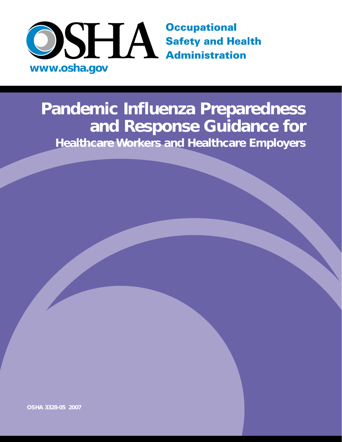

# **Pandemic Influenza Preparedness and Response Guidance for Healthcare Workers and Healthcare Employers**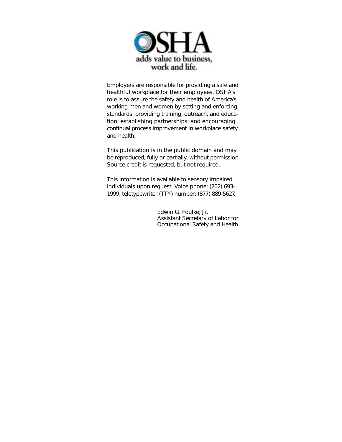

Employers are responsible for providing a safe and healthful workplace for their employees. OSHA's role is to assure the safety and health of America's working men and women by setting and enforcing standards; providing training, outreach, and education; establishing partnerships; and encouraging continual process improvement in workplace safety and health.

This publication is in the public domain and may be reproduced, fully or partially, without permission. Source credit is requested, but not required.

This information is available to sensory impaired individuals upon request. Voice phone: (202) 693- 1999; teletypewriter (TTY) number: (877) 889-5627.

> Edwin G. Foulke, Jr. Assistant Secretary of Labor for Occupational Safety and Health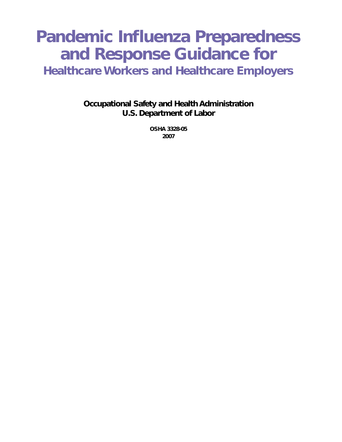# **Pandemic Influenza Preparedness and Response Guidance for**

**Healthcare Workers and Healthcare Employers**

**Occupational Safety and Health Administration U.S. Department of Labor**

> **OSHA 3328-05 2007**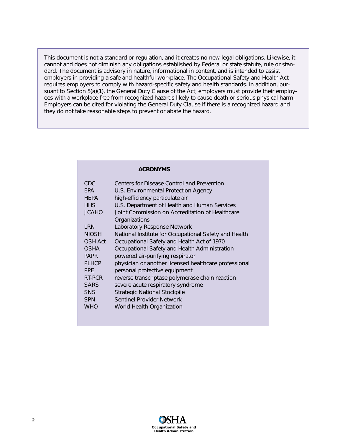This document is not a standard or regulation, and it creates no new legal obligations. Likewise, it cannot and does not diminish any obligations established by Federal or state statute, rule or standard. The document is advisory in nature, informational in content, and is intended to assist employers in providing a safe and healthful workplace. *The Occupational Safety and Health Act* requires employers to comply with hazard-specific safety and health standards. In addition, pursuant to Section 5(a)(1), the General Duty Clause of the Act, employers must provide their employees with a workplace free from recognized hazards likely to cause death or serious physical harm. Employers can be cited for violating the General Duty Clause if there is a recognized hazard and they do not take reasonable steps to prevent or abate the hazard.

| <b>ACRONYMS</b> |                                                       |  |  |
|-----------------|-------------------------------------------------------|--|--|
| <b>CDC</b>      | Centers for Disease Control and Prevention            |  |  |
| <b>FPA</b>      | U.S. Environmental Protection Agency                  |  |  |
| <b>HFPA</b>     | high-efficiency particulate air                       |  |  |
| <b>HHS</b>      | U.S. Department of Health and Human Services          |  |  |
| <b>JCAHO</b>    | Joint Commission on Accreditation of Healthcare       |  |  |
|                 | Organizations                                         |  |  |
| I RN            | <b>Laboratory Response Network</b>                    |  |  |
| <b>NIOSH</b>    | National Institute for Occupational Safety and Health |  |  |
| OSH Act         | Occupational Safety and Health Act of 1970            |  |  |
| OSHA            | Occupational Safety and Health Administration         |  |  |
| <b>PAPR</b>     | powered air-purifying respirator                      |  |  |
| <b>PLHCP</b>    | physician or another licensed healthcare professional |  |  |
| <b>PPF</b>      | personal protective equipment                         |  |  |
| RT-PCR          | reverse transcriptase polymerase chain reaction       |  |  |
| <b>SARS</b>     | severe acute respiratory syndrome                     |  |  |
| <b>SNS</b>      | <b>Strategic National Stockpile</b>                   |  |  |
| <b>SPN</b>      | <b>Sentinel Provider Network</b>                      |  |  |
| <b>WHO</b>      | World Health Organization                             |  |  |
|                 |                                                       |  |  |

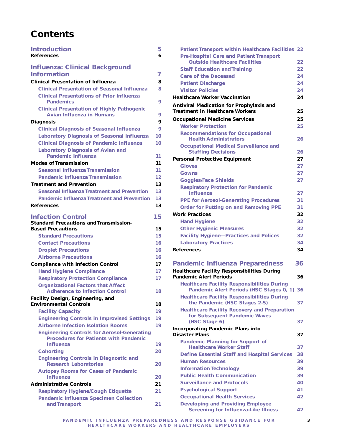# **Contents**

| <b>Introduction</b>                                                                                                    | 5        |
|------------------------------------------------------------------------------------------------------------------------|----------|
| <b>References</b>                                                                                                      | 6        |
| <b>Influenza: Clinical Background</b>                                                                                  |          |
| <b>Information</b>                                                                                                     | 7        |
| <b>Clinical Presentation of Influenza</b>                                                                              | 8        |
| <b>Clinical Presentation of Seasonal Influenza</b>                                                                     | 8        |
| <b>Clinical Presentations of Prior Influenza</b><br><b>Pandemics</b>                                                   | 9        |
| <b>Clinical Presentation of Highly Pathogenic</b><br><b>Avian Influenza in Humans</b>                                  | 9        |
| <b>Diagnosis</b>                                                                                                       | 9        |
| <b>Clinical Diagnosis of Seasonal Influenza</b>                                                                        | 9        |
| <b>Laboratory Diagnosis of Seasonal Influenza</b>                                                                      | 10       |
| <b>Clinical Diagnosis of Pandemic Influenza</b>                                                                        | 10       |
| <b>Laboratory Diagnosis of Avian and</b><br><b>Pandemic Influenza</b>                                                  | 11       |
| <b>Modes of Transmission</b>                                                                                           | 11       |
| <b>Seasonal Influenza Transmission</b>                                                                                 | 11       |
| <b>Pandemic Influenza Transmission</b>                                                                                 | 12       |
| <b>Treatment and Prevention</b>                                                                                        | 13       |
| <b>Seasonal Influenza Treatment and Prevention</b>                                                                     | 13       |
| <b>Pandemic Influenza Treatment and Prevention</b><br><b>References</b>                                                | 13<br>13 |
|                                                                                                                        |          |
| <b>Infection Control</b>                                                                                               | 15       |
| <b>Standard Precautions and Transmission-</b>                                                                          |          |
| <b>Based Precautions</b>                                                                                               | 15       |
| <b>Standard Precautions</b>                                                                                            | 15       |
| <b>Contact Precautions</b>                                                                                             | 16       |
| <b>Droplet Precautions</b>                                                                                             | 16       |
| <b>Airborne Precautions</b><br><b>Compliance with Infection Control</b>                                                | 16<br>17 |
| <b>Hand Hygiene Compliance</b>                                                                                         | 17       |
| <b>Respiratory Protection Compliance</b>                                                                               | 17       |
| <b>Organizational Factors that Affect</b>                                                                              |          |
| <b>Adherence to Infection Control</b>                                                                                  | 18       |
| Facility Design, Engineering, and                                                                                      |          |
| <b>Environmental Controls</b>                                                                                          | 18       |
| <b>Facility Capacity</b>                                                                                               | 19       |
| <b>Engineering Controls in Improvised Settings</b>                                                                     | 19       |
| <b>Airborne Infection Isolation Rooms</b>                                                                              | 19       |
| <b>Engineering Controls for Aerosol-Generating</b><br><b>Procedures for Patients with Pandemic</b><br><b>Influenza</b> | 19       |
| <b>Cohorting</b>                                                                                                       | 20       |
| <b>Engineering Controls in Diagnostic and</b><br><b>Research Laboratories</b>                                          | 20       |
| <b>Autopsy Rooms for Cases of Pandemic</b><br><b>Influenza</b>                                                         | 20       |
| <b>Administrative Controls</b>                                                                                         | 21       |
| <b>Respiratory Hygiene/Cough Etiquette</b>                                                                             | 21       |
| <b>Pandemic Influenza Specimen Collection</b><br>and Transport                                                         | 21       |
|                                                                                                                        |          |

| Patient Transport within Healthcare Facilities 22                                                 |    |
|---------------------------------------------------------------------------------------------------|----|
| <b>Pre-Hospital Care and Patient Transport</b>                                                    |    |
| <b>Outside Healthcare Facilities</b>                                                              | 22 |
| <b>Staff Education and Training</b>                                                               | 22 |
| <b>Care of the Deceased</b>                                                                       | 24 |
| <b>Patient Discharge</b>                                                                          | 24 |
| <b>Visitor Policies</b>                                                                           | 24 |
| <b>Healthcare Worker Vaccination</b>                                                              | 24 |
| <b>Antiviral Medication for Prophylaxis and</b>                                                   |    |
| <b>Treatment in Healthcare Workers</b>                                                            | 25 |
| <b>Occupational Medicine Services</b>                                                             | 25 |
| <b>Worker Protection</b>                                                                          | 25 |
| <b>Recommendations for Occupational</b>                                                           |    |
| <b>Health Administrators</b>                                                                      | 26 |
| <b>Occupational Medical Surveillance and</b>                                                      |    |
| <b>Staffing Decisions</b>                                                                         | 26 |
| <b>Personal Protective Equipment</b>                                                              | 27 |
| <b>Gloves</b>                                                                                     | 27 |
| Gowns                                                                                             | 27 |
| <b>Goggles/Face Shields</b>                                                                       | 27 |
| <b>Respiratory Protection for Pandemic</b><br><b>Influenza</b>                                    | 27 |
| <b>PPE for Aerosol-Generating Procedures</b>                                                      | 31 |
| <b>Order for Putting on and Removing PPE</b>                                                      | 31 |
| <b>Work Practices</b>                                                                             | 32 |
| <b>Hand Hygiene</b>                                                                               | 32 |
| <b>Other Hygienic Measures</b>                                                                    | 32 |
| <b>Facility Hygiene-Practices and Polices</b>                                                     | 32 |
| <b>Laboratory Practices</b>                                                                       | 34 |
| <b>References</b>                                                                                 | 34 |
| <b>Pandemic Influenza Preparedness</b>                                                            | 36 |
| <b>Healthcare Facility Responsibilities During</b>                                                |    |
| <b>Pandemic Alert Periods</b>                                                                     | 36 |
| <b>Healthcare Facility Responsibilities During</b><br>Pandemic Alert Periods (HSC Stages 0, 1) 36 |    |
| <b>Healthcare Facility Responsibilities During</b><br>the Pandemic (HSC Stages 2-5)               | 37 |
| <b>Healthcare Facility Recovery and Preparation</b>                                               |    |
| for Subsequent Pandemic Waves                                                                     |    |
| (HSC Stage 6)                                                                                     | 37 |
| <b>Incorporating Pandemic Plans into</b><br><b>Disaster Plans</b>                                 | 37 |
| <b>Pandemic Planning for Support of</b>                                                           |    |
|                                                                                                   |    |

| <b>Pandemic Planning for Support of</b>             |    |
|-----------------------------------------------------|----|
| <b>Healthcare Worker Staff</b>                      | 37 |
| <b>Define Essential Staff and Hospital Services</b> | 38 |
| <b>Human Resources</b>                              | 39 |
| <b>Information Technology</b>                       | 39 |
| <b>Public Health Communication</b>                  | 39 |
| <b>Surveillance and Protocols</b>                   | 40 |
| <b>Psychological Support</b>                        | 41 |
| <b>Occupational Health Services</b>                 | 42 |
| <b>Developing and Providing Employee</b>            |    |
| <b>Screening for Influenza-Like Illness</b>         | 42 |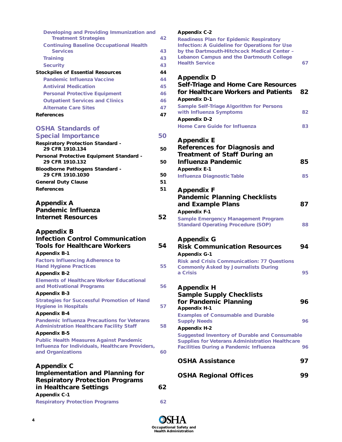| Developing and Providing Immunization and<br><b>Treatment Strategies</b>                                                  | 42       |
|---------------------------------------------------------------------------------------------------------------------------|----------|
| <b>Continuing Baseline Occupational Health</b>                                                                            |          |
| <b>Services</b>                                                                                                           | 43       |
| <b>Training</b>                                                                                                           | 43       |
| <b>Security</b>                                                                                                           | 43<br>44 |
| <b>Stockpiles of Essential Resources</b><br><b>Pandemic Influenza Vaccine</b>                                             | 44       |
| <b>Antiviral Medication</b>                                                                                               | 45       |
| <b>Personal Protective Equipment</b>                                                                                      | 46       |
| <b>Outpatient Services and Clinics</b>                                                                                    | 46       |
| <b>Alternate Care Sites</b>                                                                                               | 47       |
| <b>References</b>                                                                                                         | 47       |
|                                                                                                                           |          |
| <b>OSHA Standards of</b>                                                                                                  |          |
| <b>Special Importance</b>                                                                                                 | 50       |
| <b>Respiratory Protection Standard -</b><br>29 CFR 1910.134                                                               | 50       |
| Personal Protective Equipment Standard -                                                                                  |          |
| 29 CFR 1910.132                                                                                                           | 50       |
| <b>Bloodborne Pathogens Standard -</b>                                                                                    |          |
| 29 CFR 1910.1030                                                                                                          | 50       |
| <b>General Duty Clause</b>                                                                                                | 51       |
| <b>References</b>                                                                                                         | 51       |
| <b>Appendix A</b><br><b>Pandemic Influenza</b><br><b>Internet Resources</b>                                               | 52       |
| <b>Appendix B</b><br><b>Infection Control Communication</b><br><b>Tools for Healthcare Workers</b><br><b>Appendix B-1</b> | 54       |
| <b>Factors Influencing Adherence to</b><br><b>Hand Hygiene Practices</b>                                                  | 55       |
| <b>Appendix B-2</b>                                                                                                       |          |
| <b>Elements of Healthcare Worker Educational</b><br>and Motivational Programs                                             | 56       |
| <b>Appendix B-3</b>                                                                                                       |          |
| <b>Strategies for Successful Promotion of Hand</b><br><b>Hygiene in Hospitals</b>                                         | 57       |
| <b>Appendix B-4</b>                                                                                                       |          |
| <b>Pandemic Influenza Precautions for Veterans</b><br><b>Administration Healthcare Facility Staff</b>                     |          |
|                                                                                                                           | 58       |
| <b>Appendix B-5</b>                                                                                                       |          |
| <b>Public Health Measures Against Pandemic</b><br>Influenza for Individuals, Healthcare Providers,                        |          |
| and Organizations                                                                                                         | 60       |

| <b>Implementation and Planning for</b><br><b>Respiratory Protection Programs</b> |    |
|----------------------------------------------------------------------------------|----|
| in Healthcare Settings                                                           | 62 |
| <b>Appendix C-1</b>                                                              |    |
| <b>Respiratory Protection Programs</b>                                           | 62 |

#### **Appendix C-2**

**Readiness Plan for Epidemic Respiratory Infection: A Guideline for Operations for Use by the Dartmouth-Hitchcock Medical Center – Lebanon Campus and the Dartmouth College Health Service 67** 

# **Appendix D**

| <b>Self-Triage and Home Care Resources</b><br>for Healthcare Workers and Patients<br><b>Appendix D-1</b>                                                                                                                                                   | 82       |
|------------------------------------------------------------------------------------------------------------------------------------------------------------------------------------------------------------------------------------------------------------|----------|
| <b>Sample Self-Triage Algorithm for Persons</b><br>with Influenza Symptoms                                                                                                                                                                                 | 82       |
| <b>Appendix D-2</b><br><b>Home Care Guide for Influenza</b>                                                                                                                                                                                                | 83       |
| <b>Appendix E</b><br><b>References for Diagnosis and</b><br><b>Treatment of Staff During an</b><br><b>Influenza Pandemic</b><br><b>Appendix E-1</b><br><b>Influenza Diagnostic Table</b>                                                                   | 85<br>85 |
| <b>Appendix F</b><br><b>Pandemic Planning Checklists</b><br>and Example Plans<br><b>Appendix F-1</b><br><b>Sample Emergency Management Program</b><br><b>Standard Operating Procedure (SOP)</b>                                                            | 87<br>88 |
| <b>Appendix G</b><br><b>Risk Communication Resources</b><br><b>Appendix G-1</b><br><b>Risk and Crisis Communication: 77 Questions</b><br><b>Commonly Asked by Journalists During</b><br>a Crisis                                                           | 94<br>95 |
| <b>Appendix H</b><br><b>Sample Supply Checklists</b><br>for Pandemic Planning<br><b>Appendix H-1</b>                                                                                                                                                       | 96       |
| <b>Examples of Consumable and Durable</b><br><b>Supply Needs</b><br><b>Appendix H-2</b><br><b>Suggested Inventory of Durable and Consumable</b><br><b>Supplies for Veterans Administration Healthcare</b><br><b>Facilities During a Pandemic Influenza</b> | 96<br>96 |
| <b>OSHA Assistance</b>                                                                                                                                                                                                                                     | 97       |
| <b>OSHA Regional Offices</b>                                                                                                                                                                                                                               | 99       |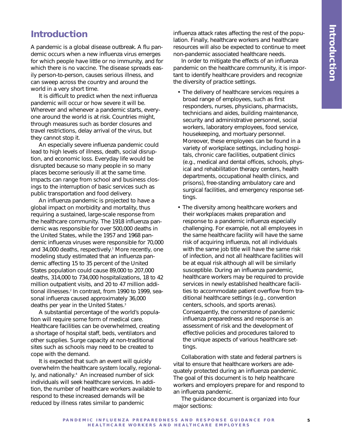# **Introduction**

A pandemic is a global disease outbreak. A flu pandemic occurs when a new influenza virus emerges for which people have little or no immunity, and for which there is no vaccine. The disease spreads easily person-to-person, causes serious illness, and can sweep across the country and around the world in a very short time.

It is difficult to predict when the next influenza pandemic will occur or how severe it will be. Wherever and whenever a pandemic starts, everyone around the world is at risk. Countries might, through measures such as border closures and travel restrictions, delay arrival of the virus, but they cannot stop it.

An especially severe influenza pandemic could lead to high levels of illness, death, social disruption, and economic loss. Everyday life would be disrupted because so many people in so many places become seriously ill at the same time. Impacts can range from school and business closings to the interruption of basic services such as public transportation and food delivery.

An influenza pandemic is projected to have a global impact on morbidity and mortality, thus requiring a sustained, large-scale response from the healthcare community. The 1918 influenza pandemic was responsible for over 500,000 deaths in the United States, while the 1957 and 1968 pandemic influenza viruses were responsible for 70,000 and 34,000 deaths, respectively.<sup>1</sup> More recently, one modeling study estimated that an influenza pandemic affecting 15 to 35 percent of the United States population could cause 89,000 to 207,000 deaths, 314,000 to 734,000 hospitalizations, 18 to 42 million outpatient visits, and 20 to 47 million additional illnesses.<sup>2</sup> In contrast, from 1990 to 1999, seasonal influenza caused approximately 36,000 deaths per year in the United States.<sup>3</sup>

A substantial percentage of the world's population will require some form of medical care. Healthcare facilities can be overwhelmed, creating a shortage of hospital staff, beds, ventilators and other supplies. Surge capacity at non-traditional sites such as schools may need to be created to cope with the demand.

It is expected that such an event will quickly overwhelm the healthcare system locally, regionally, and nationally.<sup>4</sup> An increased number of sick individuals will seek healthcare services. In addition, the number of healthcare workers available to respond to these increased demands will be reduced by illness rates similar to pandemic

influenza attack rates affecting the rest of the population. Finally, healthcare workers and healthcare resources will also be expected to continue to meet non-pandemic associated healthcare needs.

In order to mitigate the effects of an influenza pandemic on the healthcare community, it is important to identify healthcare providers and recognize the diversity of practice settings.

- The delivery of healthcare services requires a broad range of employees, such as first responders, nurses, physicians, pharmacists, technicians and aides, building maintenance, security and administrative personnel, social workers, laboratory employees, food service, housekeeping, and mortuary personnel. Moreover, these employees can be found in a variety of workplace settings, including hospitals, chronic care facilities, outpatient clinics (e.g., medical and dental offices, schools, physical and rehabilitation therapy centers, health departments, occupational health clinics, and prisons), free-standing ambulatory care and surgical facilities, and emergency response settings.
- The diversity among healthcare workers and their workplaces makes preparation and response to a pandemic influenza especially challenging. For example, not all employees in the same healthcare facility will have the same risk of acquiring influenza, not all individuals with the same job title will have the same risk of infection, and not all healthcare facilities will be at equal risk although all will be similarly susceptible. During an influenza pandemic, healthcare workers may be required to provide services in newly established healthcare facilities to accommodate patient overflow from traditional healthcare settings (e.g., convention centers, schools, and sports arenas). Consequently, the cornerstone of pandemic influenza preparedness and response is an assessment of risk and the development of effective policies and procedures tailored to the unique aspects of various healthcare settings.

Collaboration with state and federal partners is vital to ensure that healthcare workers are adequately protected during an influenza pandemic. The goal of this document is to help healthcare workers and employers prepare for and respond to an influenza pandemic.

The guidance document is organized into four major sections: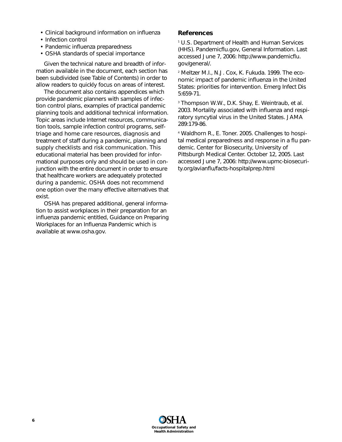- Clinical background information on influenza
- Infection control
- Pandemic influenza preparedness
- OSHA standards of special importance

Given the technical nature and breadth of information available in the document, each section has been subdivided (see Table of Contents) in order to allow readers to quickly focus on areas of interest.

The document also contains appendices which provide pandemic planners with samples of infection control plans, examples of practical pandemic planning tools and additional technical information. Topic areas include Internet resources, communication tools, sample infection control programs, selftriage and home care resources, diagnosis and treatment of staff during a pandemic, planning and supply checklists and risk communication. This educational material has been provided for informational purposes only and should be used in conjunction with the entire document in order to ensure that healthcare workers are adequately protected during a pandemic. OSHA does not recommend one option over the many effective alternatives that exist.

OSHA has prepared additional, general information to assist workplaces in their preparation for an influenza pandemic entitled, *Guidance on Preparing Workplaces for an Influenza Pandemic* which is available at www.osha.gov.

#### **References**

1 U.S. Department of Health and Human Services (HHS). Pandemicflu.gov, General Information. Last accessed June 7, 2006: http://www.pandemicflu. gov/general/.

2 Meltzer M.I., N.J. Cox, K. Fukuda. 1999. The economic impact of pandemic influenza in the United States: priorities for intervention. Emerg Infect Dis 5:659-71.

<sup>3</sup> Thompson W.W., D.K. Shay, E. Weintraub, et al. 2003. Mortality associated with influenza and respiratory syncytial virus in the United States. JAMA 289:179-86.

4 Waldhorn R., E. Toner. 2005. Challenges to hospital medical preparedness and response in a flu pandemic. Center for Biosecurity, University of Pittsburgh Medical Center. October 12, 2005. Last accessed June 7, 2006: http://www.upmc-biosecurity.org/avianflu/facts-hospitalprep.html

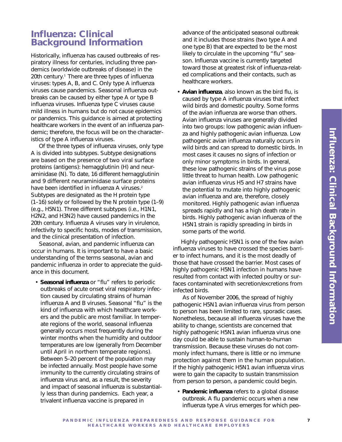# **Influenza: Clinical Background Information**

Historically, influenza has caused outbreaks of respiratory illness for centuries, including three pandemics (worldwide outbreaks of disease) in the 20th century.<sup>1</sup> There are three types of influenza viruses: types A, B, and C. Only type A influenza viruses cause pandemics. Seasonal influenza outbreaks can be caused by either type A or type B influenza viruses. Influenza type C viruses cause mild illness in humans but do not cause epidemics or pandemics. This guidance is aimed at protecting healthcare workers in the event of an influenza pandemic; therefore, the focus will be on the characteristics of type A influenza viruses.

Of the three types of influenza viruses, only type A is divided into subtypes. Subtype designations are based on the presence of two viral surface proteins (antigens): hemagglutinin (H) and neuraminidase (N). To date, 16 different hemagglutinin and 9 different neuraminidase surface proteins have been identified in influenza A viruses.<sup>2</sup> Subtypes are designated as the H protein type (1–16) solely or followed by the N protein type (1–9) (e.g., H5N1). Three different subtypes (i.e., H1N1, H2N2, and H3N2) have caused pandemics in the 20th century. Influenza A viruses vary in virulence, infectivity to specific hosts, modes of transmission, and the clinical presentation of infection.

Seasonal, avian, and pandemic influenza can occur in humans. It is important to have a basic understanding of the terms seasonal, avian and pandemic influenza in order to appreciate the guidance in this document.

• **Seasonal influenza** or "flu" refers to periodic outbreaks of acute onset viral respiratory infection caused by circulating strains of human influenza A and B viruses. Seasonal "flu" is the kind of influenza with which healthcare workers and the public are most familiar. In temperate regions of the world, seasonal influenza generally occurs most frequently during the winter months when the humidity and outdoor temperatures are low (generally from December until April in northern temperate regions). Between 5–20 percent of the population may be infected annually. Most people have some immunity to the currently circulating strains of influenza virus and, as a result, the severity and impact of seasonal influenza is substantially less than during pandemics. Each year, a trivalent influenza vaccine is prepared in

advance of the anticipated seasonal outbreak and it includes those strains (two type A and one type B) that are expected to be the most likely to circulate in the upcoming "flu" season. Influenza vaccine is currently targeted toward those at greatest risk of influenza-related complications and their contacts, such as healthcare workers.

• **Avian influenza**, also known as the bird flu, is caused by type A influenza viruses that infect wild birds and domestic poultry. Some forms of the avian influenza are worse than others. Avian influenza viruses are generally divided into two groups: low pathogenic avian influenza and highly pathogenic avian influenza. Low pathogenic avian influenza naturally occurs in wild birds and can spread to domestic birds. In most cases it causes no signs of infection or only minor symptoms in birds. In general, these low pathogenic strains of the virus pose little threat to human health. Low pathogenic avian influenza virus H5 and H7 strains have the potential to mutate into highly pathogenic avian influenza and are, therefore, closely monitored. Highly pathogenic avian influenza spreads rapidly and has a high death rate in birds. Highly pathogenic avian influenza of the H5N1 strain is rapidly spreading in birds in some parts of the world.

Highly pathogenic H5N1 is one of the few avian influenza viruses to have crossed the species barrier to infect humans, and it is the most deadly of those that have crossed the barrier. Most cases of highly pathogenic H5N1 infection in humans have resulted from contact with infected poultry or surfaces contaminated with secretion/excretions from infected birds.

As of November 2006, the spread of highly pathogenic H5N1 avian influenza virus from person to person has been limited to rare, sporadic cases. Nonetheless, because all influenza viruses have the ability to change, scientists are concerned that highly pathogenic H5N1 avian influenza virus one day could be able to sustain human-to-human transmission. Because these viruses do not commonly infect humans, there is little or no immune protection against them in the human population. If the highly pathogenic H5N1 avian influenza virus were to gain the capacity to sustain transmission from person to person, a pandemic could begin.

• **Pandemic influenza** refers to a global disease outbreak. A flu pandemic occurs when a new influenza type A virus emerges for which peo-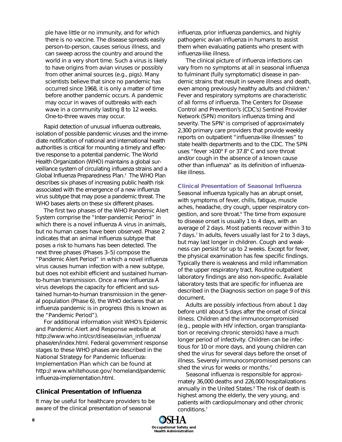ple have little or no immunity, and for which there is no vaccine. The disease spreads easily person-to-person, causes serious illness, and can sweep across the country and around the world in a very short time. Such a virus is likely to have origins from avian viruses or possibly from other animal sources (e.g., pigs). Many scientists believe that since no pandemic has occurred since 1968, it is only a matter of time before another pandemic occurs. A pandemic may occur in waves of outbreaks with each wave in a community lasting 8 to 12 weeks. One-to-three waves may occur.

Rapid detection of unusual influenza outbreaks, isolation of possible pandemic viruses and the immediate notification of national and international health authorities is critical for mounting a timely and effective response to a potential pandemic. The World Health Organization (WHO) maintains a global surveillance system of circulating influenza strains and a *Global Influenza Preparedness Plan.*<sup>3</sup> The WHO Plan describes six phases of increasing public health risk associated with the emergence of a new influenza virus subtype that may pose a pandemic threat. The WHO bases alerts on these six different phases.

The first two phases of the WHO Pandemic Alert System comprise the "Inter-pandemic Period" in which there is a novel influenza A virus in animals, but no human cases have been observed. Phase 2 indicates that an animal influenza subtype that poses a risk to humans has been detected. The next three phases (Phases 3–5) compose the "Pandemic Alert Period" in which a novel influenza virus causes human infection with a new subtype, but does not exhibit efficient and sustained humanto-human transmission. Once a new influenza A virus develops the capacity for efficient and sustained human-to-human transmission in the general population (Phase 6), the WHO declares that an influenza pandemic is in progress (this is known as the "Pandemic Period").

For additional information visit WHO's Epidemic and Pandemic Alert and Response website at http://www.who.int/csr/disease/avian\_influenza/ phase/en/index.html. Federal government response stages to these WHO phases are described in the National Strategy for Pandemic Influenza: Implementation Plan which can be found at http:// www.whitehouse.gov/ homeland/pandemic influenza-implementation.html.

### **Clinical Presentation of Influenza**

It may be useful for healthcare providers to be aware of the clinical presentation of seasonal

influenza, prior influenza pandemics, and highly pathogenic avian influenza in humans to assist them when evaluating patients who present with influenza-like illness.

The clinical picture of influenza infections can vary from no symptoms at all in seasonal influenza to fulminant (fully symptomatic) disease in pandemic strains that result in severe illness and death, even among previously healthy adults and children.<sup>4</sup> Fever and respiratory symptoms are characteristic of all forms of influenza. The Centers for Disease Control and Prevention's (CDC's) Sentinel Provider Network (SPN) monitors influenza timing and severity. The SPN<sup>5</sup> is comprised of approximately 2,300 primary care providers that provide weekly reports on outpatient "influenza-like illnesses" to state health departments and to the CDC. The SPN uses "fever >100° F or 37.8° C and sore throat and/or cough in the absence of a known cause other than influenza" as its definition of influenzalike illness.

#### **Clinical Presentation of Seasonal Influenza**

Seasonal influenza typically has an abrupt onset, with symptoms of fever, chills, fatigue, muscle aches, headache, dry cough, upper respiratory congestion, and sore throat.<sup>6</sup> The time from exposure to disease onset is usually 1 to 4 days, with an average of 2 days. Most patients recover within 3 to 7 days.<sup>7</sup> In adults, fevers usually last for 2 to 3 days, but may last longer in children. Cough and weakness can persist for up to 2 weeks. Except for fever, the physical examination has few specific findings. Typically there is weakness and mild inflammation of the upper respiratory tract. Routine outpatient laboratory findings are also non-specific. Available laboratory tests that are specific for influenza are described in the Diagnosis section on page 9 of this document.

Adults are possibly infectious from about 1 day before until about 5 days after the onset of clinical illness. Children and the immunocompromised (e.g., people with HIV infection, organ transplantation or receiving chronic steroids) have a much longer period of infectivity. Children can be infectious for 10 or more days, and young children can shed the virus for several days before the onset of illness. Severely immunocompromised persons can shed the virus for weeks or months.<sup>7</sup>

Seasonal influenza is responsible for approximately 36,000 deaths and 226,000 hospitalizations annually in the United States.<sup>8</sup> The risk of death is highest among the elderly, the very young, and patients with cardiopulmonary and other chronic conditions.7

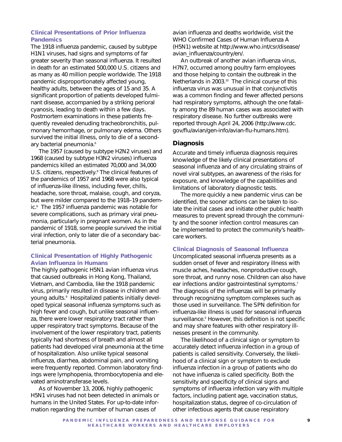## **Clinical Presentations of Prior Influenza Pandemics**

The 1918 influenza pandemic, caused by subtype H1N1 viruses, had signs and symptoms of far greater severity than seasonal influenza. It resulted in death for an estimated 500,000 U.S. citizens and as many as 40 million people worldwide. The 1918 pandemic disproportionately affected young, healthy adults, between the ages of 15 and 35. A significant proportion of patients developed fulminant disease, accompanied by a striking perioral cyanosis, leading to death within a few days. Postmortem examinations in these patients frequently revealed denuding tracheobronchitis, pulmonary hemorrhage, or pulmonary edema. Others survived the initial illness, only to die of a secondary bacterial pneumonia.<sup>6</sup>

The 1957 (caused by subtype H2N2 viruses) and 1968 (caused by subtype H3N2 viruses) influenza pandemics killed an estimated 70,000 and 34,000 U.S. citizens, respectively.<sup>8</sup> The clinical features of the pandemics of 1957 and 1968 were also typical of influenza-like illness, including fever, chills, headache, sore throat, malaise, cough, and coryza, but were milder compared to the 1918–19 pandemic.6 The 1957 influenza pandemic was notable for severe complications, such as primary viral pneumonia, particularly in pregnant women. As in the pandemic of 1918, some people survived the initial viral infection, only to later die of a secondary bacterial pneumonia.

### **Clinical Presentation of Highly Pathogenic Avian Influenza in Humans**

The highly pathogenic H5N1 avian influenza virus that caused outbreaks in Hong Kong, Thailand, Vietnam, and Cambodia, like the 1918 pandemic virus, primarily resulted in disease in children and young adults.<sup>9</sup> Hospitalized patients initially developed typical seasonal influenza symptoms such as high fever and cough, but unlike seasonal influenza, there were lower respiratory tract rather than upper respiratory tract symptoms. Because of the involvement of the lower respiratory tract, patients typically had shortness of breath and almost all patients had developed viral pneumonia at the time of hospitalization. Also unlike typical seasonal influenza, diarrhea, abdominal pain, and vomiting were frequently reported. Common laboratory findings were lymphopenia, thrombocytopenia and elevated aminotransferase levels.

As of November 13, 2006, highly pathogenic H5N1 viruses had not been detected in animals or humans in the United States. For up-to-date information regarding the number of human cases of

avian influenza and deaths worldwide, visit the WHO Confirmed Cases of Human Influenza A (H5N1) website at http://www.who.int/csr/disease/ avian\_influenza/country/en/.

An outbreak of another avian influenza virus, H7N7, occurred among poultry farm employees and those helping to contain the outbreak in the Netherlands in 2003.<sup>10</sup> The clinical course of this influenza virus was unusual in that conjunctivitis was a common finding and fewer affected persons had respiratory symptoms, although the one fatality among the 89 human cases was associated with respiratory disease. No further outbreaks were reported through April 24, 2006 (http://www.cdc. gov/flu/avian/gen-info/avian-flu-humans.htm).

# **Diagnosis**

Accurate and timely influenza diagnosis requires knowledge of the likely clinical presentations of seasonal influenza and of any circulating strains of novel viral subtypes, an awareness of the risks for exposure, and knowledge of the capabilities and limitations of laboratory diagnostic tests.

The more quickly a new pandemic virus can be identified, the sooner actions can be taken to isolate the initial cases and initiate other public health measures to prevent spread through the community *and* the sooner infection control measures can be implemented to protect the community's healthcare workers.

### **Clinical Diagnosis of Seasonal Influenza**

Uncomplicated seasonal influenza presents as a sudden onset of fever and respiratory illness with muscle aches, headaches, nonproductive cough, sore throat, and runny nose. Children can also have ear infections and/or gastrointestinal symptoms.<sup>7</sup> The diagnosis of the influenzas will be primarily through recognizing symptom complexes such as those used in surveillance. The SPN definition for influenza-like illness is used for seasonal influenza surveillance.<sup>5</sup> However, this definition is not specific and may share features with other respiratory illnesses present in the community.

The likelihood of a clinical sign or symptom to accurately detect influenza infection in a group of patients is called sensitivity. Conversely, the likelihood of a clinical sign or symptom to exclude influenza infection in a group of patients who do not have influenza is called specificity. Both the sensitivity and specificity of clinical signs and symptoms of influenza infection vary with multiple factors, including patient age, vaccination status, hospitalization status, degree of co-circulation of other infectious agents that cause respiratory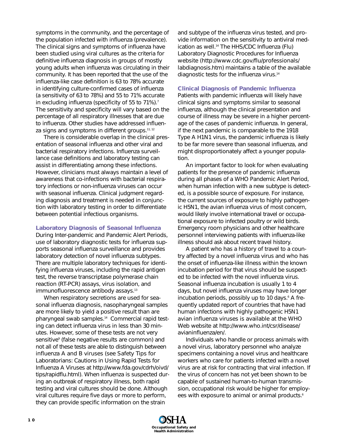symptoms in the community, and the percentage of the population infected with influenza (prevalence). The clinical signs and symptoms of influenza have been studied using viral cultures as the criteria for definitive influenza diagnosis in groups of mostly young adults when influenza was circulating in their community. It has been reported that the use of the influenza-like case definition is 63 to 78% accurate in identifying culture-confirmed cases of influenza (a sensitivity of 63 to 78%) and 55 to 71% accurate in excluding influenza (specificity of 55 to 71%).<sup>7</sup> The sensitivity and specificity will vary based on the percentage of all respiratory illnesses that are due to influenza. Other studies have addressed influenza signs and symptoms in different groups.<sup>11, 12</sup>

There is considerable overlap in the clinical presentation of seasonal influenza and other viral and bacterial respiratory infections. Influenza surveillance case definitions and laboratory testing can assist in differentiating among these infections. However, clinicians must always maintain a level of awareness that co-infections with bacterial respiratory infections or non-influenza viruses can occur with seasonal influenza. Clinical judgment regarding diagnosis and treatment is needed in conjunction with laboratory testing in order to differentiate between potential infectious organisms.

#### **Laboratory Diagnosis of Seasonal Influenza**

During Inter-pandemic and Pandemic Alert Periods, use of laboratory diagnostic tests for influenza supports seasonal influenza surveillance and provides laboratory detection of novel influenza subtypes. There are multiple laboratory techniques for identifying influenza viruses, including the rapid antigen test, the reverse transcriptase polymerase chain reaction (RT-PCR) assays, virus isolation, and immunofluorescence antibody assays.<sup>13</sup>

When respiratory secretions are used for seasonal influenza diagnosis, nasopharyngeal samples are more likely to yield a positive result than are pharyngeal swab samples.14 Commercial rapid testing can detect influenza virus in less than 30 minutes. However, some of these tests are not very sensitive<sup>9</sup> (false negative results are common) and not all of these tests are able to distinguish between influenza A and B viruses (see Safety Tips for Laboratorians: Cautions in Using Rapid Tests for Influenza A Viruses at http://www.fda.gov/cdrh/oivd/ tips/rapidflu.html). When influenza is suspected during an outbreak of respiratory illness, both rapid testing and viral cultures should be done. Although viral cultures require five days or more to perform, they can provide specific information on the strain

and subtype of the influenza virus tested, and provide information on the sensitivity to antiviral medication as well.<sup>14</sup> The HHS/CDC Influenza (Flu) Laboratory Diagnostic Procedures for Influenza website (http://www.cdc.gov/flu/professionals/ labdiagnosis.htm) maintains a table of the available diagnostic tests for the influenza virus.14

#### **Clinical Diagnosis of Pandemic Influenza**

Patients with pandemic influenza will likely have clinical signs and symptoms similar to seasonal influenza, although the clinical presentation and course of illness may be severe in a higher percentage of the cases of pandemic influenza. In general, if the next pandemic is comparable to the 1918 Type A H1N1 virus, the pandemic influenza is likely to be far more severe than seasonal influenza, and might disproportionately affect a younger population.

An important factor to look for when evaluating patients for the presence of pandemic influenza during all phases of a WHO Pandemic Alert Period, when human infection with a new subtype is detected, is a possible source of exposure. For instance, the current sources of exposure to highly pathogenic H5N1, the avian influenza virus of most concern, would likely involve international travel or occupational exposure to infected poultry or wild birds. Emergency room physicians and other healthcare personnel interviewing patients with influenza-like illness should ask about recent travel history.

A patient who has a history of travel to a country affected by a novel influenza virus and who has the onset of influenza-like illness within the known incubation period for that virus should be suspected to be infected with the novel influenza virus. Seasonal influenza incubation is usually 1 to 4 days, but novel influenza viruses may have longer incubation periods, possibly up to 10 days.<sup>6</sup> A frequently updated report of countries that have had human infections with highly pathogenic H5N1 avian influenza viruses is available at the WHO Web website at http://www.who.int/csr/disease/ avianinfluenza/en/.

Individuals who handle or process animals with a novel virus, laboratory personnel who analyze specimens containing a novel virus and healthcare workers who care for patients infected with a novel virus are at risk for contracting that viral infection. If the virus of concern has not yet been shown to be capable of sustained human-to-human transmission, occupational risk would be higher for employees with exposure to animal or animal products.<sup>6</sup>

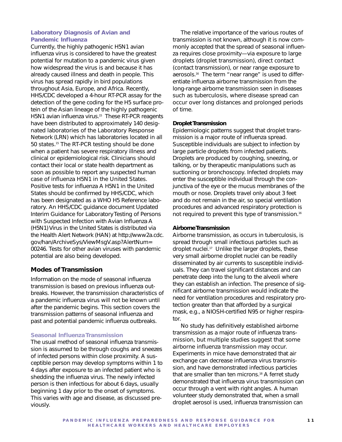#### **Laboratory Diagnosis of Avian and Pandemic Influenza**

Currently, the highly pathogenic H5N1 avian influenza virus is considered to have the greatest potential for mutation to a pandemic virus given how widespread the virus is and because it has already caused illness and death in people. This virus has spread rapidly in bird populations throughout Asia, Europe, and Africa. Recently, HHS/CDC developed a 4-hour RT-PCR assay for the detection of the gene coding for the H5 surface protein of the Asian lineage of the highly pathogenic H5N1 avian influenza virus.<sup>15</sup> These RT-PCR reagents have been distributed to approximately 140 designated laboratories of the Laboratory Response Network (LRN) which has laboratories located in all 50 states.<sup>15</sup> The RT-PCR testing should be done when a patient has severe respiratory illness and clinical or epidemiological risk. Clinicians should contact their local or state health department as soon as possible to report any suspected human case of influenza H5N1 in the United States. Positive tests for influenza A H5N1 in the United States should be confirmed by HHS/CDC, which has been designated as a WHO H5 Reference laboratory. An HHS/CDC guidance document *Updated Interim Guidance for Laboratory Testing of Persons with Suspected Infection with Avian Influenza A (H5N1) Virus in the United States* is distributed via the Health Alert Network (HAN) at http://www2a.cdc. gov/han/ArchiveSys/ViewMsgV.asp?AlertNum= 00246. Tests for other avian viruses with pandemic potential are also being developed.

# **Modes of Transmission**

Information on the mode of seasonal influenza transmission is based on previous influenza outbreaks. However, the transmission characteristics of a pandemic influenza virus will not be known until after the pandemic begins. This section covers the transmission patterns of seasonal influenza and past and potential pandemic influenza outbreaks.

#### **Seasonal Influenza Transmission**

The usual method of seasonal influenza transmission is assumed to be through coughs and sneezes of infected persons within close proximity. A susceptible person may develop symptoms within 1 to 4 days after exposure to an infected patient who is shedding the influenza virus. The newly infected person is then infectious for about 6 days, usually beginning 1 day prior to the onset of symptoms. This varies with age and disease, as discussed previously.

The relative importance of the various routes of transmission is not known, although it is now commonly accepted that the spread of seasonal influenza requires close proximity—via exposure to large droplets (droplet transmission), direct contact (contact transmission), or near range exposure to aerosols.<sup>16</sup> The term "near range" is used to differentiate influenza airborne transmission from the long-range airborne transmission seen in diseases such as tuberculosis, where disease spread can occur over long distances and prolonged periods of time.

#### *Droplet Transmission*

Epidemiologic patterns suggest that droplet transmission is a major route of influenza spread. Susceptible individuals are subject to infection by large particle droplets from infected patients. Droplets are produced by coughing, sneezing, or talking, or by therapeutic manipulations such as suctioning or bronchoscopy. Infected droplets may enter the susceptible individual through the conjunctiva of the eye or the mucus membranes of the mouth or nose. Droplets travel only about 3 feet and do not remain in the air, so special ventilation procedures and advanced respiratory protection is not required to prevent this type of transmission.<sup>16</sup>

#### *Airborne Transmission*

Airborne transmission, as occurs in tuberculosis, is spread through small infectious particles such as droplet nuclei.<sup>17</sup> Unlike the larger droplets, these very small airborne droplet nuclei can be readily disseminated by air currents to susceptible individuals. They can travel significant distances and can penetrate deep into the lung to the alveoli where they can establish an infection. The presence of significant airborne transmission would indicate the need for ventilation procedures and respiratory protection greater than that afforded by a surgical mask, e.g., a NIOSH-certified N95 or higher respirator.

No study has definitively established airborne transmission as a major route of influenza transmission, but multiple studies suggest that some airborne influenza transmission may occur. Experiments in mice have demonstrated that air exchange can decrease influenza virus transmission, and have demonstrated infectious particles that are smaller than ten microns.<sup>18</sup> A ferret study demonstrated that influenza virus transmission can occur through a vent with right angles. A human volunteer study demonstrated that, when a small droplet aerosol is used, influenza transmission can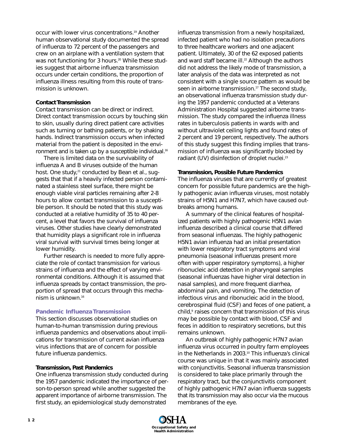occur with lower virus concentrations.19 Another human observational study documented the spread of influenza to 72 percent of the passengers and crew on an airplane with a ventilation system that was not functioning for 3 hours.<sup>20</sup> While these studies suggest that airborne influenza transmission occurs under certain conditions, the proportion of influenza illness resulting from this route of transmission is unknown.

### *Contact Transmission*

Contact transmission can be direct or indirect. Direct contact transmission occurs by touching skin to skin, usually during direct patient care activities such as turning or bathing patients, or by shaking hands. Indirect transmission occurs when infected material from the patient is deposited in the environment and is taken up by a susceptible individual.<sup>16</sup>

There is limited data on the survivability of influenza A and B viruses outside of the human host. One study,<sup>21</sup> conducted by Bean et al., suggests that that if a heavily infected person contaminated a stainless steel surface, there might be enough viable viral particles remaining after 2-8 hours to allow contact transmission to a susceptible person. It should be noted that this study was conducted at a relative humidity of 35 to 40 percent, a level that favors the survival of influenza viruses. Other studies have clearly demonstrated that humidity plays a significant role in influenza viral survival with survival times being longer at lower humidity.

Further research is needed to more fully appreciate the role of contact transmission for various strains of influenza and the effect of varying environmental conditions. Although it is assumed that influenza spreads by contact transmission, the proportion of spread that occurs through this mechanism is unknown.16

### **Pandemic Influenza Transmission**

This section discusses observational studies on human-to-human transmission during previous influenza pandemics and observations about implications for transmission of current avian influenza virus infections that are of concern for possible future influenza pandemics.

#### *Transmission, Past Pandemics*

One influenza transmission study conducted during the 1957 pandemic indicated the importance of person-to-person spread while another suggested the apparent importance of airborne transmission. The first study, an epidemiological study demonstrated

influenza transmission from a newly hospitalized, infected patient who had no isolation precautions to three healthcare workers and one adjacent patient. Ultimately, 30 of the 62 exposed patients and ward staff became ill.<sup>22</sup> Although the authors did not address the likely mode of transmission, a later analysis of the data was interpreted as not consistent with a single source pattern as would be seen in airborne transmission.<sup>17</sup> The second study, an observational influenza transmission study during the 1957 pandemic conducted at a Veterans Administration Hospital suggested airborne transmission. The study compared the influenza illness rates in tuberculosis patients in wards with and without ultraviolet ceiling lights and found rates of 2 percent and 19 percent, respectively. The authors of this study suggest this finding implies that transmission of influenza was significantly blocked by radiant (UV) disinfection of droplet nuclei.<sup>23</sup>

#### *Transmission, Possible Future Pandemics*

The influenza viruses that are currently of greatest concern for possible future pandemics are the highly pathogenic avian influenza viruses, most notably strains of H5N1 and H7N7, which have caused outbreaks among humans.

A summary of the clinical features of hospitalized patients with highly pathogenic H5N1 avian influenza described a clinical course that differed from seasonal influenzas. The highly pathogenic H5N1 avian influenza had an initial presentation with *lower* respiratory tract symptoms and viral pneumonia (seasonal influenzas present more often with upper respiratory symptoms), a higher ribonucleic acid detection in *pharyngeal* samples (seasonal influenzas have higher viral detection in *nasal* samples), and more frequent diarrhea, abdominal pain, and vomiting. The detection of infectious virus and ribonucleic acid in the blood, cerebrospinal fluid (CSF) and feces of one patient, a child, $9$  raises concern that transmission of this virus may be possible by contact with blood, CSF and feces in addition to respiratory secretions, but this remains unknown.

An outbreak of highly pathogenic H7N7 avian influenza virus occurred in poultry farm employees in the Netherlands in 2003.<sup>10</sup> This influenza's clinical course was unique in that it was mainly associated with conjunctivitis. Seasonal influenza transmission is considered to take place primarily through the respiratory tract, but the conjunctivitis component of highly pathogenic H7N7 avian influenza suggests that its transmission may also occur via the mucous membranes of the eye.

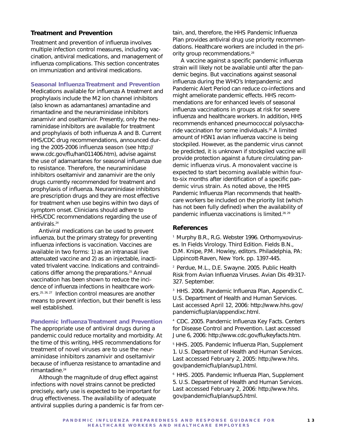### **Treatment and Prevention**

Treatment and prevention of influenza involves multiple infection control measures, including vaccination, antiviral medications, and management of influenza complications. This section concentrates on immunization and antiviral medications.

#### **Seasonal Influenza Treatment and Prevention**

Medications available for influenza A treatment and prophylaxis include the M2 ion channel inhibitors (also known as adamantanes) amantadine and rimantadine and the neuraminidase inhibitors zanamivir and oseltamivir. Presently, only the neuraminidase inhibitors are available for treatment and prophylaxis of *both* influenza A and B. Current HHS/CDC drug recommendations, announced during the 2005-2006 influenza season (see http:// www.cdc.gov/flu/han011406.htm), advise against the use of adamantanes for seasonal influenza due to resistance. Therefore, the neuraminidase inhibitors oseltamivir and zanamivir are the only drugs currently recommended for treatment and prophylaxis of influenza. Neuraminidase inhibitors are prescription drugs and they are most effective for treatment when use begins within two days of symptom onset. Clinicians should adhere to HHS/CDC recommendations regarding the use of antivirals.<sup>24</sup>

Antiviral medications can be used to prevent influenza, but the primary strategy for preventing influenza infections is vaccination. Vaccines are available in two forms: 1) as an intranasal live attenuated vaccine and 2) as an injectable, inactivated trivalent vaccine. Indications and contraindications differ among the preparations.<sup>25</sup> Annual vaccination has been shown to reduce the incidence of influenza infections in healthcare workers.<sup>25, 26, 27</sup> Infection control measures are another means to prevent infection, but their benefit is less well established.

#### **Pandemic Influenza Treatment and Prevention**

The appropriate use of antiviral drugs during a pandemic could reduce mortality and morbidity. At the time of this writing, HHS recommendations for treatment of novel viruses are to use the neuraminidase inhibitors zanamivir and oseltamivir because of influenza resistance to amantadine and rimantadine.<sup>24</sup>

Although the magnitude of drug effect against infections with novel strains cannot be predicted precisely, early use is expected to be important for drug effectiveness. The availability of adequate antiviral supplies during a pandemic is far from certain, and, therefore, the HHS *Pandemic Influenza Plan* provides antiviral drug use priority recommendations. Healthcare workers are included in the priority group recommendations.<sup>28</sup>

A vaccine against a specific pandemic influenza strain will likely not be available until after the pandemic begins. But vaccinations against seasonal influenza during the WHO's Interpandemic and Pandemic Alert Period can reduce co-infections and might ameliorate pandemic effects. HHS recommendations are for enhanced levels of seasonal influenza vaccinations in groups at risk for severe influenza and healthcare workers. In addition, HHS recommends enhanced pneumococcal polysaccharide vaccination for some individuals.29 A limited amount of H5N1 avian influenza vaccine is being stockpiled. However, as the pandemic virus cannot be predicted, it is unknown if stockpiled vaccine will provide protection against a future circulating pandemic influenza virus. A monovalent vaccine is expected to start becoming available within fourto-six months after identification of a specific pandemic virus strain. As noted above, the HHS *Pandemic Influenza Plan* recommends that healthcare workers be included on the priority list (which has not been fully defined) when the availability of pandemic influenza vaccinations is limited.28, 29

#### **References**

<sup>1</sup> Murphy B.R., R.G. Webster 1996. Orthomyxoviruses. In Fields Virology. Third Edition. Fields B.N., D.M. Knipe, P.M. Howley, editors. Philadelphia, PA: Lippincott-Raven, New York. pp. 1397-445.

2 Perdue, M.L., D.E. Swayne. 2005. Public Health Risk from Avian Influenza Viruses. Avian Dis 49:317- 327. September.

<sup>3</sup> HHS. 2006. Pandemic Influenza Plan, Appendix C. U.S. Department of Health and Human Services. Last accessed April 12, 2006: http://www.hhs.gov/ pandemicflu/plan/appendixc.html.

4 CDC. 2005. Pandemic Influenza Key Facts. Centers for Disease Control and Prevention. Last accessed June 6, 2006: http://www.cdc.gov/flu/keyfacts.htm.

<sup>5</sup> HHS. 2005. Pandemic Influenza Plan, Supplement 1. U.S. Department of Health and Human Services. Last accessed February 2, 2005: http://www.hhs. gov/pandemicflu/plan/sup1.html.

6 HHS. 2005. Pandemic Influenza Plan, Supplement 5. U.S. Department of Health and Human Services. Last accessed February 2, 2006: http://www.hhs. gov/pandemicflu/plan/sup5.html.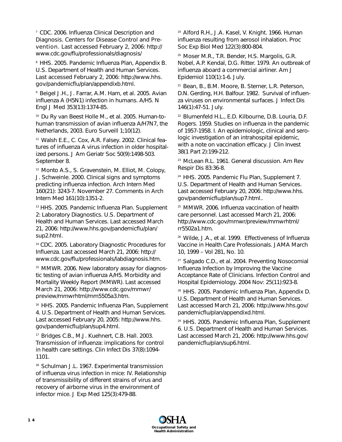<sup>7</sup> CDC, 2006. Influenza Clinical Description and Diagnosis. Centers for Disease Control and Prevention. Last accessed February 2, 2006: http:// www.cdc.gov/flu/professionals/diagnosis/

<sup>8</sup> HHS. 2005. Pandemic Influenza Plan, Appendix B. U.S. Department of Health and Human Services. Last accessed February 2, 2006: http://www.hhs. gov/pandemicflu/plan/appendixb.html.

9 Beigel J.H., J. Farrar, A.M. Ham, et al. 2005. Avian influenza A (H5N1) infection in humans. A/H5. N Engl J Med 353(13):1374-85.

10 Du Ry van Beest Holle M., et al. 2005. Human-tohuman transmission of avian influenza A/H7N7, the Netherlands, 2003. Euro Surveill 1;10(12).

11 Walsh E.E., C. Cox, A.R. Falsey. 2002. Clinical features of influenza A virus infection in older hospitalized persons. J Am Geriatr Soc 50(9):1498-503. September 8.

12 Monto A.S., S. Gravenstein, M. Elliot, M. Colopy, J. Schweinle. 2000. Clinical signs and symptoms predicting influenza infection. Arch Intern Med 160(21): 3243-7. November 27. Comments in Arch Intern Med 161(10):1351-2.

13 HHS. 2005. Pandemic Influenza Plan. Supplement 2: Laboratory Diagnostics. U.S. Department of Health and Human Services. Last accessed March 21, 2006: http://www.hhs.gov/pandemicflu/plan/ sup2.html.

14 CDC. 2005. Laboratory Diagnostic Procedures for Influenza. Last accessed March 21, 2006: http:// www.cdc.gov/flu/professionals/labdiagnosis.htm.

<sup>15</sup> MMWR. 2006. New laboratory assay for diagnostic testing of avian influenza A/H5. Morbidity and Mortality Weekly Report (MMWR). Last accessed March 21, 2006: http://www.cdc.gov/mmwr/ preview/mmwrhtml/mm5505a3.htm.

<sup>16</sup> HHS. 2005. Pandemic Influenza Plan, Supplement 4. U.S. Department of Health and Human Services. Last accessed February 20, 2005: http://www.hhs. gov/pandemicflu/plan/sup4.html.

17 Bridges C.B., M.J. Kuehnert, C.B. Hall. 2003. Transmission of influenza: implications for control in health care settings. Clin Infect Dis 37(8):1094- 1101.

18 Schulman J.L. 1967. Experimental transmission of influenza virus infection in mice: IV. Relationship of transmissibility of different strains of virus and recovery of airborne virus in the environment of infector mice. J Exp Med 125(3):479-88.

19 Alford R.H., J.A. Kasel, V. Knight. 1966. Human influenza resulting from aerosol inhalation. Proc Soc Exp Biol Med 122(3):800-804.

20 Moser M.R., T.R. Bender, H.S. Margolis, G.R. Nobel, A.P. Kendal, D.G. Ritter. 1979. An outbreak of influenza aboard a commercial airliner. Am J Epidemiol 110(1):1-6. July.

21 Bean, B., B.M. Moore, B. Sterner, L.R. Peterson, D.N. Gerding, H.H. Balfour. 1982. Survival of influenza viruses on environmental surfaces. J Infect Dis 146(1):47-51. July.

22 Blumenfeld H.L., E.D. Kilbourne, D.B. Louria, D.F. Rogers. 1959. Studies on influenza in the pandemic of 1957-1958. I. An epidemiologic, clinical and serologic investigation of an intrahospital epidemic, with a note on vaccination efficacy. J Clin Invest 38(1 Part 2):199-212.

23 McLean R.L. 1961. General discussion. Am Rev Respir Dis 83:36-8.

<sup>24</sup> HHS. 2005. Pandemic Flu Plan, Supplement 7. U.S. Department of Health and Human Services. Last accessed February 20, 2006: http://www.hhs. gov/pandemicflu/plan/sup7.html..

25 MMWR. 2006. Influenza vaccination of health care personnel. Last accessed March 21, 2006: http://www.cdc.gov/mmwr/preview/mmwrhtml/ rr5502a1.htm.

26 Wilde, J.A., et al. 1999. Effectiveness of Influenza Vaccine in Health Care Professionals. JAMA March 10, 1999 – Vol 281, No. 10.

27 Salgado C.D., et al. 2004. Preventing Nosocomial Influenza Infection by Improving the Vaccine Acceptance Rate of Clinicians. Infection Control and Hospital Epidemiology. 2004 Nov: 25(11):923-8.

28 HHS. 2005. Pandemic Influenza Plan, Appendix D. U.S. Department of Health and Human Services. Last accessed March 21, 2006: http://www.hhs.gov/ pandemicflu/plan/appendixd.html.

29 HHS. 2005. Pandemic Influenza Plan, Supplement 6. U.S. Department of Health and Human Services. Last accessed March 21, 2006: http://www.hhs.gov/ pandemicflu/plan/sup6.html.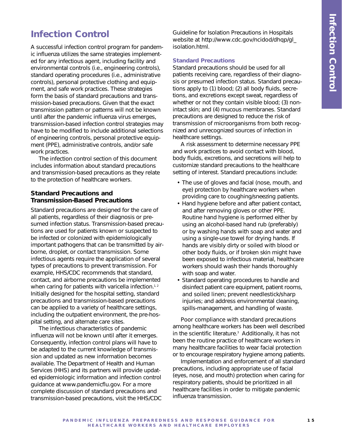# **Infection Control**

A successful infection control program for pandemic influenza utilizes the same strategies implemented for any infectious agent, including facility and environmental controls (i.e., engineering controls), standard operating procedures (i.e., administrative controls), personal protective clothing and equipment, and safe work practices. These strategies form the basis of standard precautions and transmission-based precautions. Given that the exact transmission pattern or patterns will not be known until after the pandemic influenza virus emerges, transmission-based infection control strategies may have to be modified to include additional selections of engineering controls, personal protective equipment (PPE), administrative controls, and/or safe work practices.

The infection control section of this document includes information about standard precautions and transmission-based precautions as they relate to the protection of healthcare workers.

# **Standard Precautions and Transmission-Based Precautions**

Standard precautions are designed for the care of all patients, regardless of their diagnosis or presumed infection status. Transmission-based precautions are used for patients known or suspected to be infected or colonized with epidemiologically important pathogens that can be transmitted by airborne, droplet, or contact transmission. Some infectious agents require the application of several types of precautions to prevent transmission. For example, HHS/CDC recommends that standard, contact, and airborne precautions be implemented when caring for patients with varicella infection.<sup>1,2</sup> Initially designed for the hospital setting, standard precautions and transmission-based precautions can be applied to a variety of healthcare settings, including the outpatient environment, the pre-hospital setting, and alternate care sites.

The infectious characteristics of pandemic influenza will not be known until after it emerges. Consequently, infection control plans will have to be adapted to the current knowledge of transmission and updated as new information becomes available. The Department of Health and Human Services (HHS) and its partners will provide updated epidemiologic information and infection control guidance at www.pandemicflu.gov. For a more complete discussion of standard precautions and transmission-based precautions, visit the HHS/CDC

Guideline for Isolation Precautions in Hospitals website at http://www.cdc.gov/ncidod/dhqp/gl\_ isolation.html.

#### **Standard Precautions**

Standard precautions should be used for all patients receiving care, regardless of their diagnosis or presumed infection status. Standard precautions apply to (1) blood; (2) all body fluids, secretions, and excretions except sweat, regardless of whether or not they contain visible blood; (3) nonintact skin; and (4) mucous membranes. Standard precautions are designed to reduce the risk of transmission of microorganisms from both recognized and unrecognized sources of infection in healthcare settings.

A risk assessment to determine necessary PPE and work practices to avoid contact with blood, body fluids, excretions, and secretions will help to customize standard precautions to the healthcare setting of interest. Standard precautions include:

- The use of gloves and facial (nose, mouth, and eye) protection by healthcare workers when providing care to coughing/sneezing patients.
- Hand hygiene before and after patient contact, and after removing gloves or other PPE. Routine hand hygiene is performed either by using an alcohol-based hand rub (preferably) or by washing hands with soap and water and using a single-use towel for drying hands. If hands are visibly dirty or soiled with blood or other body fluids, or if broken skin might have been exposed to infectious material, healthcare workers should wash their hands thoroughly with soap and water.
- Standard operating procedures to handle and disinfect patient care equipment, patient rooms, and soiled linen; prevent needlestick/sharp injuries; and address environmental cleaning, spills-management, and handling of waste.

Poor compliance with standard precautions among healthcare workers has been well described in the scientific literature.<sup>3</sup> Additionally, it has not been the routine practice of healthcare workers in many healthcare facilities to wear facial protection or to encourage respiratory hygiene among patients.

Implementation and enforcement of all standard precautions, including appropriate use of facial (eyes, nose, and mouth) protection when caring for respiratory patients, should be prioritized in all healthcare facilities in order to mitigate pandemic influenza transmission.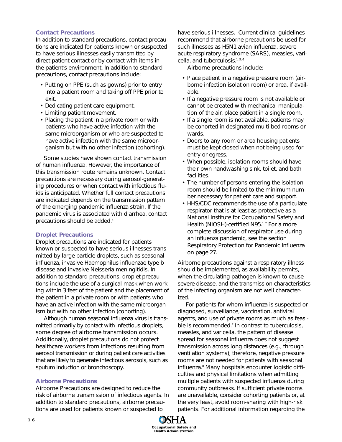#### **Contact Precautions**

In addition to standard precautions, contact precautions are indicated for patients known or suspected to have serious illnesses easily transmitted by direct patient contact or by contact with items in the patient's environment. In addition to standard precautions, contact precautions include:

- Putting on PPE (such as gowns) prior to entry into a patient room and taking off PPE prior to exit.
- Dedicating patient care equipment.
- Limiting patient movement.
- Placing the patient in a private room or with patients who have active infection with the same microorganism or who are suspected to have active infection with the same microorganism but with no other infection (cohorting).

Some studies have shown contact transmission of human influenza. However, the importance of this transmission route remains unknown. Contact precautions are necessary during aerosol-generating procedures or when contact with infectious fluids is anticipated. Whether full contact precautions are indicated depends on the transmission pattern of the emerging pandemic influenza strain. If the pandemic virus is associated with diarrhea, contact precautions should be added.4

#### **Droplet Precautions**

Droplet precautions are indicated for patients known or suspected to have serious illnesses transmitted by large particle droplets, such as seasonal influenza, invasive *Haemophilus influenzae* type b disease and invasive *Neisseria meningitidis*. In addition to standard precautions, droplet precautions include the use of a surgical mask when working within 3 feet of the patient and the placement of the patient in a private room or with patients who have an active infection with the same microorganism but with no other infection (cohorting).

Although human seasonal influenza virus is transmitted primarily by contact with infectious droplets, some degree of airborne transmission occurs. Additionally, droplet precautions do not protect healthcare workers from infections resulting from aerosol transmission or during patient care activities that are likely to generate infectious aerosols, such as sputum induction or bronchoscopy.

#### **Airborne Precautions**

Airborne Precautions are designed to reduce the risk of airborne transmission of infectious agents. In addition to standard precautions, airborne precautions are used for patients known or suspected to

have serious illnesses. Current clinical guidelines recommend that airborne precautions be used for such illnesses as H5N1 avian influenza, severe acute respiratory syndrome (SARS), measles, varicella, and tuberculosis.<sup>1, 5, 6</sup>

Airborne precautions include:

- Place patient in a negative pressure room (airborne infection isolation room) or area, if available.
- If a negative pressure room is not available or cannot be created with mechanical manipulation of the air, place patient in a single room.
- If a single room is not available, patients may be cohorted in designated multi-bed rooms or wards.
- Doors to any room or area housing patients must be kept closed when not being used for entry or egress.
- When possible, isolation rooms should have their own handwashing sink, toilet, and bath facilities.
- The number of persons entering the isolation room should be limited to the minimum number necessary for patient care and support.
- HHS/CDC recommends the use of a particulate respirator that is at least as protective as a National Institute for Occupational Safety and Health (NIOSH)-certified N95.<sup>1,2</sup> For a more complete discussion of respirator use during an influenza pandemic, see the section Respiratory Protection for Pandemic Influenza on page 27.

Airborne precautions against a respiratory illness should be implemented, as availability permits, when the circulating pathogen is known to cause severe disease, and the transmission characteristics of the infecting organism are not well characterized.

For patients for whom influenza is suspected or diagnosed, surveillance, vaccination, antiviral agents, and use of private rooms as much as feasible is recommended.<sup>7</sup> In contrast to tuberculosis, measles, and varicella, the pattern of disease spread for seasonal influenza does not suggest transmission across long distances (e.g., through ventilation systems); therefore, negative pressure rooms are not needed for patients with seasonal influenza.<sup>8</sup> Many hospitals encounter logistic difficulties and physical limitations when admitting multiple patients with suspected influenza during community outbreaks. If sufficient private rooms are unavailable, consider cohorting patients or, at the very least, avoid room-sharing with high-risk patients. For additional information regarding the

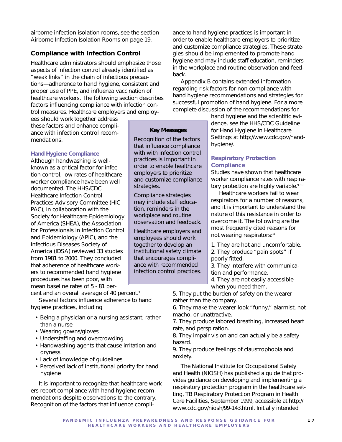airborne infection isolation rooms, see the section Airborne Infection Isolation Rooms on page 19.

# **Compliance with Infection Control**

Healthcare administrators should emphasize those aspects of infection control already identified as "weak links" in the chain of infectious precautions—adherence to hand hygiene, consistent and proper use of PPE, and influenza vaccination of healthcare workers. The following section describes factors influencing compliance with infection control measures. Healthcare employers and employ-

ees should work together address these factors and enhance compliance with infection control recommendations.

#### **Hand Hygiene Compliance**

Although handwashing is wellknown as a critical factor for infection control, low rates of healthcare worker compliance have been well documented. The HHS/CDC Healthcare Infection Control Practices Advisory Committee (HIC-PAC), in collaboration with the Society for Healthcare Epidemiology of America (SHEA), the Association for Professionals in Infection Control and Epidemiology (APIC), and the Infectious Diseases Society of America (IDSA) reviewed 33 studies from 1981 to 2000. They concluded that adherence of healthcare workers to recommended hand hygiene procedures has been poor, with mean baseline rates of 5 - 81 percent and an overall average of 40 percent.<sup>3</sup>

Several factors influence adherence to hand hygiene practices, including

- Being a physician or a nursing assistant, rather than a nurse
- Wearing gowns/gloves
- Understaffing and overcrowding
- Handwashing agents that cause irritation and dryness
- Lack of knowledge of guidelines
- Perceived lack of institutional priority for hand hygiene

It is important to recognize that healthcare workers report compliance with hand hygiene recommendations despite observations to the contrary. Recognition of the factors that influence compliance to hand hygiene practices is important in order to enable healthcare employers to prioritize and customize compliance strategies. These strategies should be implemented to promote hand hygiene and may include staff education, reminders in the workplace and routine observation and feedback.

Appendix B contains extended information regarding risk factors for non-compliance with hand hygiene recommendations and strategies for successful promotion of hand hygiene. For a more complete discussion of the recommendations for

> hand hygiene and the scientific evidence, see the HHS/CDC *Guideline for Hand Hygiene in Healthcare Settings* at http://www.cdc.gov/handhygiene/.

# **Respiratory Protection Compliance**

Studies have shown that healthcare worker compliance rates with respiratory protection are highly variable.<sup>9, 10</sup>

Healthcare workers fail to wear respirators for a number of reasons, and it is important to understand the nature of this resistance in order to overcome it. The following are the most frequently cited reasons for not wearing respirators:<sup>11</sup>

1. They are hot and uncomfortable. 2. They produce "pain spots" if poorly fitted.

3. They interfere with communication and performance.

4. They are not easily accessible when you need them.

5. They put the burden of safety on the wearer rather than the company.

6. They make the wearer look "funny," alarmist, not macho, or unattractive.

7. They produce labored breathing, increased heart rate, and perspiration.

8. They impair vision and can actually be a safety hazard.

9. They produce feelings of claustrophobia and anxiety.

The National Institute for Occupational Safety and Health (NIOSH) has published a guide that provides guidance on developing and implementing a respiratory protection program in the healthcare setting, TB Respiratory Protection Program in Health Care Facilities, September 1999, accessible at http:// www.cdc.gov/niosh/99-143.html. Initially intended

**Key Messages**  Recognition of the factors that influence compliance with with infection control practices is important in order to enable healthcare employers to prioritize and customize compliance

strategies.

Compliance strategies may include staff education, reminders in the workplace and routine observation and feedback. Healthcare employers and employees should work together to develop an institutional safety climate that encourages compliance with recommended infection control practices.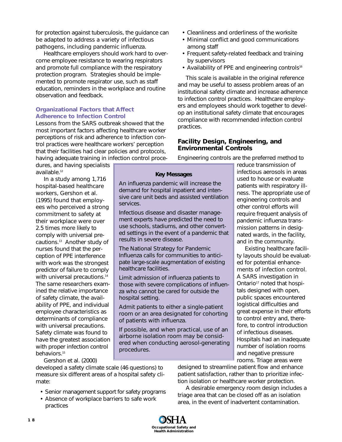for protection against tuberculosis, the guidance can be adapted to address a variety of infectious pathogens, including pandemic influenza.

Healthcare employers should work hard to overcome employee resistance to wearing respirators and promote full compliance with the respiratory protection program. Strategies should be implemented to promote respirator use, such as staff education, reminders in the workplace and routine observation and feedback.

# **Organizational Factors that Affect Adherence to Infection Control**

Lessons from the SARS outbreak showed that the most important factors affecting healthcare worker perceptions of risk and adherence to infection control practices were healthcare workers' perception that their facilities had clear policies and protocols, having adequate training in infection control proce-

services.

dures, and having specialists available.<sup>12</sup>

In a study among 1,716 hospital-based healthcare workers, Gershon et al. (1995) found that employees who perceived a strong commitment to safety at their workplace were over 2.5 times more likely to comply with universal precautions.13 Another study of nurses found that the perception of PPE interference with work was the strongest predictor of failure to comply with universal precautions.<sup>14</sup> The same researchers examined the relative importance of safety climate, the availability of PPE, and individual employee characteristics as determinants of compliance with universal precautions. Safety climate was found to have the greatest association with proper infection control behaviors.<sup>15</sup>

- Cleanliness and orderliness of the worksite
- Minimal conflict and good communications among staff
- Frequent safety-related feedback and training by supervisors
- Availability of PPE and engineering controls<sup>16</sup>

This scale is available in the original reference and may be useful to assess problem areas of an institutional safety climate and increase adherence to infection control practices. Healthcare employers and employees should work together to develop an institutional safety climate that encourages compliance with recommended infection control practices.

# **Facility Design, Engineering, and Environmental Controls**

Engineering controls are the preferred method to

**Key Messages** An influenza pandemic will increase the demand for hospital inpatient and intensive care unit beds and assisted ventilation

Infectious disease and disaster management experts have predicted the need to use schools, stadiums, and other converted settings in the event of a pandemic that results in severe disease.

The *National Strategy for Pandemic Influenza* calls for communities to anticipate large-scale augmentation of existing healthcare facilities.

Limit admission of influenza patients to those with severe complications of influenza who cannot be cared for outside the hospital setting.

Admit patients to either a single-patient room or an area designated for cohorting of patients with influenza.

If possible, and when practical, use of an airborne isolation room may be considered when conducting aerosol-generating procedures.

reduce transmission of infectious aerosols in areas used to house or evaluate patients with respiratory illness. The appropriate use of engineering controls and other control efforts will require frequent analysis of pandemic influenza transmission patterns in designated wards, in the facility, and in the community.

Existing healthcare facility layouts should be evaluated for potential enhancements of infection control. A SARS investigation in Ontario<sup>17</sup> noted that hospitals designed with open, public spaces encountered logistical difficulties and great expense in their efforts to control entry and, therefore, to control introduction of infectious diseases. Hospitals had an inadequate number of isolation rooms and negative pressure rooms. Triage areas were

Gershon et al. (2000)

developed a safety climate scale (46 questions) to measure six different areas of a hospital safety climate:

- Senior management support for safety programs
- Absence of workplace barriers to safe work practices

designed to streamline patient flow and enhance patient satisfaction, rather than to prioritize infection isolation or healthcare worker protection.

A desirable emergency room design includes a triage area that can be closed off as an isolation area, in the event of inadvertent contamination.

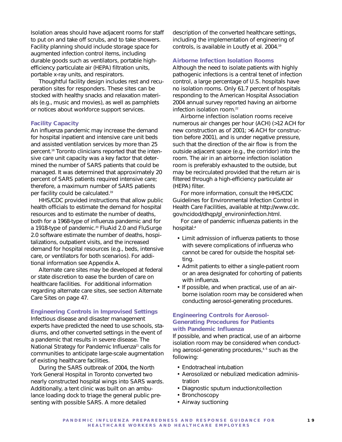Isolation areas should have adjacent rooms for staff to put on and take off scrubs, and to take showers. Facility planning should include storage space for augmented infection control items, including durable goods such as ventilators, portable highefficiency particulate air (HEPA) filtration units, portable x-ray units, and respirators.

Thoughtful facility design includes rest and recuperation sites for responders. These sites can be stocked with healthy snacks and relaxation materials (e.g., music and movies), as well as pamphlets or notices about workforce support services.

#### **Facility Capacity**

An influenza pandemic may increase the demand for hospital inpatient and intensive care unit beds and assisted ventilation services by more than 25 percent.18 Toronto clinicians reported that the intensive care unit capacity was a key factor that determined the number of SARS patients that could be managed. It was determined that approximately 20 percent of SARS patients required intensive care; therefore, a maximum number of SARS patients per facility could be calculated.19

HHS/CDC provided instructions that allow public health officials to estimate the demand for hospital resources and to estimate the number of deaths, both for a 1968-type of influenza pandemic and for a 1918-type of pandemic.<sup>20</sup> FluAid 2.0 and FluSurge 2.0 software estimate the number of deaths, hospitalizations, outpatient visits, and the increased demand for hospital resources (e.g., beds, intensive care, or ventilators for both scenarios). For additional information see Appendix A.

Alternate care sites may be developed at federal or state discretion to ease the burden of care on healthcare facilities. For additional information regarding alternate care sites, see section Alternate Care Sites on page 47.

#### **Engineering Controls in Improvised Settings**

Infectious disease and disaster management experts have predicted the need to use schools, stadiums, and other converted settings in the event of a pandemic that results in severe disease. The *National Strategy for Pandemic Influenza*<sup>21</sup> calls for communities to anticipate large-scale augmentation of existing healthcare facilities.

During the SARS outbreak of 2004, the North York General Hospital in Toronto converted two nearly constructed hospital wings into SARS wards. Additionally, a tent clinic was built on an ambulance loading dock to triage the general public presenting with possible SARS. A more detailed

description of the converted healthcare settings, including the implementation of engineering of controls, is available in Loutfy et al. 2004.19

#### **Airborne Infection Isolation Rooms**

Although the need to isolate patients with highly pathogenic infections is a central tenet of infection control, a large percentage of U.S. hospitals have no isolation rooms. Only 61.7 percent of hospitals responding to the American Hospital Association 2004 annual survey reported having an airborne infection isolation room $22$ 

Airborne infection isolation rooms receive numerous air changes per hour (ACH) (>12 ACH for new construction as of 2001; >6 ACH for construction before 2001), and is under negative pressure, such that the direction of the air flow is from the outside adjacent space (e.g., the corridor) into the room. The air in an airborne infection isolation room is preferably exhausted to the outside, but may be recirculated provided that the return air is filtered through a high-efficiency particulate air (HEPA) filter.

For more information, consult the HHS/CDC *Guidelines for Environmental Infection Control in Health Care Facilities*, available at http://www.cdc. gov/ncidod/dhqp/gl\_environinfection.html.

For care of pandemic influenza patients in the hospital:4

- Limit admission of influenza patients to those with severe complications of influenza who cannot be cared for outside the hospital setting.
- Admit patients to either a single-patient room or an area designated for cohorting of patients with influenza.
- If possible, and when practical, use of an airborne isolation room may be considered when conducting aerosol-generating procedures.

#### **Engineering Controls for Aerosol-Generating Procedures for Patients with Pandemic Influenza**

If possible, and when practical, use of an airborne isolation room may be considered when conducting aerosol-generating procedures,<sup>4,6</sup> such as the following:

- Endotracheal intubation
- Aerosolized or nebulized medication administration
- Diagnostic sputum induction/collection
- Bronchoscopy
- Airway suctioning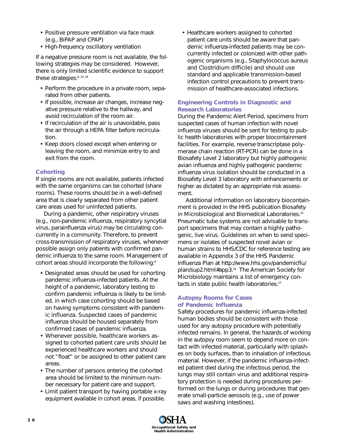- Positive pressure ventilation *via* face mask (e.g., BiPAP and CPAP)
- High-frequency oscillatory ventilation

If a negative pressure room is not available, the following strategies may be considered. However, there is only limited scientific evidence to support these strategies:<sup>6, 23, 24</sup>

- Perform the procedure in a private room, separated from other patients.
- If possible, increase air changes, increase negative pressure relative to the hallway, and avoid recirculation of the room air.
- If recirculation of the air is unavoidable, pass the air through a HEPA filter before recirculation.
- Keep doors closed except when entering or leaving the room, and minimize entry to and exit from the room.

### **Cohorting**

If single rooms are not available, patients infected with the same organisms can be cohorted (share rooms). These rooms should be in a well-defined area that is clearly separated from other patient care areas used for uninfected patients.

During a pandemic, other respiratory viruses (e.g., non-pandemic influenza, respiratory syncytial virus, parainfluenza virus) may be circulating concurrently in a community. Therefore, to prevent cross-transmission of respiratory viruses, whenever possible assign only patients with confirmed pandemic influenza to the same room. Management of cohort areas should incorporate the following:<sup>4</sup>

- Designated areas should be used for cohorting pandemic influenza-infected patients. At the height of a pandemic, laboratory testing to confirm pandemic influenza is likely to be limited, in which case cohorting should be based on having symptoms consistent with pandemic influenza. Suspected cases of pandemic influenza should be housed separately from confirmed cases of pandemic influenza.
- Whenever possible, healthcare workers assigned to cohorted patient care units should be experienced healthcare workers and should not "float" or be assigned to other patient care areas.
- The number of persons entering the cohorted area should be limited to the minimum number necessary for patient care and support.
- Limit patient transport by having portable x-ray equipment available in cohort areas, if possible.

• Healthcare workers assigned to cohorted patient care units should be aware that pandemic influenza-infected patients may be concurrently infected or colonized with other pathogenic organisms (e.g., *Staphylococcus aureus and Clostridium difficile*) and should use standard and applicable transmission-based infection control precautions to prevent transmission of healthcare-associated infections.

## **Engineering Controls in Diagnostic and Research Laboratories**

During the Pandemic Alert Period, specimens from suspected cases of human infection with novel influenza viruses should be sent for testing to public health laboratories with proper biocontainment facilities. For example, reverse transcriptase polymerase chain reaction (RT-PCR) can be done in a Biosafety Level 2 laboratory but highly pathogenic avian influenza and highly pathogenic pandemic influenza virus isolation should be conducted in a Biosafety Level 3 laboratory with enhancements or higher as dictated by an appropriate risk assessment.

Additional information on laboratory biocontainment is provided in the HHS publication *Biosafety in Microbiological and Biomedical Laboratories*. 25 Pneumatic tube systems are not advisable to transport specimens that may contain a highly pathogenic, live virus. Guidelines on when to send specimens or isolates of suspected novel avian or human strains to HHS/CDC for reference testing are available in Appendix 3 of the HHS *Pandemic Influenza Plan* at http://www.hhs.gov/pandemicflu/ plan/sup2.html#app3.26 The American Society for Microbiology maintains a list of emergency contacts in state public health laboratories.<sup>27</sup>

#### **Autopsy Rooms for Cases of Pandemic Influenza**

Safety procedures for pandemic influenza-infected human bodies should be consistent with those used for any autopsy procedure with potentially infected remains. In general, the hazards of working in the autopsy room seem to depend more on contact with infected material, particularly with splashes on body surfaces, than to inhalation of infectious material. However, if the pandemic influenza-infected patient died during the infectious period, the lungs may still contain virus and additional respiratory protection is needed during procedures performed on the lungs or during procedures that generate small-particle aerosols (e.g., use of power saws and washing intestines).

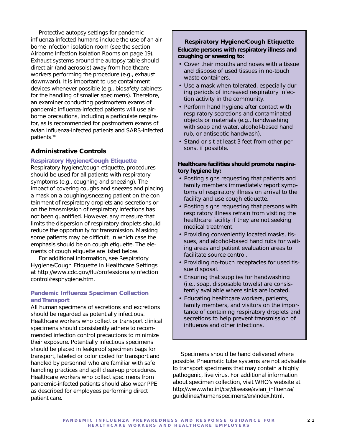Protective autopsy settings for pandemic influenza-infected humans include the use of an airborne infection isolation room (see the section Airborne Infection Isolation Rooms on page 19). Exhaust systems around the autopsy table should direct air (and aerosols) away from healthcare workers performing the procedure (e.g., exhaust downward). It is important to use containment devices whenever possible (e.g., biosafety cabinets for the handling of smaller specimens). Therefore, an examiner conducting postmortem exams of pandemic influenza-infected patients will use airborne precautions, including a particulate respirator, as is recommended for postmortem exams of avian influenza-infected patients and SARS-infected patients.28

# **Administrative Controls**

#### **Respiratory Hygiene/Cough Etiquette**

Respiratory hygiene/cough etiquette, procedures should be used for all patients with respiratory symptoms (e.g., coughing and sneezing). The impact of covering coughs and sneezes and placing a mask on a coughing/sneezing patient on the containment of respiratory droplets and secretions or on the transmission of respiratory infections has not been quantified. However, any measure that limits the dispersion of respiratory droplets should reduce the opportunity for transmission. Masking some patients may be difficult, in which case the emphasis should be on cough etiquette. The elements of cough etiquette are listed below.

For additional information, see *Respiratory Hygiene/Cough Etiquette in Healthcare Settings* at http://www.cdc.gov/flu/professionals/infection control/resphygiene.htm.

### **Pandemic Influenza Specimen Collection and Transport**

All human specimens of secretions and excretions should be regarded as potentially infectious. Healthcare workers who collect or transport clinical specimens should consistently adhere to recommended infection control precautions to minimize their exposure. Potentially infectious specimens should be placed in leakproof specimen bags for transport, labeled or color coded for transport and handled by personnel who are familiar with safe handling practices and spill clean-up procedures. Healthcare workers who collect specimens from pandemic-infected patients should also wear PPE as described for employees performing direct patient care.

### **Respiratory Hygiene/Cough Etiquette Educate persons with respiratory illness and**

**coughing or sneezing to:**

- Cover their mouths and noses with a tissue and dispose of used tissues in no-touch waste containers.
- Use a mask when tolerated, especially during periods of increased respiratory infection activity in the community.
- Perform hand hygiene after contact with respiratory secretions and contaminated objects or materials (e.g., handwashing with soap and water, alcohol-based hand rub, or antiseptic handwash).
- Stand or sit at least 3 feet from other persons, if possible.

#### **Healthcare facilities should promote respiratory hygiene by:**

- Posting signs requesting that patients and family members immediately report symptoms of respiratory illness on arrival to the facility and use cough etiquette.
- Posting signs requesting that persons with respiratory illness refrain from visiting the healthcare facility if they are not seeking medical treatment.
- Providing conveniently located masks, tissues, and alcohol-based hand rubs for waiting areas and patient evaluation areas to facilitate source control.
- Providing no-touch receptacles for used tissue disposal.
- Ensuring that supplies for handwashing (i.e., soap, disposable towels) are consistently available where sinks are located.
- Educating healthcare workers, patients, family members, and visitors on the importance of containing respiratory droplets and secretions to help prevent transmission of influenza and other infections.

Specimens should be hand delivered where possible. Pneumatic tube systems are not advisable to transport specimens that may contain a highly pathogenic, live virus. For additional information about specimen collection, visit WHO's website at http://www.who.int/csr/disease/avian\_influenza/ guidelines/humanspecimens/en/index.html.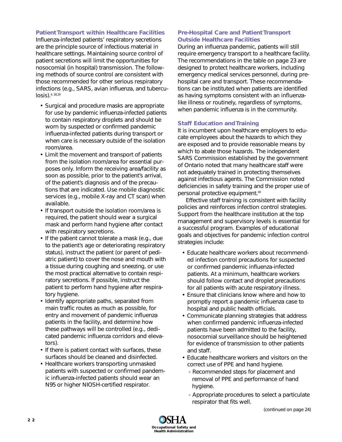#### **Patient Transport within Healthcare Facilities**

Influenza-infected patients' respiratory secretions are the principle source of infectious material in healthcare settings. Maintaining source control of patient secretions will limit the opportunities for nosocomial (in hospital) transmission. The following methods of source control are consistent with those recommended for other serious respiratory infections (e.g., SARS, avian influenza, and tuberculosis).4, 28,29

- Surgical and procedure masks are appropriate for use by pandemic influenza-infected patients to contain respiratory droplets and should be worn by suspected or confirmed pandemic influenza-infected patients during transport or when care is necessary outside of the isolation room/area.
- Limit the movement and transport of patients from the isolation room/area for essential purposes only. Inform the receiving area/facility as soon as possible, prior to the patient's arrival, of the patient's diagnosis and of the precautions that are indicated. Use mobile diagnostic services (e.g., mobile X-ray and CT scan) when available.
- If transport outside the isolation room/area is required, the patient should wear a surgical mask and perform hand hygiene after contact with respiratory secretions.
- If the patient cannot tolerate a mask (e.g., due to the patient's age or deteriorating respiratory status), instruct the patient (or parent of pediatric patient) to cover the nose and mouth with a tissue during coughing and sneezing, or use the most practical alternative to contain respiratory secretions. If possible, instruct the patient to perform hand hygiene after respiratory hygiene.
- Identify appropriate paths, separated from main traffic routes as much as possible, for entry and movement of pandemic influenza patients in the facility, and determine how these pathways will be controlled (e.g., dedicated pandemic influenza corridors and elevators).
- If there is patient contact with surfaces, these surfaces should be cleaned and disinfected.
- Healthcare workers transporting unmasked patients with suspected or confirmed pandemic influenza-infected patients should wear an N95 or higher NIOSH-certified respirator.

# **Pre-Hospital Care and Patient Transport Outside Healthcare Facilities**

During an influenza pandemic, patients will still require emergency transport to a healthcare facility. The recommendations in the table on page 23 are designed to protect healthcare workers, including emergency medical services personnel, during prehospital care and transport. These recommendations can be instituted when patients are identified as having symptoms consistent with an influenzalike illness or routinely, regardless of symptoms, when pandemic influenza is in the community.

### **Staff Education and Training**

It is incumbent upon healthcare employers to educate employees about the hazards to which they are exposed and to provide reasonable means by which to abate those hazards. The independent SARS Commission established by the government of Ontario noted that many healthcare staff were not adequately trained in protecting themselves against infectious agents. The Commission noted deficiencies in safety training and the proper use of personal protective equipment.<sup>30</sup>

Effective staff training is consistent with facility policies and reinforces infection control strategies. Support from the healthcare institution at the top management and supervisory levels is essential for a successful program. Examples of educational goals and objectives for pandemic infection control strategies include:

- Educate healthcare workers about recommended infection control precautions for suspected or confirmed pandemic influenza-infected patients. At a minimum, healthcare workers should follow contact and droplet precautions for all patients with acute respiratory illness.
- Ensure that clinicians know where and how to promptly report a pandemic influenza case to hospital and public health officials.
- Communicate planning strategies that address when confirmed pandemic influenza-infected patients have been admitted to the facility, nosocomial surveillance should be heightened for evidence of transmission to other patients and staff.
- Educate healthcare workers and visitors on the correct use of PPE and hand hygiene.
	- Recommended steps for placement and removal of PPE and performance of hand hygiene.
	- Appropriate procedures to select a particulate respirator that fits well.

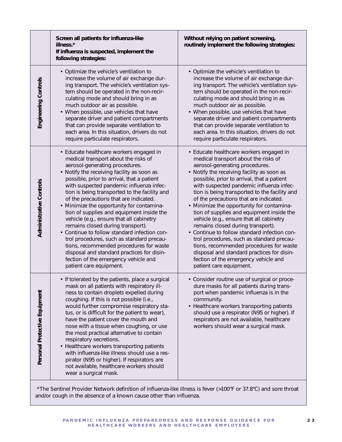|                               | Screen all patients for influenza-like<br>illness.*<br>If influenza is suspected, implement the<br>following strategies:                                                                                                                                                                                                                                                                                                                                                                                                                                                                                                                                                                                                                                                                            | Without relying on patient screening,<br>routinely implement the following strategies:                                                                                                                                                                                                                                                                                                                                                                                                                                                                                                                                                                                                                                                                                                   |
|-------------------------------|-----------------------------------------------------------------------------------------------------------------------------------------------------------------------------------------------------------------------------------------------------------------------------------------------------------------------------------------------------------------------------------------------------------------------------------------------------------------------------------------------------------------------------------------------------------------------------------------------------------------------------------------------------------------------------------------------------------------------------------------------------------------------------------------------------|------------------------------------------------------------------------------------------------------------------------------------------------------------------------------------------------------------------------------------------------------------------------------------------------------------------------------------------------------------------------------------------------------------------------------------------------------------------------------------------------------------------------------------------------------------------------------------------------------------------------------------------------------------------------------------------------------------------------------------------------------------------------------------------|
| Engineering Controls          | • Optimize the vehicle's ventilation to<br>increase the volume of air exchange dur-<br>ing transport. The vehicle's ventilation sys-<br>tem should be operated in the non-recir-<br>culating mode and should bring in as<br>much outdoor air as possible.<br>• When possible, use vehicles that have<br>separate driver and patient compartments<br>that can provide separate ventilation to<br>each area. In this situation, drivers do not<br>require particulate respirators.                                                                                                                                                                                                                                                                                                                    | • Optimize the vehicle's ventilation to<br>increase the volume of air exchange dur-<br>ing transport. The vehicle's ventilation sys-<br>tem should be operated in the non-recir-<br>culating mode and should bring in as<br>much outdoor air as possible.<br>• When possible, use vehicles that have<br>separate driver and patient compartments<br>that can provide separate ventilation to<br>each area. In this situation, drivers do not<br>require particulate respirators.                                                                                                                                                                                                                                                                                                         |
| Administrative Controls       | · Educate healthcare workers engaged in<br>medical transport about the risks of<br>aerosol-generating procedures.<br>Notify the receiving facility as soon as<br>$\bullet$<br>possible, prior to arrival, that a patient<br>with suspected pandemic influenza infec-<br>tion is being transported to the facility and<br>of the precautions that are indicated.<br>• Minimize the opportunity for contamina-<br>tion of supplies and equipment inside the<br>vehicle (e.g., ensure that all cabinetry<br>remains closed during transport).<br>• Continue to follow standard infection con-<br>trol procedures, such as standard precau-<br>tions, recommended procedures for waste<br>disposal and standard practices for disin-<br>fection of the emergency vehicle and<br>patient care equipment. | • Educate healthcare workers engaged in<br>medical transport about the risks of<br>aerosol-generating procedures.<br>• Notify the receiving facility as soon as<br>possible, prior to arrival, that a patient<br>with suspected pandemic influenza infec-<br>tion is being transported to the facility and<br>of the precautions that are indicated.<br>• Minimize the opportunity for contamina-<br>tion of supplies and equipment inside the<br>vehicle (e.g., ensure that all cabinetry<br>remains closed during transport).<br>• Continue to follow standard infection con-<br>trol procedures, such as standard precau-<br>tions, recommended procedures for waste<br>disposal and standard practices for disin-<br>fection of the emergency vehicle and<br>patient care equipment. |
| Personal Protective Equipment | • If tolerated by the patients, place a surgical<br>mask on all patients with respiratory ill-<br>ness to contain droplets expelled during<br>coughing. If this is not possible (i.e.,<br>would further compromise respiratory sta-<br>tus, or is difficult for the patient to wear),<br>have the patient cover the mouth and<br>nose with a tissue when coughing, or use<br>the most practical alternative to contain<br>respiratory secretions.<br>• Healthcare workers transporting patients<br>with influenza-like illness should use a res-<br>pirator (N95 or higher). If respirators are<br>not available, healthcare workers should<br>wear a surgical mask.                                                                                                                                | · Consider routine use of surgical or proce-<br>dure masks for all patients during trans-<br>port when pandemic influenza is in the<br>community.<br>• Healthcare workers transporting patients<br>should use a respirator (N95 or higher). If<br>respirators are not available, healthcare<br>workers should wear a surgical mask.                                                                                                                                                                                                                                                                                                                                                                                                                                                      |

\*The Sentinel Provider Network definition of influenza-like illness is fever (>100°F or 37.8°C) and sore throat and/or cough in the absence of a known cause other than influenza.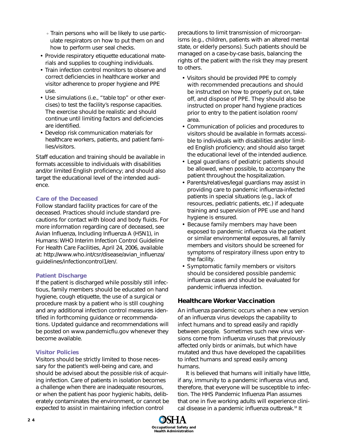- Train persons who will be likely to use particulate respirators on how to put them on and how to perform user seal checks.
- Provide respiratory etiquette educational materials and supplies to coughing individuals.
- Train infection control monitors to observe and correct deficiencies in healthcare worker and visitor adherence to proper hygiene and PPE use.
- Use simulations (i.e., "table top" or other exercises) to test the facility's response capacities. The exercise should be realistic and should continue until limiting factors and deficiencies are identified.
- Develop risk communication materials for healthcare workers, patients, and patient families/visitors.

Staff education and training should be available in formats accessible to individuals with disabilities and/or limited English proficiency; and should also target the educational level of the intended audience.

# **Care of the Deceased**

Follow standard facility practices for care of the deceased. Practices should include standard precautions for contact with blood and body fluids. For more information regarding care of deceased, see *Avian Influenza, Including Influenza A (H5N1), in Humans: WHO Interim Infection Control Guideline For Health Care Facilities*, April 24, 2006, available at: http://www.who.int/csr/disease/avian\_influenza/ guidelines/infectioncontrol1/en/.

### **Patient Discharge**

If the patient is discharged while possibly still infectious, family members should be educated on hand hygiene, cough etiquette, the use of a surgical or procedure mask by a patient who is still coughing and any additional infection control measures identified in forthcoming guidance or recommendations. Updated guidance and recommendations will be posted on www.pandemicflu.gov whenever they become available.

### **Visitor Policies**

Visitors should be strictly limited to those necessary for the patient's well-being and care, and should be advised about the possible risk of acquiring infection. Care of patients in isolation becomes a challenge when there are inadequate resources, or when the patient has poor hygienic habits, deliberately contaminates the environment, or cannot be expected to assist in maintaining infection control

precautions to limit transmission of microorganisms (e.g., children, patients with an altered mental state, or elderly persons). Such patients should be managed on a case-by-case basis, balancing the rights of the patient with the risk they may present to others.

- Visitors should be provided PPE to comply with recommended precautions and should be instructed on how to properly put on, take off, and dispose of PPE. They should also be instructed on proper hand hygiene practices prior to entry to the patient isolation room/ area.
- Communication of policies and procedures to visitors should be available in formats accessible to individuals with disabilities and/or limited English proficiency; and should also target the educational level of the intended audience.
- Legal guardians of pediatric patients should be allowed, when possible, to accompany the patient throughout the hospitalization.
- Parents/relatives/legal guardians may assist in providing care to pandemic influenza-infected patients in special situations (e.g., lack of resources, pediatric patients, etc.) if adequate training and supervision of PPE use and hand hygiene is ensured.
- Because family members may have been exposed to pandemic influenza via the patient or similar environmental exposures, all family members and visitors should be screened for symptoms of respiratory illness upon entry to the facility.
- Symptomatic family members or visitors should be considered possible pandemic influenza cases and should be evaluated for pandemic influenza infection.

# **Healthcare Worker Vaccination**

An influenza pandemic occurs when a new version of an influenza virus develops the capability to infect humans and to spread easily and rapidly between people. Sometimes such new virus versions come from influenza viruses that previously affected only birds or animals, but which have mutated and thus have developed the capabilities to infect humans and spread easily among humans.

It is believed that humans will initially have little, if any, immunity to a pandemic influenza virus and, therefore, that everyone will be susceptible to infection. The HHS *Pandemic Influenza Plan* assumes that one in five working adults will experience clinical disease in a pandemic influenza outbreak.18 It

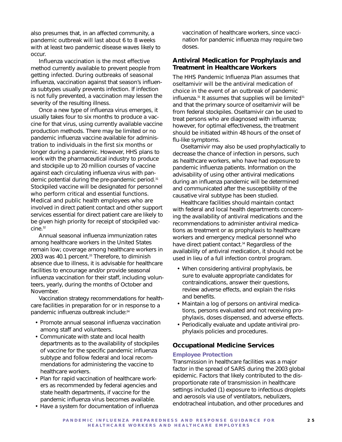also presumes that, in an affected community, a pandemic outbreak will last about 6 to 8 weeks with at least two pandemic disease waves likely to occur.

Influenza vaccination is the most effective method currently available to prevent people from getting infected. During outbreaks of seasonal influenza, vaccination against that season's influenza subtypes usually prevents infection. If infection is not fully prevented, a vaccination may lessen the severity of the resulting illness.

Once a new type of influenza virus emerges, it usually takes four to six months to produce a vaccine for that virus, using currently available vaccine production methods. There may be limited or no pandemic influenza vaccine available for administration to individuals in the first six months or longer during a pandemic. However, HHS plans to work with the pharmaceutical industry to produce and stockpile up to 20 million courses of vaccine against each circulating influenza virus with pandemic potential during the pre-pandemic period.31 Stockpiled vaccine will be designated for personnel who perform critical and essential functions. Medical and public health employees who are involved in direct patient contact and other support services essential for direct patient care are likely to be given high priority for receipt of stockpiled vaccine.32

Annual seasonal influenza immunization rates among healthcare workers in the United States remain low; coverage among healthcare workers in 2003 was 40.1 percent.<sup>33</sup> Therefore, to diminish absence due to illness, it is advisable for healthcare facilities to encourage and/or provide seasonal influenza vaccination for their staff, including volunteers, yearly, during the months of October and November.

Vaccination strategy recommendations for healthcare facilities in preparation for or in response to a pandemic influenza outbreak include:34

- Promote annual seasonal influenza vaccination among staff and volunteers.
- Communicate with state and local health departments as to the availability of stockpiles of vaccine for the specific pandemic influenza subtype and follow federal and local recommendations for administering the vaccine to healthcare workers.
- Plan for rapid vaccination of healthcare workers as recommended by federal agencies and state health departments, if vaccine for the pandemic influenza virus becomes available.

vaccination of healthcare workers, since vaccination for pandemic influenza may require two doses.

#### **Antiviral Medication for Prophylaxis and Treatment in Healthcare Workers**

The HHS *Pandemic Influenza Plan* assumes that oseltamivir will be the antiviral medication of choice in the event of an outbreak of pandemic influenza.<sup>31</sup> It assumes that supplies will be limited<sup>31</sup> and that the primary source of oseltamivir will be from federal stockpiles. Oseltamivir can be used to treat persons who are diagnosed with influenza; however, for optimal effectiveness, the treatment should be initiated within 48 hours of the onset of flu-like symptoms.

Oseltamivir may also be used prophylactically to decrease the chance of infection in persons, such as healthcare workers, who have had exposure to pandemic influenza patients. Information on the advisability of using other antiviral medications during an influenza pandemic will be determined and communicated after the susceptibility of the causative viral subtype has been studied.

Healthcare facilities should maintain contact with federal and local health departments concerning the availability of antiviral medications and the recommendations to administer antiviral medications as treatment or as prophylaxis to healthcare workers and emergency medical personnel who have direct patient contact.<sup>34</sup> Regardless of the availability of antiviral medication, it should not be used in lieu of a full infection control program.

- When considering antiviral prophylaxis, be sure to evaluate appropriate candidates for contraindications, answer their questions, review adverse effects, and explain the risks and benefits.
- Maintain a log of persons on antiviral medications, persons evaluated and not receiving prophylaxis, doses dispensed, and adverse effects.
- Periodically evaluate and update antiviral prophylaxis policies and procedures.

#### **Occupational Medicine Services**

#### **Employee Protection**

Transmission in healthcare facilities was a major factor in the spread of SARS during the 2003 global epidemic. Factors that likely contributed to the disproportionate rate of transmission in healthcare settings included (1) exposure to infectious droplets and aerosols via use of ventilators, nebulizers, endotracheal intubation, and other procedures and

• Have a system for documentation of influenza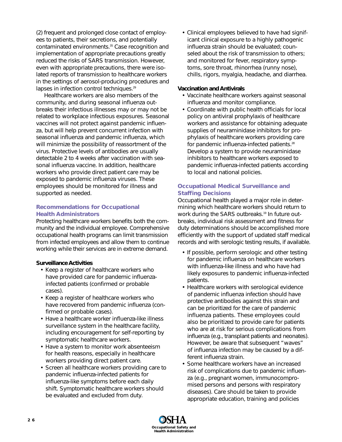(2) frequent and prolonged close contact of employees to patients, their secretions, and potentially contaminated environments.<sup>35</sup> Case recognition and implementation of appropriate precautions greatly reduced the risks of SARS transmission. However, even with appropriate precautions, there were isolated reports of transmission to healthcare workers in the settings of aerosol-producing procedures and lapses in infection control techniques.<sup>29</sup>

Healthcare workers are also members of the community, and during seasonal influenza outbreaks their infectious illnesses may or may not be related to workplace infectious exposures. Seasonal vaccines will not protect against pandemic influenza, but will help prevent concurrent infection with seasonal influenza and pandemic influenza, which will minimize the possibility of reassortment of the virus. Protective levels of antibodies are usually detectable 2 to 4 weeks after vaccination with seasonal influenza vaccine. In addition, healthcare workers who provide direct patient care may be exposed to pandemic influenza viruses. These employees should be monitored for illness and supported as needed.

### **Recommendations for Occupational Health Administrators**

Protecting healthcare workers benefits both the community and the individual employee. Comprehensive occupational health programs can limit transmission from infected employees and allow them to continue working while their services are in extreme demand.

### **Surveillance Activities**

- Keep a register of healthcare workers who have provided care for pandemic influenzainfected patients (confirmed or probable cases).
- Keep a register of healthcare workers who have recovered from pandemic influenza (confirmed or probable cases).
- Have a healthcare worker influenza-like illness surveillance system in the healthcare facility, including encouragement for self-reporting by symptomatic healthcare workers.
- Have a system to monitor work absenteeism for health reasons, especially in healthcare workers providing direct patient care.
- Screen all healthcare workers providing care to pandemic influenza-infected patients for influenza-like symptoms before each daily shift. Symptomatic healthcare workers should be evaluated and excluded from duty.

• Clinical employees believed to have had significant clinical exposure to a highly pathogenic influenza strain should be evaluated; counseled about the risk of transmission to others; and monitored for fever, respiratory symptoms, sore throat, rhinorrhea (runny nose), chills, rigors, myalgia, headache, and diarrhea.

#### **Vaccination and Antivirals**

- Vaccinate healthcare workers against seasonal influenza and monitor compliance.
- Coordinate with public health officials for local policy on antiviral prophylaxis of healthcare workers and assistance for obtaining adequate supplies of neuraminidase inhibitors for prophylaxis of healthcare workers providing care for pandemic influenza-infected patients.28 Develop a system to provide neuraminidase inhibitors to healthcare workers exposed to pandemic influenza-infected patients according to local and national policies.

## **Occupational Medical Surveillance and Staffing Decisions**

Occupational health played a major role in determining which healthcare workers should return to work during the SARS outbreaks.<sup>19</sup> In future outbreaks, individual risk assessment and fitness for duty determinations should be accomplished more efficiently with the support of updated staff medical records and with serologic testing results, if available.

- If possible, perform serologic and other testing for pandemic influenza on healthcare workers with influenza-like illness and who have had likely exposures to pandemic influenza-infected patients.
- Healthcare workers with serological evidence of pandemic influenza infection should have protective antibodies against this strain and can be prioritized for the care of pandemic influenza patients. These employees could also be prioritized to provide care for patients who are at risk for serious complications from influenza (e.g., transplant patients and neonates). However, be aware that subsequent "waves" of influenza infection may be caused by a different influenza strain.
- Some healthcare workers have an increased risk of complications due to pandemic influenza (e.g., pregnant women, immunocompromised persons and persons with respiratory diseases). Care should be taken to provide appropriate education, training and policies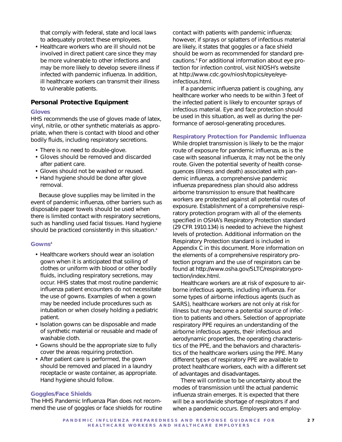that comply with federal, state and local laws to adequately protect these employees.

• Healthcare workers who are ill should not be involved in direct patient care since they may be more vulnerable to other infections and may be more likely to develop severe illness if infected with pandemic influenza. In addition, ill healthcare workers can transmit their illness to vulnerable patients.

## **Personal Protective Equipment**

#### **Gloves**

HHS recommends the use of gloves made of latex, vinyl, nitrile, or other synthetic materials as appropriate, when there is contact with blood and other bodily fluids, including respiratory secretions.

- There is no need to double-glove.
- Gloves should be removed and discarded after patient care.
- Gloves should not be washed or reused.
- Hand hygiene should be done after glove removal.

Because glove supplies may be limited in the event of pandemic influenza, other barriers such as disposable paper towels should be used when there is limited contact with respiratory secretions, such as handling used facial tissues. Hand hygiene should be practiced consistently in this situation.<sup>4</sup>

#### **Gowns**<sup>4</sup>

- Healthcare workers should wear an isolation gown when it is anticipated that soiling of clothes or uniform with blood or other bodily fluids, including respiratory secretions, may occur. HHS states that most routine pandemic influenza patient encounters do not necessitate the use of gowns. Examples of when a gown may be needed include procedures such as intubation or when closely holding a pediatric patient.
- Isolation gowns can be disposable and made of synthetic material or reusable and made of washable cloth.
- Gowns should be the appropriate size to fully cover the areas requiring protection.
- After patient care is performed, the gown should be removed and placed in a laundry receptacle or waste container, as appropriate. Hand hygiene should follow.

#### **Goggles/Face Shields**

The HHS Pandemic Influenza Plan does not recommend the use of goggles or face shields for routine contact with patients with pandemic influenza; however, if sprays or splatters of infectious material are likely, it states that goggles or a face shield should be worn as recommended for standard precautions.4 For additional information about eye protection for infection control, visit NIOSH's website at http://www.cdc.gov/niosh/topics/eye/eyeinfectious.html.

If a pandemic influenza patient is coughing, any healthcare worker who needs to be within 3 feet of the infected patient is likely to encounter sprays of infectious material. Eye and face protection should be used in this situation, as well as during the performance of aerosol-generating procedures.

#### **Respiratory Protection for Pandemic Influenza**

While droplet transmission is likely to be the major route of exposure for pandemic influenza, as is the case with seasonal influenza, it may not be the only route. Given the potential severity of health consequences (illness and death) associated with pandemic influenza, a comprehensive pandemic influenza preparedness plan should also address airborne transmission to ensure that healthcare workers are protected against all potential routes of exposure. Establishment of a comprehensive respiratory protection program with all of the elements specified in OSHA's Respiratory Protection standard (29 CFR 1910.134) is needed to achieve the highest levels of protection. Additional information on the Respiratory Protection standard is included in Appendix C in this document. More information on the elements of a comprehensive respiratory protection program and the use of respirators can be found at http://www.osha.gov/SLTC/respiratoryprotection/index.html.

Healthcare workers are at risk of exposure to airborne infectious agents, including influenza. For some types of airborne infectious agents (such as SARS), healthcare workers are not only at risk for illness but may become a potential source of infection to patients and others. Selection of appropriate respiratory PPE requires an understanding of the airborne infectious agents, their infectious and aerodynamic properties, the operating characteristics of the PPE, and the behaviors and characteristics of the healthcare workers using the PPE. Many different types of respiratory PPE are available to protect healthcare workers, each with a different set of advantages and disadvantages.

There will continue to be uncertainty about the modes of transmission until the actual pandemic influenza strain emerges. It is expected that there will be a worldwide shortage of respirators if and when a pandemic occurs. Employers and employ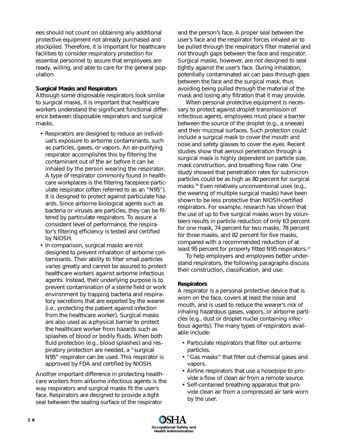ees should not count on obtaining any additional protective equipment not already purchased and stockpiled. Therefore, it is important for healthcare facilities to consider respiratory protection for essential personnel to assure that employees are ready, willing, and able to care for the general population.

### *Surgical Masks and Respirators*

Although some disposable respirators look similar to surgical masks, it is important that healthcare workers understand the significant functional difference between disposable respirators and surgical masks.

- Respirators are designed to reduce an individual's exposure to airborne contaminants, such as particles, gases, or vapors. An air-purifying respirator accomplishes this by filtering the contaminant out of the air before it can be inhaled by the person wearing the respirator. A type of respirator commonly found in healthcare workplaces is the filtering facepiece particulate respirator (often referred to as an "N95"). It is designed to protect against particulate hazards. Since airborne biological agents such as bacteria or viruses are particles, they can be filtered by particulate respirators. To assure a consistent level of performance, the respirator's filtering efficiency is tested and certified by NIOSH.
- In comparison, surgical masks are not designed to prevent inhalation of airborne contaminants. Their ability to filter small particles varies greatly and cannot be assured to protect healthcare workers against airborne infectious agents. Instead, their underlying purpose is to prevent contamination of a sterile field or work environment by trapping bacteria and respiratory secretions that are expelled by the wearer (i.e., protecting the patient against infection from the healthcare worker). Surgical masks are also used as a physical barrier to protect the healthcare worker from hazards such as splashes of blood or bodily fluids. When both fluid protection (e.g., blood splashes) and respiratory protection are needed, a "surgical N95" respirator can be used. This respirator is approved by FDA and certified by NIOSH.

Another important difference in protecting healthcare workers from airborne infectious agents is the way respirators and surgical masks fit the user's face. Respirators are designed to provide a tight seal between the sealing surface of the respirator

and the person's face. A proper seal between the user's face and the respirator forces inhaled air to be pulled through the respirator's filter material and not through gaps between the face and respirator. Surgical masks, however, are not designed to seal tightly against the user's face. During inhalation, potentially contaminated air can pass through gaps between the face and the surgical mask, thus avoiding being pulled through the material of the mask and losing any filtration that it may provide.

When personal protective equipment is necessary to protect against droplet transmission of infectious agents, employees must place a barrier between the source of the droplet (e.g., a sneeze) and their mucosal surfaces. Such protection could include a surgical mask to cover the mouth and nose and safety glasses to cover the eyes. Recent studies show that aerosol penetration through a surgical mask is highly dependent on particle size, mask construction, and breathing flow rate. One study showed that penetration rates for submicron particles could be as high as 80 percent for surgical masks.<sup>36</sup> Even relatively unconventional uses (e.g., the wearing of multiple surgical masks) have been shown to be less protective than NIOSH-certified respirators. For example, research has shown that the use of up to five surgical masks worn by volunteers results in particle reduction of only 63 percent for one mask, 74 percent for two masks, 78 percent for three masks, and 82 percent for five masks, compared with a recommended reduction of at least 95 percent for properly fitted N95 respirators.<sup>37</sup>

To help employers and employees better understand respirators, the following paragraphs discuss their construction, classification, and use.

### *Respirators*

A respirator is a personal protective device that is worn on the face, covers at least the nose and mouth, and is used to reduce the wearer's risk of inhaling hazardous gases, vapors, or airborne particles (e.g., dust or droplet nuclei containing infectious agents). The many types of respirators available include:

- Particulate respirators that filter out airborne particles.
- "Gas masks" that filter out chemical gases and vapors.
- Airline respirators that use a hose/pipe to provide a flow of clean air from a remote source.
- Self-contained breathing apparatus that provide clean air from a compressed air tank worn by the user.

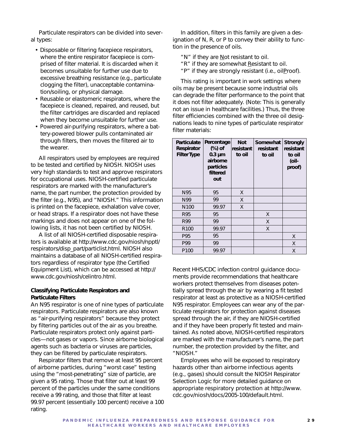Particulate respirators can be divided into several types:

- Disposable or filtering facepiece respirators, where the entire respirator facepiece is comprised of filter material. It is discarded when it becomes unsuitable for further use due to excessive breathing resistance (e.g., particulate clogging the filter), unacceptable contamination/soiling, or physical damage.
- Reusable or elastomeric respirators, where the facepiece is cleaned, repaired, and reused, but the filter cartridges are discarded and replaced when they become unsuitable for further use.
- Powered air-purifying respirators, where a battery-powered blower pulls contaminated air through filters, then moves the filtered air to the wearer.

All respirators used by employees are required to be tested and certified by NIOSH. NIOSH uses very high standards to test and approve respirators for occupational uses. NIOSH-certified particulate respirators are marked with the manufacturer's name, the part number, the protection provided by the filter (e.g., N95), and "NIOSH." This information is printed on the facepiece, exhalation valve cover, or head straps. If a respirator does not have these markings and does not appear on one of the following lists, it has not been certified by NIOSH.

A list of all NIOSH-certified disposable respirators is available at http://www.cdc.gov/niosh/npptl/ respirators/disp\_part/particlist.html. NIOSH also maintains a database of all NIOSH-certified respirators regardless of respirator type (the Certified Equipment List), which can be accessed at http:// www.cdc.gov/niosh/celintro.html.

#### *Classifying Particulate Respirators and Particulate Filters*

An N95 respirator is one of nine types of particulate respirators. Particulate respirators are also known as "air-purifying respirators" because they protect by filtering particles out of the air as you breathe. Particulate respirators protect only against particles—not gases or vapors. Since airborne biological agents such as bacteria or viruses are particles, they can be filtered by particulate respirators.

Respirator filters that remove at least 95 percent of airborne particles, during "worst case" testing using the "most-penetrating" size of particle, are given a 95 rating. Those that filter out at least 99 percent of the particles under the same conditions receive a 99 rating, and those that filter at least 99.97 percent (essentially 100 percent) receive a 100 rating.

In addition, filters in this family are given a designation of N, R, or P to convey their ability to function in the presence of oils.

- "N" if they are Not resistant to oil.
- "R" if they are somewhat Resistant to oil.
- "P" if they are strongly resistant (i.e., oilProof).

This rating is important in work settings where oils may be present because some industrial oils can degrade the filter performance to the point that it does not filter adequately. (Note: This is generally not an issue in healthcare facilities.) Thus, the three filter efficiencies combined with the three oil designations leads to nine types of particulate respirator filter materials:

| <b>Particulate</b><br>Respirator<br><b>Filter Type</b> | Percentage<br>$(\%)$ of<br>$0.3 \mu m$<br>airborne<br>particles<br>filtered<br>out | <b>Not</b><br>resistant<br>to oil | Somewhat<br>resistant<br>to oil | <b>Strongly</b><br>resistant<br>to oil<br>(oil-<br>proof) |
|--------------------------------------------------------|------------------------------------------------------------------------------------|-----------------------------------|---------------------------------|-----------------------------------------------------------|
| N95                                                    | 95                                                                                 | X                                 |                                 |                                                           |
| N99                                                    | 99                                                                                 | X                                 |                                 |                                                           |
| N <sub>100</sub>                                       | 99.97                                                                              | X                                 |                                 |                                                           |
| R95                                                    | 95                                                                                 |                                   | X                               |                                                           |
| R99                                                    | 99                                                                                 |                                   | X                               |                                                           |
| R <sub>100</sub>                                       | 99.97                                                                              |                                   | X                               |                                                           |
| P95                                                    | 95                                                                                 |                                   |                                 | X                                                         |
| P99                                                    | 99                                                                                 |                                   |                                 | X                                                         |
| P <sub>100</sub>                                       | 99.97                                                                              |                                   |                                 | X                                                         |

Recent HHS/CDC infection control guidance documents provide recommendations that healthcare workers protect themselves from diseases potentially spread through the air by wearing a fit tested respirator at least as protective as a NIOSH-certified N95 respirator. Employees can wear any of the particulate respirators for protection against diseases spread through the air, if they are NIOSH-certified and if they have been properly fit tested and maintained. As noted above, NIOSH-certified respirators are marked with the manufacturer's name, the part number, the protection provided by the filter, and "NIOSH."

Employees who will be exposed to respiratory hazards other than airborne infectious agents (e.g., gases) should consult the *NIOSH Respirator Selection Logic* for more detailed guidance on appropriate respiratory protection at http://www. cdc.gov/niosh/docs/2005-100/default.html.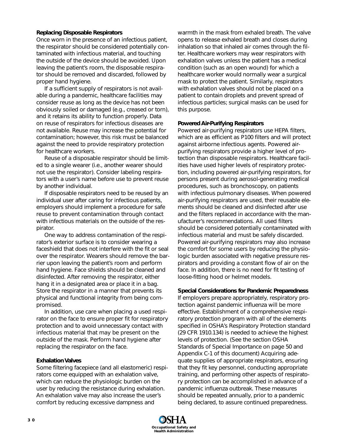#### *Replacing Disposable Respirators*

Once worn in the presence of an infectious patient, the respirator should be considered potentially contaminated with infectious material, and touching the outside of the device should be avoided. Upon leaving the patient's room, the disposable respirator should be removed and discarded, followed by proper hand hygiene.

If a sufficient supply of respirators is not available during a pandemic, healthcare facilities may consider reuse as long as the device has not been obviously soiled or damaged (e.g., creased or torn), and it retains its ability to function properly. Data on reuse of respirators for infectious diseases are not available. Reuse may increase the potential for contamination; however, this risk must be balanced against the need to provide respiratory protection for healthcare workers.

Reuse of a disposable respirator should be limited to a single wearer (i.e., another wearer should not use the respirator). Consider labeling respirators with a user's name before use to prevent reuse by another individual.

If disposable respirators need to be reused by an individual user after caring for infectious patients, employers should implement a procedure for safe reuse to prevent contamination through contact with infectious materials on the outside of the respirator.

One way to address contamination of the respirator's exterior surface is to consider wearing a faceshield that does not interfere with the fit or seal over the respirator. Wearers should remove the barrier upon leaving the patient's room and perform hand hygiene. Face shields should be cleaned and disinfected. After removing the respirator, either hang it in a designated area or place it in a bag. Store the respirator in a manner that prevents its physical and functional integrity from being compromised.

In addition, use care when placing a used respirator on the face to ensure proper fit for respiratory protection and to avoid unnecessary contact with infectious material that may be present on the outside of the mask. Perform hand hygiene after replacing the respirator on the face.

### *Exhalation Valves*

Some filtering facepiece (and all elastomeric) respirators come equipped with an exhalation valve, which can reduce the physiologic burden on the user by reducing the resistance during exhalation. An exhalation valve may also increase the user's comfort by reducing excessive dampness and

warmth in the mask from exhaled breath. The valve opens to release exhaled breath and closes during inhalation so that inhaled air comes through the filter. Healthcare workers may wear respirators with exhalation valves unless the patient has a medical condition (such as an open wound) for which a healthcare worker would normally wear a surgical mask to protect the patient. Similarly, respirators with exhalation valves should not be placed on a patient to contain droplets and prevent spread of infectious particles; surgical masks can be used for this purpose.

#### *Powered Air-Purifying Respirators*

Powered air-purifying respirators use HEPA filters, which are as efficient as P100 filters and will protect against airborne infectious agents. Powered airpurifying respirators provide a higher level of protection than disposable respirators. Healthcare facilities have used higher levels of respiratory protection, including powered air-purifying respirators, for persons present during aerosol-generating medical procedures, such as bronchoscopy, on patients with infectious pulmonary diseases. When powered air-purifying respirators are used, their reusable elements should be cleaned and disinfected after use and the filters replaced in accordance with the manufacturer's recommendations. All used filters should be considered potentially contaminated with infectious material and must be safely discarded. Powered air-purifying respirators may also increase the comfort for some users by reducing the physiologic burden associated with negative pressure respirators and providing a constant flow of air on the face. In addition, there is no need for fit testing of loose-fitting hood or helmet models.

#### *Special Considerations for Pandemic Preparedness*

If employers prepare appropriately, respiratory protection against pandemic influenza will be more effective. Establishment of a comprehensive respiratory protection program with all of the elements specified in OSHA's Respiratory Protection standard (29 CFR 1910.134) is needed to achieve the highest levels of protection. (See the section OSHA Standards of Special Importance on page 50 and Appendix C-1 of this document) Acquiring adequate supplies of appropriate respirators, ensuring that they fit key personnel, conducting appropriate training, and performing other aspects of respiratory protection can be accomplished in advance of a pandemic influenza outbreak. These measures should be repeated annually, prior to a pandemic being declared, to assure continued preparedness.

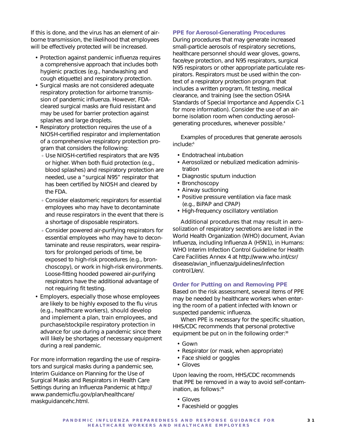If this is done, and the virus has an element of airborne transmission, the likelihood that employees will be effectively protected will be increased.

- Protection against pandemic influenza requires a comprehensive approach that includes both hygienic practices (e.g., handwashing and cough etiquette) and respiratory protection.
- Surgical masks are not considered adequate respiratory protection for airborne transmission of pandemic influenza. However, FDAcleared surgical masks are fluid resistant and may be used for barrier protection against splashes and large droplets.
- Respiratory protection requires the use of a NIOSH-certified respirator and implementation of a comprehensive respiratory protection program that considers the following:
	- Use NIOSH-certified respirators that are N95 or higher. When both fluid protection (e.g., blood splashes) and respiratory protection are needed, use a "surgical N95" respirator that has been certified by NIOSH and cleared by the FDA.
	- Consider elastomeric respirators for essential employees who may have to decontaminate and reuse respirators in the event that there is a shortage of disposable respirators.
	- Consider powered air-purifying respirators for essential employees who may have to decontaminate and reuse respirators, wear respirators for prolonged periods of time, be exposed to high-risk procedures (e.g., bronchoscopy), or work in high-risk environments. Loose-fitting hooded powered air-purifying respirators have the additional advantage of not requiring fit testing.
- Employers, especially those whose employees are likely to be highly exposed to the flu virus (e.g., healthcare workers), should develop and implement a plan, train employees, and purchase/stockpile respiratory protection in advance for use during a pandemic since there will likely be shortages of necessary equipment during a real pandemic.

For more information regarding the use of respirators and surgical masks during a pandemic see, *Interim Guidance on Planning for the Use of Surgical Masks and Respirators in Health Care Settings during an Influenza Pandemic* at http:// www.pandemicflu.gov/plan/healthcare/ maskguidancehc.html.

#### **PPE for Aerosol-Generating Procedures**

During procedures that may generate increased small-particle aerosols of respiratory secretions, healthcare personnel should wear gloves, gowns, face/eye protection, and N95 respirators, surgical N95 respirators or other appropriate particulate respirators. Respirators must be used within the context of a respiratory protection program that includes a written program, fit testing, medical clearance, and training (see the section OSHA Standards of Special Importance and Appendix C-1 for more information). Consider the use of an airborne isolation room when conducting aerosolgenerating procedures, whenever possible.4

Examples of procedures that generate aerosols include:6

- Endotracheal intubation
- Aerosolized or nebulized medication administration
- Diagnostic sputum induction
- Bronchoscopy
- Airway suctioning
- Positive pressure ventilation via face mask (e.g., BiPAP and CPAP)
- High-frequency oscillatory ventilation

Additional procedures that may result in aerosolization of respiratory secretions are listed in the World Health Organization (WHO) document, *Avian Influenza, including Influenza A (H5N1), in Humans: WHO Interim Infection Control Guideline for Health Care Facilities* Annex 4 at http://www.who.int/csr/ disease/avian\_influenza/guidelines/infection control1/en/.

#### **Order for Putting on and Removing PPE**

Based on the risk assessment, several items of PPE may be needed by healthcare workers when entering the room of a patient infected with known or suspected pandemic influenza.

When PPE is necessary for the specific situation, HHS/CDC recommends that personal protective equipment be put on in the following order:<sup>38</sup>

- Gown
- Respirator (or mask, when appropriate)
- Face shield or goggles
- Gloves

Upon leaving the room, HHS/CDC recommends that PPE be removed in a way to avoid self-contamination, as follows:<sup>38</sup>

- Gloves
- Faceshield or goggles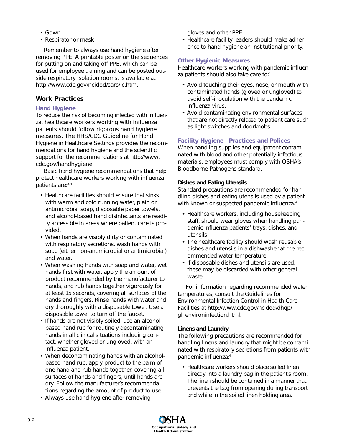- Gown
- Respirator or mask

Remember to always use hand hygiene after removing PPE. A printable poster on the sequences for putting on and taking off PPE, which can be used for employee training and can be posted outside respiratory isolation rooms, is available at http://www.cdc.gov/ncidod/sars/ic.htm.

# **Work Practices**

### **Hand Hygiene**

To reduce the risk of becoming infected with influenza, healthcare workers working with influenza patients should follow rigorous hand hygiene measures. The HHS/CDC *Guideline for Hand Hygiene in Healthcare Settings* provides the recommendations for hand hygiene and the scientific support for the recommendations at http://www. cdc.gov/handhygiene.

Basic hand hygiene recommendations that help protect healthcare workers working with influenza patients are:3, 4

- Healthcare facilities should ensure that sinks with warm and cold running water, plain or antimicrobial soap, disposable paper towels, and alcohol-based hand disinfectants are readily accessible in areas where patient care is provided.
- When hands are visibly dirty or contaminated with respiratory secretions, wash hands with soap (either non-antimicrobial or antimicrobial) and water.
- When washing hands with soap and water, wet hands first with water, apply the amount of product recommended by the manufacturer to hands, and rub hands together vigorously for at least 15 seconds, covering all surfaces of the hands and fingers. Rinse hands with water and dry thoroughly with a disposable towel. Use a disposable towel to turn off the faucet.
- If hands are not visibly soiled, use an alcoholbased hand rub for routinely decontaminating hands in all clinical situations including contact, whether gloved or ungloved, with an influenza patient.
- When decontaminating hands with an alcoholbased hand rub, apply product to the palm of one hand and rub hands together, covering all surfaces of hands and fingers, until hands are dry. Follow the manufacturer's recommendations regarding the amount of product to use.
- Always use hand hygiene after removing

gloves and other PPE.

• Healthcare facility leaders should make adherence to hand hygiene an institutional priority.

#### **Other Hygienic Measures**

Healthcare workers working with pandemic influenza patients should also take care to:<sup>4</sup>

- Avoid touching their eyes, nose, or mouth with contaminated hands (gloved or ungloved) to avoid self-inoculation with the pandemic influenza virus.
- Avoid contaminating environmental surfaces that are not directly related to patient care such as light switches and doorknobs.

### **Facility Hygiene—Practices and Polices**

When handling supplies and equipment contaminated with blood and other potentially infectious materials, employees must comply with OSHA's Bloodborne Pathogens standard.

#### *Dishes and Eating Utensils*

Standard precautions are recommended for handling dishes and eating utensils used by a patient with known or suspected pandemic influenza.<sup>4</sup>

- Healthcare workers, including housekeeping staff, should wear gloves when handling pandemic influenza patients' trays, dishes, and utensils.
- The healthcare facility should wash reusable dishes and utensils in a dishwasher at the recommended water temperature.
- If disposable dishes and utensils are used, these may be discarded with other general waste.

For information regarding recommended water temperatures, consult the *Guidelines for Environmental Infection Control in Health-Care Facilities* at http://www.cdc.gov/ncidod/dhqp/ gl\_environinfection.html.

### *Linens and Laundry*

The following precautions are recommended for handling linens and laundry that might be contaminated with respiratory secretions from patients with pandemic influenza:4

• Healthcare workers should place soiled linen directly into a laundry bag in the patient's room. The linen should be contained in a manner that prevents the bag from opening during transport and while in the soiled linen holding area.

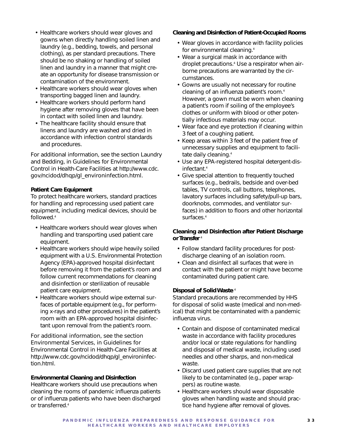- Healthcare workers should wear gloves and gowns when directly handling soiled linen and laundry (e.g., bedding, towels, and personal clothing), as per standard precautions. There should be no shaking or handling of soiled linen and laundry in a manner that might create an opportunity for disease transmission or contamination of the environment.
- Healthcare workers should wear gloves when transporting bagged linen and laundry.
- Healthcare workers should perform hand hygiene after removing gloves that have been in contact with soiled linen and laundry.
- The healthcare facility should ensure that linens and laundry are washed and dried in accordance with infection control standards and procedures.

For additional information, see the section Laundry and Bedding, in *Guidelines for Environmental Control in Health-Care Facilities* at http://www.cdc. gov/ncidod/dhqp/gl\_environinfection.html.

### *Patient Care Equipment*

To protect healthcare workers, standard practices for handling and reprocessing used patient care equipment, including medical devices, should be followed.4

- Healthcare workers should wear gloves when handling and transporting used patient care equipment.
- Healthcare workers should wipe heavily soiled equipment with a U.S. Environmental Protection Agency (EPA)-approved hospital disinfectant before removing it from the patient's room and follow current recommendations for cleaning and disinfection or sterilization of reusable patient care equipment.
- Healthcare workers should wipe external surfaces of portable equipment (e.g., for performing x-rays and other procedures) in the patient's room with an EPA-approved hospital disinfectant upon removal from the patient's room.

For additional information, see the section Environmental Services, in *Guidelines for Environmental Control in Health-Care Facilities* at http://www.cdc.gov/ncidod/dhqp/gl\_environinfection.html.

## *Environmental Cleaning and Disinfection*

Healthcare workers should use precautions when cleaning the rooms of pandemic influenza patients or of influenza patients who have been discharged or transferred.4

#### *Cleaning and Disinfection of Patient-Occupied Rooms*

- Wear gloves in accordance with facility policies for environmental cleaning.4
- Wear a surgical mask in accordance with droplet precautions.4 Use a respirator when airborne precautions are warranted by the circumstances.
- Gowns are usually not necessary for routine cleaning of an influenza patient's room.<sup>4</sup> However, a gown must be worn when cleaning a patient's room if soiling of the employee's clothes or uniform with blood or other potentially infectious materials may occur.
- Wear face and eye protection if cleaning within 3 feet of a coughing patient.
- Keep areas within 3 feet of the patient free of unnecessary supplies and equipment to facilitate daily cleaning.<sup>4</sup>
- Use any EPA-registered hospital detergent-disinfectant.4
- Give special attention to frequently touched surfaces (e.g., bedrails, bedside and over-bed tables, TV controls, call buttons, telephones, lavatory surfaces including safety/pull-up bars, doorknobs, commodes, and ventilator surfaces) in addition to floors and other horizontal surfaces.<sup>4</sup>

### *Cleaning and Disinfection after Patient Discharge or Transfer* <sup>4</sup>

- Follow standard facility procedures for postdischarge cleaning of an isolation room.
- Clean and disinfect all surfaces that were in contact with the patient or might have become contaminated during patient care.

#### *Disposal of Solid Waste* <sup>4</sup>

Standard precautions are recommended by HHS for disposal of solid waste (medical and non-medical) that might be contaminated with a pandemic influenza virus.

- Contain and dispose of contaminated medical waste in accordance with facility procedures and/or local or state regulations for handling and disposal of medical waste, including used needles and other sharps, and non-medical waste.
- Discard used patient care supplies that are not likely to be contaminated (e.g., paper wrappers) as routine waste.
- Healthcare workers should wear disposable gloves when handling waste and should practice hand hygiene after removal of gloves.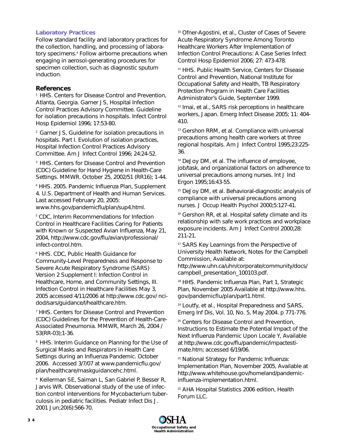#### **Laboratory Practices**

Follow standard facility and laboratory practices for the collection, handling, and processing of laboratory specimens.<sup>4</sup> Follow airborne precautions when engaging in aerosol-generating procedures for specimen collection, such as diagnostic sputum induction.

### **References**

<sup>1</sup> HHS. Centers for Disease Control and Prevention, Atlanta, Georgia. Garner JS, Hospital Infection Control Practices Advisory Committee. Guideline for isolation precautions in hospitals. Infect Control Hosp Epidemiol 1996; 17:53-80.

2 Garner JS, Guideline for isolation precautions in hospitals. Part I. Evolution of isolation practices, Hospital Infection Control Practices Advisory Committee. Am J Infect Control 1996; 24:24-52.

<sup>3</sup> HHS. Centers for Disease Control and Prevention (CDC) Guideline for Hand Hygiene in Health-Care Settings. MMWR. October 25, 2002/51 (RR16); 1-44.

4 HHS. 2005. Pandemic Influenza Plan, Supplement 4. U.S. Department of Health and Human Services. Last accessed February 20, 2005: www.hhs.gov/pandemicflu/plan/sup4.html.

<sup>5</sup> CDC, Interim Recommendations for Infection Control in Healthcare Facilities Caring for Patients with Known or Suspected Avian Influenza, May 21, 2004, http://www.cdc.gov/flu/avian/professional/ infect-control.htm.

6 HHS. CDC, Public Health Guidance for Community-Level Preparedness and Response to Severe Acute Respiratory Syndrome (SARS) Version 2 Supplement I: Infection Control in Healthcare, Home, and Community Settings, III. Infection Control in Healthcare Facilities May 3, 2005 accessed 4/11/2006 at http://www.cdc.gov/ ncidod/sars/guidance/I/healthcare.htm.

7 HHS. Centers for Disease Control and Prevention (CDC) Guidelines for the Prevention of Health-Care-Associated Pneumonia. MMWR, March 26, 2004 / 53(RR-03);1-36.

<sup>8</sup> HHS. Interim Guidance on Planning for the Use of Surgical Masks and Respirators in Health Care Settings during an Influenza Pandemic. October 2006. Accessed 3/7/07 at www.pandemicflu.gov/ plan/healthcare/maskguidancehc.html.

9 Kellerman SE, Saiman L, San Gabriel P, Besser R, Jarvis WR. Observational study of the use of infection control interventions for Mycobacterium tuberculosis in pediatric facilities. Pediatr Infect Dis J. 2001 Jun;20(6):566-70.

<sup>10</sup> Ofner-Agostini, et al., Cluster of Cases of Severe Acute Respiratory Syndrome Among Toronto Healthcare Workers After Implementation of Infection Control Precautions: A Case Series Infect Control Hosp Epidemiol 2006; 27: 473-478.

11 HHS. Public Health Service, Centers for Disease Control and Prevention, National Institute for Occupational Safety and Health, TB Respiratory Protection Program in Health Care Facilities Administrator's Guide, September 1999.

12 Imai, et al., SARS risk perceptions in healthcare workers, Japan. Emerg Infect Disease 2005; 11: 404- 410.

<sup>13</sup> Gershon RRM, et al. Compliance with universal precautions among health care workers at three regional hospitals. Am J Infect Control 1995;23:225- 36.

<sup>14</sup> DeJoy DM, et al. The influence of employee, job/task, and organizational factors on adherence to universal precautions among nurses. Int J Ind Ergon 1995;16:43-55.

15 DeJoy DM, et al. Behavioral-diagnostic analysis of compliance with universal precautions among nurses. J Occup Health Psychol 2000;5:127-41.

<sup>16</sup> Gershon RR, et al. Hospital safety climate and its relationship with safe work practices and workplace exposure incidents. Am J Infect Control 2000;28: 211-21.

17 SARS Key Learnings from the Perspective of University Health Network, Notes for the Campbell Commission, Available at:

http://www.uhn.ca/uhn/corporate/community/docs/ campbell\_presentation\_100103.pdf.

<sup>18</sup> HHS. Pandemic Influenza Plan, Part 1, Strategic Plan, November 2005 Available at http://www.hhs. gov/pandemicflu/plan/part1.html.

19 Loutfy, et al., Hospital Preparedness and SARS, Emerg Inf Dis, Vol. 10, No. 5, May 2004. p 771-776.

<sup>20</sup> Centers for Disease Control and Prevention, Instructions to Estimate the Potential Impact of the Next Influenza Pandemic Upon Locale Y, Available at http://www.cdc.gov/flu/pandemic/impactestimate.htm; accessed 6/19/06.

<sup>21</sup> National Strategy for Pandemic Influenza: Implementation Plan, November 2005, Available at http://www.whitehouse.gov/homeland/pandemicinfluenza-implementation.html.

<sup>22</sup> AHA Hospital Statistics 2006 edition, Health Forum LLC.

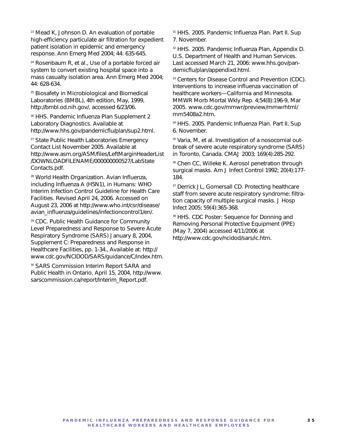23 Mead K, Johnson D. An evaluation of portable high-efficiency particulate air filtration for expedient patient isolation in epidemic and emergency response. Ann Emerg Med 2004; 44: 635-645.

<sup>24</sup> Rosenbaum R, et al., Use of a portable forced air system to convert existing hospital space into a mass casualty isolation area. Ann Emerg Med 2004; 44: 628-634.

<sup>25</sup> Biosafety in Microbiological and Biomedical Laboratories (BMBL), 4th edition, May, 1999, http://bmbl.od.nih.gov/, accessed 6/23/06.

<sup>26</sup> HHS. Pandemic Influenza Plan Supplement 2 Laboratory Diagnostics. Available at http://www.hhs.gov/pandemicflu/plan/sup2.html.

27 State Public Health Laboratories Emergency Contact List November 2005. Available at http://www.asm.org/ASM/files/LeftMarginHeaderList /DOWNLOADFILENAME/000000000527/LabState Contacts.pdf.

28 World Health Organization. Avian Influenza, including Influenza A (H5N1), in Humans: WHO Interim Infection Control Guideline for Health Care Facilities. Revised April 24, 2006. Accessed on August 23, 2006 at http://www.who.int/csr/disease/ avian\_influenza/guidelines/infectioncontrol1/en/.

29 CDC. Public Health Guidance for Community Level Preparedness and Response to Severe Acute Respiratory Syndrome (SARS) January 8, 2004, Supplement C: Preparedness and Response in Healthcare Facilities, pp. 1-34., Available at: http:// www.cdc.gov/NCIDOD/SARS/guidance/C/index.htm.

<sup>30</sup> SARS Commission Interim Report SARA and Public Health in Ontario, April 15, 2004, http://www. sarscommission.ca/report/Interim\_Report.pdf.

31 HHS. 2005. Pandemic Influenza Plan. Part II. Sup 7. November.

<sup>32</sup> HHS. 2005. Pandemic Influenza Plan, Appendix D. U.S. Department of Health and Human Services. Last accessed March 21, 2006: www.hhs.gov/pandemicflu/plan/appendixd.html.

<sup>33</sup> Centers for Disease Control and Prevention (CDC). Interventions to increase influenza vaccination of healthcare workers—California and Minnesota. MMWR Morb Mortal Wkly Rep. 4;54(8):196-9, Mar 2005. www.cdc.gov/mmwr/preview/mmwrhtml/ mm5408a2.htm.

34 HHS. 2005. Pandemic Influenza Plan. Part II. Sup 6. November.

35 Varia, M, et al. Investigation of a nosocomial outbreak of severe acute respiratory syndrome (SARS) in Toronto, Canada. CMAJ 2003; 169(4):285-292.

<sup>36</sup> Chen CC, Willeke K. Aerosol penetration through surgical masks. Am J Infect Control 1992; 20(4):177- 184.

<sup>37</sup> Derrick JL, Gomersall CD. Protecting healthcare staff from severe acute respiratory syndrome: filtration capacity of multiple surgical masks. J Hosp Infect 2005; 59(4):365-368.

38 HHS. CDC Poster: Sequence for Donning and Removing Personal Protective Equipment (PPE) (May 7, 2004) accessed 4/11/2006 at http://www.cdc.gov/ncidod/sars/ic.htm.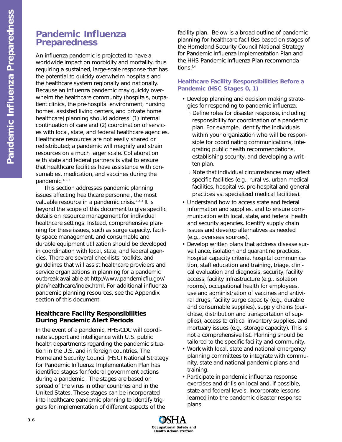# **Pandemic Influenza Preparedness**

An influenza pandemic is projected to have a worldwide impact on morbidity and mortality, thus requiring a sustained, large-scale response that has the potential to quickly overwhelm hospitals and the healthcare system regionally and nationally. Because an influenza pandemic may quickly overwhelm the healthcare community (hospitals, outpatient clinics, the pre-hospital environment, nursing homes, assisted living centers, and private home healthcare) planning should address: (1) internal continuation of care and (2) coordination of services with local, state, and federal healthcare agencies. Healthcare resources are not easily shared or redistributed; a pandemic will magnify and strain resources on a much larger scale. Collaboration with state and federal partners is vital to ensure that healthcare facilities have assistance with consumables, medication, and vaccines during the pandemic.1, 2, 3

This section addresses pandemic planning issues affecting healthcare personnel, the most valuable resource in a pandemic crisis.<sup>1, 2, 3</sup> It is beyond the scope of this document to give specific details on resource management for individual healthcare settings. Instead, comprehensive planning for these issues, such as surge capacity, facility space management, and consumable and durable equipment utilization should be developed in coordination with local, state, and federal agencies. There are several checklists, toolkits, and guidelines that will assist healthcare providers and service organizations in planning for a pandemic outbreak available at http://www.pandemicflu.gov/ plan/healthcare/index.html. For additional influenza pandemic planning resources, see the Appendix section of this document.

# **Healthcare Facility Responsibilities During Pandemic Alert Periods**

In the event of a pandemic, HHS/CDC will coordinate support and intelligence with U.S. public health departments regarding the pandemic situation in the U.S. and in foreign countries. The Homeland Security Council (HSC) National Strategy for Pandemic Influenza Implementation Plan has identified stages for federal government actions during a pandemic. The stages are based on spread of the virus in other countries and in the United States. These stages can be incorporated into healthcare pandemic planning to identify triggers for implementation of different aspects of the

facility plan. Below is a broad outline of pandemic planning for healthcare facilities based on stages of the Homeland Security Council National Strategy for Pandemic Influenza Implementation Plan and the HHS *Pandemic Influenza Plan* recommendations.<sup>1,4</sup>

# **Healthcare Facility Responsibilities Before a Pandemic (HSC Stages 0, 1)**

- Develop planning and decision making strategies for responding to pandemic influenza.
	- Define roles for disaster response, including responsibility for coordination of a pandemic plan. For example, identify the individuals within your organization who will be responsible for coordinating communications, integrating public health recommendations, establishing security, and developing a written plan.
	- Note that individual circumstances may affect specific facilities (e.g., rural vs. urban medical facilities, hospital vs. pre-hospital and general practices vs. specialized medical facilities).
- Understand how to access state and federal information and supplies, and to ensure communication with local, state, and federal health and security agencies. Identify supply chain issues and develop alternatives as needed (e.g., overseas sources).
- Develop written plans that address disease surveillance, isolation and quarantine practices, hospital capacity criteria, hospital communication, staff education and training, triage, clinical evaluation and diagnosis, security, facility access, facility infrastructure (e.g., isolation rooms), occupational health for employees, use and administration of vaccines and antiviral drugs, facility surge capacity (e.g., durable and consumable supplies), supply chains (purchase, distribution and transportation of supplies), access to critical inventory supplies, and mortuary issues (e.g., storage capacity). This is not a comprehensive list. Planning should be tailored to the specific facility and community.
- Work with local, state and national emergency planning committees to integrate with community, state and national pandemic plans and training.
- Participate in pandemic influenza response exercises and drills on local and, if possible, state and federal levels. Incorporate lessons learned into the pandemic disaster response plans.

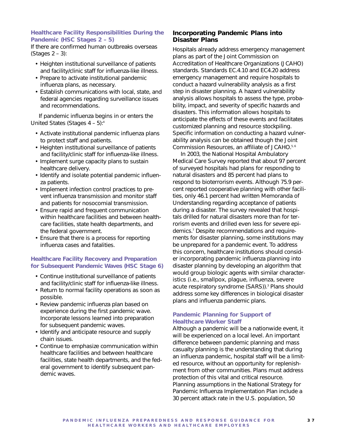## **Healthcare Facility Responsibilities During the Pandemic (HSC Stages 2 – 5)**

If there are confirmed human outbreaks overseas  $(Staces 2 - 3):$ 

- Heighten institutional surveillance of patients and facility/clinic staff for influenza-like illness.
- Prepare to activate institutional pandemic influenza plans, as necessary.
- Establish communications with local, state, and federal agencies regarding surveillance issues and recommendations.

If pandemic influenza begins in or enters the United States (Stages  $4 - 5$ ):<sup>4</sup>

- Activate institutional pandemic influenza plans to protect staff and patients.
- Heighten institutional surveillance of patients and facility/clinic staff for influenza-like illness.
- Implement surge capacity plans to sustain healthcare delivery.
- Identify and isolate potential pandemic influenza patients.
- Implement infection control practices to prevent influenza transmission and monitor staff and patients for nosocomial transmission.
- Ensure rapid and frequent communication within healthcare facilities and between healthcare facilities, state health departments, and the federal government.
- Ensure that there is a process for reporting influenza cases and fatalities.

## **Healthcare Facility Recovery and Preparation for Subsequent Pandemic Waves (HSC Stage 6)**

- Continue institutional surveillance of patients and facility/clinic staff for influenza-like illness.
- Return to normal facility operations as soon as possible.
- Review pandemic influenza plan based on experience during the first pandemic wave. Incorporate lessons learned into preparation for subsequent pandemic waves.
- Identify and anticipate resource and supply chain issues.
- Continue to emphasize communication within healthcare facilities and between healthcare facilities, state health departments, and the federal government to identify subsequent pandemic waves.

# **Incorporating Pandemic Plans into Disaster Plans**

Hospitals already address emergency management plans as part of the Joint Commission on Accreditation of Healthcare Organizations (JCAHO) standards. Standards EC.4.10 and EC4.20 address emergency management and require hospitals to conduct a hazard vulnerability analysis as a first step in disaster planning. A hazard vulnerability analysis allows hospitals to assess the type, probability, impact, and severity of specific hazards and disasters. This information allows hospitals to anticipate the effects of these events and facilitates customized planning and resource stockpiling. Specific information on conducting a hazard vulnerability analysis can be obtained though the Joint Commission Resources, an affiliate of JCAHO.<sup>5,6</sup>

In 2003, the National Hospital Ambulatory Medical Care Survey reported that about 97 percent of surveyed hospitals had plans for responding to natural disasters and 85 percent had plans to respond to bioterrorism events. Although 75.9 percent reported cooperative planning with other facilities, only 46.1 percent had written Memoranda of Understanding regarding acceptance of patients during a disaster. The survey revealed that hospitals drilled for natural disasters more than for terrorism events and drilled even less for severe epidemics.7 Despite recommendations and requirements for disaster planning, some institutions may be unprepared for a pandemic event. To address this concern, healthcare institutions should consider incorporating pandemic influenza planning into disaster planning by developing an algorithm that would group biologic agents with similar characteristics (i.e., smallpox, plague, influenza, severe acute respiratory syndrome (SARS)).<sup>3</sup> Plans should address some key differences in biological disaster plans and influenza pandemic plans.

## **Pandemic Planning for Support of Healthcare Worker Staff**

Although a pandemic will be a nationwide event, it will be experienced on a local level. An important difference between pandemic planning and mass casualty planning is the understanding that during an influenza pandemic, hospital staff will be a limited resource, without an opportunity for replenishment from other communities. Plans must address protection of this vital and critical resource. Planning assumptions in the *National Strategy for Pandemic Influenza Implementation Plan* include a 30 percent attack rate in the U.S. population, 50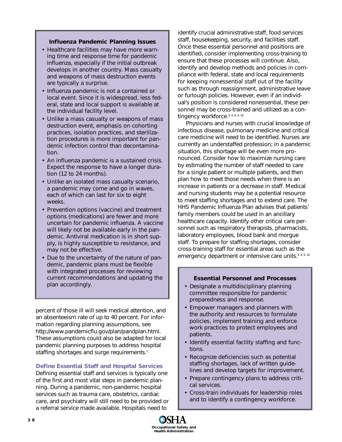#### **Influenza Pandemic Planning Issues**

- Healthcare facilities may have more warning time and response time for pandemic influenza, especially if the initial outbreak develops in another country. Mass casualty and weapons of mass destruction events are typically a surprise.
- Influenza pandemic is not a contained or local event. Since it is widespread, less federal, state and local support is available at the individual facility level.
- Unlike a mass casualty or weapons of mass destruction event, emphasis on cohorting practices, isolation practices, and sterilization procedures is more important for pandemic infection control than decontamination.
- An influenza pandemic is a sustained crisis. Expect the response to have a longer duration (12 to 24 months).
- Unlike an isolated mass casualty scenario, a pandemic may come and go in waves, each of which can last for six to eight weeks.
- Prevention options (vaccine) and treatment options (medications) are fewer and more uncertain for pandemic influenza. A vaccine will likely not be available early in the pandemic. Antiviral medication is in short supply, is highly susceptible to resistance, and may not be effective.
- Due to the uncertainty of the nature of pandemic, pandemic plans must be flexible with integrated processes for reviewing current recommendations and updating the plan accordingly.

percent of those ill will seek medical attention, and an absenteeism rate of up to 40 percent. For information regarding planning assumptions, see http://www.pandemicflu.gov/plan/pandplan.html. These assumptions could also be adapted for local pandemic planning purposes to address hospital staffing shortages and surge requirements.<sup>1</sup>

#### **Define Essential Staff and Hospital Services**

Defining essential staff and services is typically one of the first and most vital steps in pandemic planning. During a pandemic, non-pandemic hospital services such as trauma care, obstetrics, cardiac care, and psychiatry will still need to be provided or a referral service made available. Hospitals need to

identify crucial administrative staff, food services staff, housekeeping, security, and facilities staff. Once these essential personnel and positions are identified, consider implementing cross-training to ensure that these processes will continue. Also, identify and develop methods and policies in compliance with federal, state and local requirements for keeping nonessential staff out of the facility such as through reassignment, administrative leave or furlough policies. However, even if an individual's position is considered nonessential, these personnel may be cross-trained and utilized as a contingency workforce.<sup>3, 4, 8, 9, 10</sup>

Physicians and nurses with crucial knowledge of infectious disease, pulmonary medicine and critical care medicine will need to be identified. Nurses are currently an understaffed profession; in a pandemic situation, this shortage will be even more pronounced. Consider how to maximize nursing care by estimating the number of staff needed to care for a single patient or multiple patients, and then plan how to meet those needs when there is an increase in patients or a decrease in staff. Medical and nursing students may be a potential resource to meet staffing shortages and to extend care. The HHS *Pandemic Influenza Plan* advises that patients' family members could be used in an ancillary healthcare capacity. Identify other critical care personnel such as respiratory therapists, pharmacists, laboratory employees, blood bank and morgue staff. To prepare for staffing shortages, consider cross-training staff for essential areas such as the emergency department or intensive care units.<sup>4, 8, 9, 10</sup>

#### **Essential Personnel and Processes**

- Designate a multidisciplinary planning committee responsible for pandemic preparedness and response.
- Empower managers and planners with the authority and resources to formulate policies, implement training and enforce work practices to protect employees and patients.
- Identify essential facility staffing and functions.
- Recognize deficiencies such as potential staffing shortages, lack of written guidelines and develop targets for improvement.
- Prepare contingency plans to address critical services.
- Cross-train individuals for leadership roles and to identify a contingency workforce.

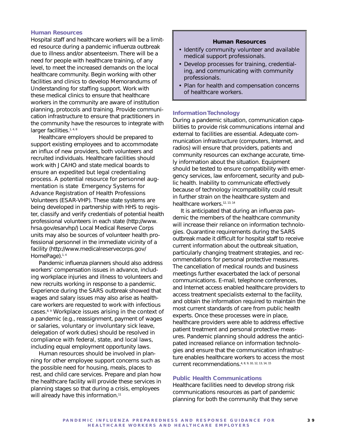#### **Human Resources**

Hospital staff and healthcare workers will be a limited resource during a pandemic influenza outbreak due to illness and/or absenteeism. There will be a need for people with healthcare training, of any level, to meet the increased demands on the local healthcare community. Begin working with other facilities and clinics to develop Memorandums of Understanding for staffing support. Work with these medical clinics to ensure that healthcare workers in the community are aware of institution planning, protocols and training. Provide communication infrastructure to ensure that practitioners in the community have the resources to integrate with larger facilities.<sup>1, 4, 8</sup>

Healthcare employers should be prepared to support existing employees and to accommodate an influx of new providers, both volunteers and recruited individuals. Healthcare facilities should work with JCAHO and state medical boards to ensure an expedited but legal credentialing process. A potential resource for personnel augmentation is state Emergency Systems for Advance Registration of Health Professions Volunteers (ESAR-VHP). These state systems are being developed in partnership with HHS to register, classify and verify credentials of potential health professional volunteers in each state (http://www. hrsa.gov/esarvhp/) Local Medical Reserve Corps units may also be sources of volunteer health professional personnel in the immediate vicinity of a facility (http://www.medicalreservecorps.gov/ HomePage).<sup>1,4</sup>

Pandemic influenza planners should also address workers' compensation issues in advance, including workplace injuries and illness to volunteers and new recruits working in response to a pandemic. Experience during the SARS outbreak showed that wages and salary issues may also arise as healthcare workers are requested to work with infectious cases.<sup>8, 9</sup> Workplace issues arising in the context of a pandemic (e.g., reassignment, payment of wages or salaries, voluntary or involuntary sick leave, delegation of work duties) should be resolved in compliance with federal, state, and local laws, including equal employment opportunity laws.

Human resources should be involved in planning for other employee support concerns such as the possible need for housing, meals, places to rest, and child care services. Prepare and plan how the healthcare facility will provide these services in planning stages so that during a crisis, employees will already have this information.<sup>11</sup>

#### **Human Resources**

- Identify community volunteer and available medical support professionals.
- Develop processes for training, credentialing, and communicating with community professionals.
- Plan for health and compensation concerns of healthcare workers.

#### **Information Technology**

During a pandemic situation, communication capabilities to provide risk communications internal and external to facilities are essential. Adequate communication infrastructure (computers, Internet, and radios) will ensure that providers, patients and community resources can exchange accurate, timely information about the situation. Equipment should be tested to ensure compatibility with emergency services, law enforcement, security and public health. Inability to communicate effectively because of technology incompatibility could result in further strain on the healthcare system and healthcare workers.<sup>12, 13, 14</sup>

It is anticipated that during an influenza pandemic the members of the healthcare community will increase their reliance on information technologies. Quarantine requirements during the SARS outbreak made it difficult for hospital staff to receive current information about the outbreak situation, particularly changing treatment strategies, and recommendations for personal protective measures. The cancellation of medical rounds and business meetings further exacerbated the lack of personal communications. E-mail, telephone conferences, and Internet access enabled healthcare providers to access treatment specialists external to the facility, and obtain the information required to maintain the most current standards of care from public health experts. Once these processes were in place, healthcare providers were able to address effective patient treatment and personal protective measures. Pandemic planning should address the anticipated increased reliance on information technologies and ensure that the communication infrastructure enables healthcare workers to access the most current recommendations.4, 8, 9, 10, 12, 13, 14, 15

#### **Public Health Communications**

Healthcare facilities need to develop strong risk communications resources as part of pandemic planning for both the community that they serve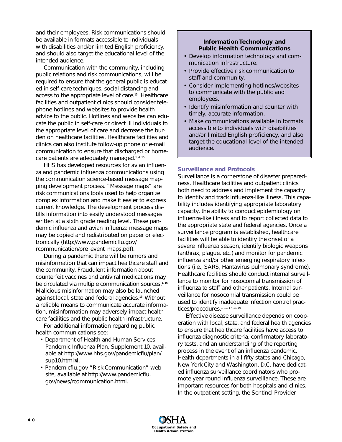and their employees. Risk communications should be available in formats accessible to individuals with disabilities and/or limited English proficiency, and should also target the educational level of the intended audience.

Communication with the community, including public relations and risk communications, will be required to ensure that the general public is educated in self-care techniques, social distancing and access to the appropriate level of care.15 Healthcare facilities and outpatient clinics should consider telephone hotlines and websites to provide health advice to the public. Hotlines and websites can educate the public in self-care or direct ill individuals to the appropriate level of care and decrease the burden on healthcare facilities. Healthcare facilities and clinics can also institute follow-up phone or e-mail communication to ensure that discharged or homecare patients are adequately managed.<sup>1, 4, 15</sup>

HHS has developed resources for avian influenza and pandemic influenza communications using the communication science-based message mapping development process. "Message maps" are risk communications tools used to help organize complex information and make it easier to express current knowledge. The development process distills information into easily understood messages written at a sixth grade reading level. These pandemic influenza and avian influenza message maps may be copied and redistributed on paper or electronically (http://www.pandemicflu.gov/ rcommunication/pre\_event\_maps.pdf).

During a pandemic there will be rumors and misinformation that can impact healthcare staff and the community. Fraudulent information about counterfeit vaccines and antiviral medications may be circulated via multiple communication sources.<sup>1, 16</sup> Malicious misinformation may also be launched against local, state and federal agencies.<sup>16</sup> Without a reliable means to communicate accurate information, misinformation may adversely impact healthcare facilities and the public health infrastructure.

For additional information regarding public health communications see:

- Department of Health and Human Services *Pandemic Influenza Plan, Supplement 10*, available at http://www.hhs.gov/pandemicflu/plan/ sup10.html#I.
- Pandemicflu.gov "Risk Communication" website, available at http://www.pandemicflu. gov/news/rcommunication.html.

# **Information Technology and Public Health Communications**

- Develop information technology and communication infrastructure.
- Provide effective risk communication to staff and community.
- Consider implementing hotlines/websites to communicate with the public and employees.
- Identify misinformation and counter with timely, accurate information.
- Make communications available in formats accessible to individuals with disabilities and/or limited English proficiency, and also target the educational level of the intended audience.

## **Surveillance and Protocols**

Surveillance is a cornerstone of disaster preparedness. Healthcare facilities and outpatient clinics both need to address and implement the capacity to identify and track influenza-like illness. This capability includes identifying appropriate laboratory capacity, the ability to conduct epidemiology on influenza-like illness and to report collected data to the appropriate state and federal agencies. Once a surveillance program is established, healthcare facilities will be able to identify the onset of a severe influenza season, identify biologic weapons (anthrax, plague, etc.) and monitor for pandemic influenza and/or other emerging respiratory infections (i.e., SARS, Hantavirus pulmonary syndrome). Healthcare facilities should conduct internal surveillance to monitor for nosocomial transmission of influenza to staff and other patients. Internal surveillance for nosocomial transmission could be used to identify inadequate infection control practices/procedures.<sup>1, 12, 17, 18, 19</sup>

Effective disease surveillance depends on cooperation with local, state, and federal health agencies to ensure that healthcare facilities have access to influenza diagnostic criteria, confirmatory laboratory tests, and an understanding of the reporting process in the event of an influenza pandemic. Health departments in all fifty states and Chicago, New York City and Washington, D.C. have dedicated influenza surveillance coordinators who promote year-round influenza surveillance. These are important resources for both hospitals and clinics. In the outpatient setting, the Sentinel Provider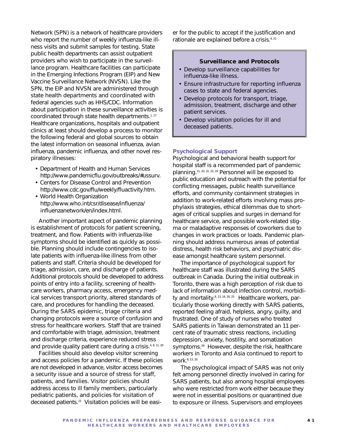Network (SPN) is a network of healthcare providers who report the number of weekly influenza-like illness visits and submit samples for testing. State public health departments can assist outpatient providers who wish to participate in the surveillance program. Healthcare facilities can participate in the Emerging Infections Program (EIP) and New Vaccine Surveillance Network (NVSN). Like the SPN, the EIP and NVSN are administered through state health departments and coordinated with federal agencies such as HHS/CDC. Information about participation in these surveillance activities is coordinated through state health departments.<sup>1, 17</sup> Healthcare organizations, hospitals and outpatient clinics at least should develop a process to monitor the following federal and global sources to obtain the latest information on seasonal influenza, avian influenza, pandemic influenza, and other novel respiratory illnesses:

- Department of Health and Human Services http://www.pandemicflu.gov/outbreaks/#ussurv.
- Centers for Disease Control and Prevention http://www.cdc.gov/flu/weekly/fluactivity.htm.
- World Health Organization http://www.who.int/csr/disease/influenza/ influenzanetwork/en/index.html.

Another important aspect of pandemic planning is establishment of protocols for patient screening, treatment, and flow. Patients with influenza-like symptoms should be identified as quickly as possible. Planning should include contingencies to isolate patients with influenza-like illness from other patients and staff. Criteria should be developed for triage, admission, care, and discharge of patients. Additional protocols should be developed to address points of entry into a facility, screening of healthcare workers, pharmacy access, emergency medical services transport priority, altered standards of care, and procedures for handling the deceased. During the SARS epidemic, triage criteria and changing protocols were a source of confusion and stress for healthcare workers. Staff that are trained and comfortable with triage, admission, treatment and discharge criteria, experience reduced stress and provide quality patient care during a crisis.<sup>4, 8, 11, 20</sup>

Facilities should also develop visitor screening and access policies for a pandemic. If these policies are not developed in advance, visitor access becomes a security issue and a source of stress for staff, patients, and families. Visitor policies should address access to ill family members, particularly pediatric patients, and policies for visitation of deceased patients.21 Visitation policies will be easier for the public to accept if the justification and rationale are explained before a crisis.4, 21

#### **Surveillance and Protocols**

- Develop surveillance capabilities for influenza-like illness.
- Ensure infrastructure for reporting influenza cases to state and federal agencies.
- Develop protocols for transport, triage, admission, treatment, discharge and other patient services.
- Develop visitation policies for ill and deceased patients.

#### **Psychological Support**

Psychological and behavioral health support for hospital staff is a recommended part of pandemic planning.11, 20, 22, 23, 24 Personnel will be exposed to public education and outreach with the potential for conflicting messages, public health surveillance efforts, and community containment strategies in addition to work-related efforts involving mass prophylaxis strategies, ethical dilemmas due to shortages of critical supplies and surges in demand for healthcare service, and possible work-related stigma or maladaptive responses of coworkers due to changes in work practices or loads. Pandemic planning should address numerous areas of potential distress, health risk behaviors, and psychiatric disease amongst healthcare system personnel.

The importance of psychological support for healthcare staff was illustrated during the SARS outbreak in Canada. During the initial outbreak in Toronto, there was a high perception of risk due to lack of information about infection control, morbidity and mortality.<sup>8, 13, 14, 20, 25</sup> Healthcare workers, particularly those working directly with SARS patients, reported feeling afraid, helpless, angry, guilty, and frustrated. One of study of nurses who treated SARS patients in Taiwan demonstrated an 11 percent rate of traumatic stress reactions, including depression, anxiety, hostility, and somatization symptoms.<sup>26</sup> However, despite the risk, healthcare workers in Toronto and Asia continued to report to work.8, 13, 20

The psychological impact of SARS was not only felt among personnel directly involved in caring for SARS patients, but also among hospital employees who were restricted from work either because they were not in essential positions or quarantined due to exposure or illness. Supervisors and employees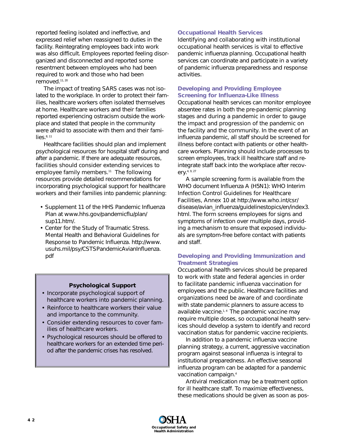reported feeling isolated and ineffective, and expressed relief when reassigned to duties in the facility. Reintegrating employees back into work was also difficult. Employees reported feeling disorganized and disconnected and reported some resentment between employees who had been required to work and those who had been removed.11, 20

The impact of treating SARS cases was not isolated to the workplace. In order to protect their families, healthcare workers often isolated themselves at home. Healthcare workers and their families reported experiencing ostracism outside the workplace and stated that people in the community were afraid to associate with them and their fami $lies. <sup>8, 11</sup>$ 

Healthcare facilities should plan and implement psychological resources for hospital staff during and after a pandemic. If there are adequate resources, facilities should consider extending services to employee family members.<sup>11</sup> The following resources provide detailed recommendations for incorporating psychological support for healthcare workers and their families into pandemic planning:

- Supplement 11 of the HHS *Pandemic Influenza Plan* at www.hhs.gov/pandemicflu/plan/ sup11.htm/.
- Center for the Study of Traumatic Stress. Mental Health and Behavioral Guidelines for Response to Pandemic Influenza. http://www. usuhs.mil/psy/CSTSPandemicAvianInfluenza. pdf

#### **Psychological Support**

- Incorporate psychological support of healthcare workers into pandemic planning.
- Reinforce to healthcare workers their value and importance to the community.
- Consider extending resources to cover families of healthcare workers.
- Psychological resources should be offered to healthcare workers for an extended time period after the pandemic crises has resolved.

#### **Occupational Health Services**

Identifying and collaborating with institutional occupational health services is vital to effective pandemic influenza planning. Occupational health services can coordinate and participate in a variety of pandemic influenza preparedness and response activities.

#### **Developing and Providing Employee Screening for Influenza-Like Illness**

Occupational health services can monitor employee absentee rates in both the pre-pandemic planning stages and during a pandemic in order to gauge the impact and progression of the pandemic on the facility and the community. In the event of an influenza pandemic, all staff should be screened for illness before contact with patients or other healthcare workers. Planning should include processes to screen employees, track ill healthcare staff and reintegrate staff back into the workplace after recovery.4, 9, 27

A sample screening form is available from the WHO document Influenza A (H5N1): WHO Interim Infection Control Guidelines for Healthcare Facilities, Annex 10 at http://www.who.int/csr/ disease/avian\_influenza/guidelinestopics/en/index3. html. The form screens employees for signs and symptoms of infection over multiple days, providing a mechanism to ensure that exposed individuals are symptom-free before contact with patients and staff.

## **Developing and Providing Immunization and Treatment Strategies**

Occupational health services should be prepared to work with state and federal agencies in order to facilitate pandemic influenza vaccination for employees and the public. Healthcare facilities and organizations need be aware of and coordinate with state pandemic planners to assure access to available vaccine. $1,4$  The pandemic vaccine may require multiple doses, so occupational health services should develop a system to identify and record vaccination status for pandemic vaccine recipients.

In addition to a pandemic influenza vaccine planning strategy, a current, aggressive vaccination program against seasonal influenza is integral to institutional preparedness. An effective seasonal influenza program can be adapted for a pandemic vaccination campaign.4

Antiviral medication may be a treatment option for ill healthcare staff. To maximize effectiveness, these medications should be given as soon as pos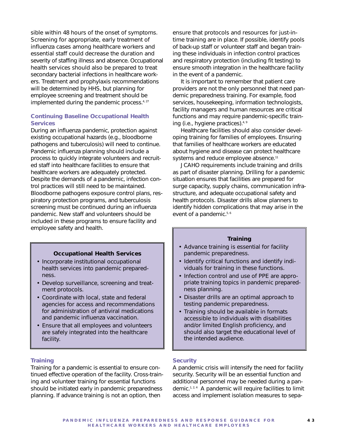sible within 48 hours of the onset of symptoms. Screening for appropriate, early treatment of influenza cases among healthcare workers and essential staff could decrease the duration and severity of staffing illness and absence. Occupational health services should also be prepared to treat secondary bacterial infections in healthcare workers. Treatment and prophylaxis recommendations will be determined by HHS, but planning for employee screening and treatment should be implemented during the pandemic process.<sup>4, 27</sup>

## **Continuing Baseline Occupational Health Services**

During an influenza pandemic, protection against existing occupational hazards (e.g., bloodborne pathogens and tuberculosis) will need to continue. Pandemic influenza planning should include a process to quickly integrate volunteers and recruited staff into healthcare facilities to ensure that healthcare workers are adequately protected. Despite the demands of a pandemic, infection control practices will still need to be maintained. Bloodborne pathogens exposure control plans, respiratory protection programs, and tuberculosis screening must be continued during an influenza pandemic. New staff and volunteers should be included in these programs to ensure facility and employee safety and health.

#### **Occupational Health Services**

- Incorporate institutional occupational health services into pandemic preparedness.
- Develop surveillance, screening and treatment protocols.
- Coordinate with local, state and federal agencies for access and recommendations for administration of antiviral medications and pandemic influenza vaccination.
- Ensure that all employees and volunteers are safely integrated into the healthcare facility.

#### **Training**

Training for a pandemic is essential to ensure continued effective operation of the facility. Cross-training and volunteer training for essential functions should be initiated early in pandemic preparedness planning. If advance training is not an option, then

ensure that protocols and resources for just-intime training are in place. If possible, identify pools of back-up staff or volunteer staff and began training these individuals in infection control practices and respiratory protection (including fit testing) to ensure smooth integration in the healthcare facility in the event of a pandemic.

It is important to remember that patient care providers are not the only personnel that need pandemic preparedness training. For example, food services, housekeeping, information technologists, facility managers and human resources are critical functions and may require pandemic-specific training (i.e., hygiene practices).<sup>4, 9</sup>

Healthcare facilities should also consider developing training for families of employees. Ensuring that families of healthcare workers are educated about hygiene and disease can protect healthcare systems and reduce employee absence.<sup>11</sup>

JCAHO requirements include training and drills as part of disaster planning. Drilling for a pandemic situation ensures that facilities are prepared for surge capacity, supply chains, communication infrastructure, and adequate occupational safety and health protocols. Disaster drills allow planners to identify hidden complications that may arise in the event of a pandemic.<sup>5, 6</sup>

#### **Training**

- Advance training is essential for facility pandemic preparedness.
- Identify critical functions and identify individuals for training in these functions.
- Infection control and use of PPE are appropriate training topics in pandemic preparedness planning.
- Disaster drills are an optimal approach to testing pandemic preparedness.
- Training should be available in formats accessible to individuals with disabilities and/or limited English proficiency, and should also target the educational level of the intended audience.

#### **Security**

A pandemic crisis will intensify the need for facility security. Security will be an essential function and additional personnel may be needed during a pandemic.1, 2, 4 A pandemic will require facilities to limit access and implement isolation measures to sepa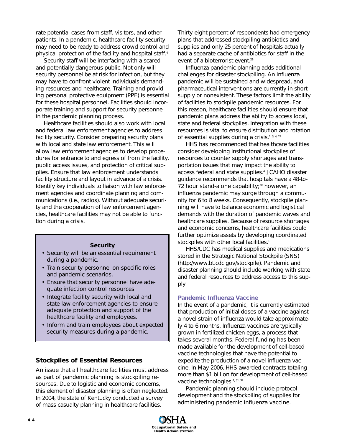rate potential cases from staff, visitors, and other patients. In a pandemic, healthcare facility security may need to be ready to address crowd control and physical protection of the facility and hospital staff.<sup>4</sup>

Security staff will be interfacing with a scared and potentially dangerous public. Not only will security personnel be at risk for infection, but they may have to confront violent individuals demanding resources and healthcare. Training and providing personal protective equipment (PPE) is essential for these hospital personnel. Facilities should incorporate training and support for security personnel in the pandemic planning process.

Healthcare facilities should also work with local and federal law enforcement agencies to address facility security. Consider preparing security plans with local and state law enforcement. This will allow law enforcement agencies to develop procedures for entrance to and egress of from the facility, public access issues, and protection of critical supplies. Ensure that law enforcement understands facility structure and layout in advance of a crisis. Identify key individuals to liaison with law enforcement agencies and coordinate planning and communications (i.e., radios). Without adequate security and the cooperation of law enforcement agencies, healthcare facilities may not be able to function during a crisis.

#### **Security**

- Security will be an essential requirement during a pandemic.
- Train security personnel on specific roles and pandemic scenarios.
- Ensure that security personnel have adequate infection control resources.
- Integrate facility security with local and state law enforcement agencies to ensure adequate protection and support of the healthcare facility and employees.
- Inform and train employees about expected security measures during a pandemic.

## **Stockpiles of Essential Resources**

An issue that all healthcare facilities must address as part of pandemic planning is stockpiling resources. Due to logistic and economic concerns, this element of disaster planning is often neglected. In 2004, the state of Kentucky conducted a survey of mass casualty planning in healthcare facilities.

Thirty-eight percent of respondents had emergency plans that addressed stockpiling antibiotics and supplies and only 25 percent of hospitals actually had a separate cache of antibiotics for staff in the event of a bioterrorist event.<sup>28</sup>

Influenza pandemic planning adds additional challenges for disaster stockpiling. An influenza pandemic will be sustained and widespread, and pharmaceutical interventions are currently in short supply or nonexistent. These factors limit the ability of facilities to stockpile pandemic resources. For this reason, healthcare facilities should ensure that pandemic plans address the ability to access local, state and federal stockpiles. Integration with these resources is vital to ensure distribution and rotation of essential supplies during a crisis.<sup>1, 3, 4, 29</sup>

HHS has recommended that healthcare facilities consider developing institutional stockpiles of resources to counter supply shortages and transportation issues that may impact the ability to access federal and state supplies.4 JCAHO disaster guidance recommends that hospitals have a 48-to-72 hour stand-alone capability; $30$  however, an influenza pandemic may surge through a community for 6 to 8 weeks. Consequently, stockpile planning will have to balance economic and logistical demands with the duration of pandemic waves and healthcare supplies. Because of resource shortages and economic concerns, healthcare facilities could further optimize assets by developing coordinated stockpiles with other local facilities.<sup>1</sup>

HHS/CDC has medical supplies and medications stored in the Strategic National Stockpile (SNS) (http://www.bt.cdc.gov/stockpile). Pandemic and disaster planning should include working with state and federal resources to address access to this supply.

#### **Pandemic Influenza Vaccine**

In the event of a pandemic, it is currently estimated that production of initial doses of a vaccine against a novel strain of influenza would take approximately 4 to 6 months. Influenza vaccines are typically grown in fertilized chicken eggs, a process that takes several months. Federal funding has been made available for the development of cell-based vaccine technologies that have the potential to expedite the production of a novel influenza vaccine. In May 2006, HHS awarded contracts totaling more than \$1 billion for development of cell-based vaccine technologies.<sup>1, 31, 32</sup>

Pandemic planning should include protocol development and the stockpiling of supplies for administering pandemic influenza vaccine.

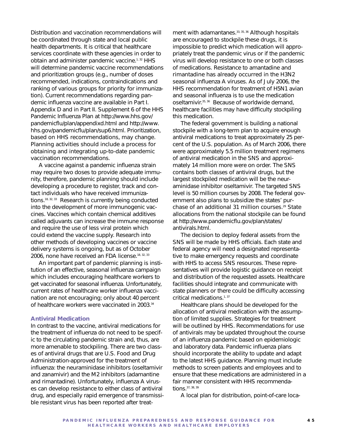Distribution and vaccination recommendations will be coordinated through state and local public health departments. It is critical that healthcare services coordinate with these agencies in order to obtain and administer pandemic vaccine.<sup>1, 32</sup> HHS will determine pandemic vaccine recommendations and prioritization groups (e.g., number of doses recommended, indications, contraindications and ranking of various groups for priority for immunization). Current recommendations regarding pandemic influenza vaccine are available in Part I. Appendix D and in Part II. Supplement 6 of the HHS *Pandemic Influenza Plan* at http://www.hhs.gov/ pandemicflu/plan/appendixd.html and http://www. hhs.gov/pandemicflu/plan/sup6.html. Prioritization, based on HHS recommendations, may change. Planning activities should include a process for obtaining and integrating up-to-date pandemic vaccination recommendations.

A vaccine against a pandemic influenza strain may require two doses to provide adequate immunity, therefore, pandemic planning should include developing a procedure to register, track and contact individuals who have received immunizations.18, 32, 33 Research is currently being conducted into the development of more immunogenic vaccines. Vaccines which contain chemical additives called adjuvants can increase the immune response and require the use of less viral protein which could extend the vaccine supply. Research into other methods of developing vaccines or vaccine delivery systems is ongoing, but as of October 2006, none have received an FDA license.<sup>18, 32, 33</sup>

An important part of pandemic planning is institution of an effective, seasonal influenza campaign which includes encouraging healthcare workers to get vaccinated for seasonal influenza. Unfortunately, current rates of healthcare worker influenza vaccination are not encouraging; only about 40 percent of healthcare workers were vaccinated in 2003.34

#### **Antiviral Medication**

In contrast to the vaccine, antiviral medications for the treatment of influenza do not need to be specific to the circulating pandemic strain and, thus, are more amenable to stockpiling. There are two classes of antiviral drugs that are U.S. Food and Drug Administration-approved for the treatment of influenza: the neuraminidase inhibitors (oseltamivir and zanamivir) and the M2 inhibitors (adamantine and rimantadine). Unfortunately, influenza A viruses can develop resistance to either class of antiviral drug, and especially rapid emergence of transmissible resistant virus has been reported after treatment with adamantanes.<sup>33, 35, 36</sup> Although hospitals are encouraged to stockpile these drugs, it is impossible to predict which medication will appropriately treat the pandemic virus or if the pandemic virus will develop resistance to one or both classes of medications. Resistance to amantadine and rimantadine has already occurred in the H3N2 seasonal influenza A viruses. As of July 2006, the HHS recommendation for treatment of H5N1 avian and seasonal influenza is to use the medication oseltamivir.35, 36 Because of worldwide demand, healthcare facilities may have difficulty stockpiling this medication.

The federal government is building a national stockpile with a long-term plan to acquire enough antiviral medications to treat approximately 25 percent of the U.S. population. As of March 2006, there were approximately 5.5 million treatment regimens of antiviral medication in the SNS and approximately 14 million more were on order. The SNS contains both classes of antiviral drugs, but the largest stockpiled medication will be the neuraminidase inhibitor oseltamivir. The targeted SNS level is 50 million courses by 2008. The federal government also plans to subsidize the states' purchase of an additional 31 million courses.<sup>29</sup> State allocations from the national stockpile can be found at http://www.pandemicflu.gov/plan/states/ antivirals.html.

The decision to deploy federal assets from the SNS will be made by HHS officials. Each state and federal agency will need a designated representative to make emergency requests and coordinate with HHS to access SNS resources. These representatives will provide logistic guidance on receipt and distribution of the requested assets. Healthcare facilities should integrate and communicate with state planners or there could be difficulty accessing critical medications.<sup>1, 37</sup>

Healthcare plans should be developed for the allocation of antiviral medication with the assumption of limited supplies. Strategies for treatment will be outlined by HHS. Recommendations for use of antivirals may be updated throughout the course of an influenza pandemic based on epidemiologic and laboratory data. Pandemic influenza plans should incorporate the ability to update and adapt to the latest HHS guidance. Planning must include methods to screen patients and employees and to ensure that these medications are administered in a fair manner consistent with HHS recommendations.37, 38, 39

A local plan for distribution, point-of-care loca-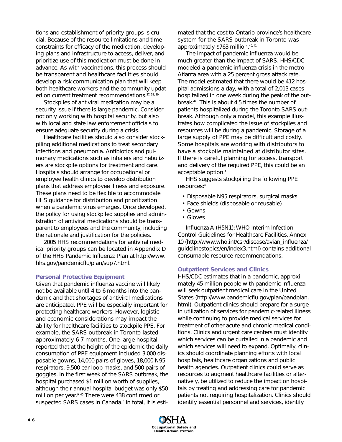tions and establishment of priority groups is crucial. Because of the resource limitations and time constraints for efficacy of the medication, developing plans and infrastructure to access, deliver, and prioritize use of this medication must be done in advance. As with vaccinations, this process should be transparent and healthcare facilities should develop a risk communication plan that will keep both healthcare workers and the community updated on current treatment recommendations. 37, 38, 39

Stockpiles of antiviral medication may be a security issue if there is large pandemic. Consider not only working with hospital security, but also with local and state law enforcement officials to ensure adequate security during a crisis.

Healthcare facilities should also consider stockpiling additional medications to treat secondary infections and pneumonia. Antibiotics and pulmonary medications such as inhalers and nebulizers are stockpile options for treatment and care. Hospitals should arrange for occupational or employee health clinics to develop distribution plans that address employee illness and exposure. These plans need to be flexible to accommodate HHS guidance for distribution and prioritization when a pandemic virus emerges. Once developed, the policy for using stockpiled supplies and administration of antiviral medications should be transparent to employees and the community, including the rationale and justification for the policies.

2005 HHS recommendations for antiviral medical priority groups can be located in Appendix D of the HHS *Pandemic Influenza Plan* at http://www. hhs.gov/pandemicflu/plan/sup7.html.

#### **Personal Protective Equipment**

Given that pandemic influenza vaccine will likely not be available until 4 to 6 months into the pandemic and that shortages of antiviral medications are anticipated, PPE will be especially important for protecting healthcare workers. However, logistic and economic considerations may impact the ability for healthcare facilities to stockpile PPE. For example, the SARS outbreak in Toronto lasted approximately 6-7 months. One large hospital reported that at the height of the epidemic the daily consumption of PPE equipment included 3,000 disposable gowns, 14,000 pairs of gloves, 18,000 N95 respirators, 9,500 ear loop masks, and 500 pairs of goggles. In the first week of the SARS outbreak, the hospital purchased \$1 million worth of supplies, although their annual hospital budget was only \$50 million per year.<sup>9, 40</sup> There were 438 confirmed or suspected SARS cases in Canada.<sup>8</sup> In total, it is estimated that the cost to Ontario province's healthcare system for the SARS outbreak in Toronto was approximately \$763 million.40, 41

The impact of pandemic influenza would be much greater than the impact of SARS. HHS/CDC modeled a pandemic influenza crisis in the metro Atlanta area with a 25 percent gross attack rate. The model estimated that there would be 412 hospital admissions a day, with a total of 2,013 cases hospitalized in one week during the peak of the outbreak.42 This is about 4.5 times the number of patients hospitalized during the Toronto SARS outbreak. Although only a model, this example illustrates how complicated the issue of stockpiles and resources will be during a pandemic. Storage of a large supply of PPE may be difficult and costly. Some hospitals are working with distributors to have a stockpile maintained at distributor sites. If there is careful planning for access, transport and delivery of the required PPE, this could be an acceptable option.4

HHS suggests stockpiling the following PPE resources:4

- Disposable N95 respirators, surgical masks
- Face shields (disposable or reusable)
- Gowns
- Gloves

*Influenza A (H5N1): WHO Interim Infection Control Guidelines for Healthcare Facilities, Annex 10* (http://www.who.int/csr/disease/avian\_influenza/ guidelinestopics/en/index3.html) contains additional consumable resource recommendations.

#### **Outpatient Services and Clinics**

HHS/CDC estimates that in a pandemic, approximately 45 million people with pandemic influenza will seek outpatient medical care in the United States (http://www.pandemicflu.gov/plan/pandplan. html). Outpatient clinics should prepare for a surge in utilization of services for pandemic-related illness while continuing to provide medical services for treatment of other acute and chronic medical conditions. Clinics and urgent care centers must identify which services can be curtailed in a pandemic and which services will need to expand. Optimally, clinics should coordinate planning efforts with local hospitals, healthcare organizations and public health agencies. Outpatient clinics could serve as resources to augment healthcare facilities or alternatively, be utilized to reduce the impact on hospitals by treating and addressing care for pandemic patients not requiring hospitalization. Clinics should identify essential personnel and services, identify

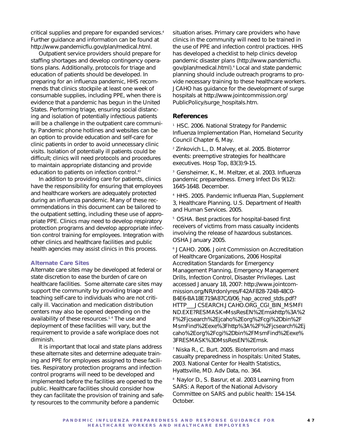critical supplies and prepare for expanded services.4 Further guidance and information can be found at http://www.pandemicflu.gov/plan/medical.html.

Outpatient service providers should prepare for staffing shortages and develop contingency operations plans. Additionally, protocols for triage and education of patients should be developed. In preparing for an influenza pandemic, HHS recommends that clinics stockpile at least one week of consumable supplies, including PPE, when there is evidence that a pandemic has begun in the United States. Performing triage, ensuring social distancing and isolation of potentially infectious patients will be a challenge in the outpatient care community. Pandemic phone hotlines and websites can be an option to provide education and self-care for clinic patients in order to avoid unnecessary clinic visits. Isolation of potentially ill patients could be difficult; clinics will need protocols and procedures to maintain appropriate distancing and provide education to patients on infection control.<sup>43</sup>

In addition to providing care for patients, clinics have the responsibility for ensuring that employees and healthcare workers are adequately protected during an influenza pandemic. Many of these recommendations in this document can be tailored to the outpatient setting, including these use of appropriate PPE. Clinics may need to develop respiratory protection programs and develop appropriate infection control training for employees. Integration with other clinics and healthcare facilities and public health agencies may assist clinics in this process.

#### **Alternate Care Sites**

Alternate care sites may be developed at federal or state discretion to ease the burden of care on healthcare facilities. Some alternate care sites may support the community by providing triage and teaching self-care to individuals who are not critically ill. Vaccination and medication distribution centers may also be opened depending on the availability of these resources.<sup>1,4</sup> The use and deployment of these facilities will vary, but the requirement to provide a safe workplace does not diminish.

It is important that local and state plans address these alternate sites and determine adequate training and PPE for employees assigned to these facilities. Respiratory protection programs and infection control programs will need to be developed and implemented before the facilities are opened to the public. Healthcare facilities should consider how they can facilitate the provision of training and safety resources to the community before a pandemic

situation arises. Primary care providers who have clinics in the community will need to be trained in the use of PPE and infection control practices. HHS has developed a checklist to help clinics develop pandemic disaster plans (http://www.pandemicflu. gov/plan/medical.html).4 Local and state pandemic planning should include outreach programs to provide necessary training to these healthcare workers. JCAHO has guidance for the development of surge hospitals at http://www.jointcommission.org/ PublicPolicy/surge\_hospitals.htm.

#### **References**

<sup>1</sup> HSC. 2006. National Strategy for Pandemic Influenza Implementation Plan, Homeland Security Council Chapter 6, May.

2 Zinkovich L., D. Malvey, et al. 2005. Bioterror events: preemptive strategies for healthcare executives. Hosp Top, 83(3):9-15.

3 Gensheimer, K., M. Meltzer, et al. 2003. Influenza pandemic preparedness. Emerg Infect Dis 9(12): 1645-1648. December.

4 HHS. 2005. Pandemic Influenza Plan, Supplement 3, Healthcare Planning. U.S. Department of Health and Human Services. 2005.

<sup>5</sup> OSHA. Best practices for hospital-based first receivers of victims from mass casualty incidents involving the release of hazardous substances. OSHA January 2005.

6 JCAHO. 2006. Joint Commission on Accreditation of Healthcare Organizations, 2006 Hospital Accreditation Standards for Emergency Management Planning, Emergency Management Drills, Infection Control, Disaster Privileges. Last accessed January 18, 2007: http://www.jointcommission.org/NR/rdonlyres/F42AF828-7248-48C0- B4E6-BA18E719A87C/0/06 hap accred stds.pdf? HTTP\_\_\_JCSEARCH.JCAHO.ORG\_CGI\_BIN\_MSMFI ND.EXE?RESMASK=MssResEN%2Emskhttp%3A%2 F%2Fjcsearch%2Ejcaho%2Eorg%2Fcgi%2Dbin%2F MsmFind%2Eexe%3Fhttp%3A%2F%2Fjcsearch%2Ej caho%2Eorg%2Fcgi%2Dbin%2FMsmFind%2Eexe% 3FRESMASK%3DMssResEN%2Emsk.

7 Niska R., C. Burt. 2005. Bioterrorism and mass casualty preparedness in hospitals: United States, 2003. National Center for Health Statistics, Hyattsville, MD. Adv Data, no. 364.

<sup>8</sup> Naylor D., S. Basrur, et al. 2003 Learning from SARS: A Report of the National Advisory Committee on SARS and public health: 154-154. October.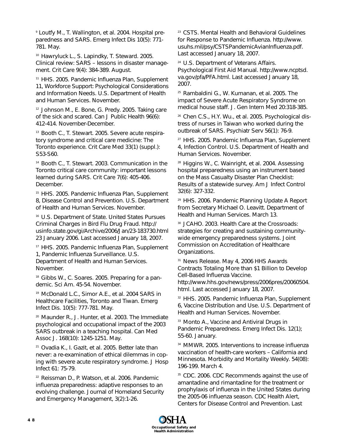9 Loutfy M., T. Wallington, et al. 2004. Hospital preparedness and SARS. Emerg Infect Dis 10(5): 771- 781. May.

10 Hawryluck L., S. Lapindky, T. Steward. 2005. Clinical review: SARS – lessons in disaster management. Crit Care 9(4): 384-389. August.

11 HHS. 2005. Pandemic Influenza Plan, Supplement 11, Workforce Support: Psychological Considerations and Information Needs. U.S. Department of Health and Human Services. November.

<sup>12</sup> Johnson M., E. Bone, G. Predy. 2005. Taking care of the sick and scared. Can J Public Health 96(6): 412-414. November-December.

13 Booth C., T. Stewart. 2005. Severe acute respiratory syndrome and critical care medicine: The Toronto experience. Crit Care Med 33(1) (suppl.): S53-S60.

14 Booth C., T. Stewart. 2003. Communication in the Toronto critical care community: important lessons learned during SARS. Crit Care 7(6): 405-406. December.

<sup>15</sup> HHS. 2005. Pandemic Influenza Plan, Supplement 8, Disease Control and Prevention. U.S. Department of Health and Human Services. November.

16 U.S. Department of State. United States Pursues Criminal Charges in Bird Flu Drug Fraud. http:// usinfo.state.gov/gi/Archive/2006/Jan/23-183730.html 23 January 2006. Last accessed January 18, 2007.

17 HHS. 2005. Pandemic Influenza Plan, Supplement 1, Pandemic Influenza Surveillance. U.S. Department of Health and Human Services. November.

<sup>18</sup> Gibbs W., C. Soares. 2005. Preparing for a pandemic. Sci Am. 45-54. November.

19 McDonald L.C., Simor A.E., et al. 2004 SARS in Healthcare Facilities, Toronto and Tiwan. Emerg Infect Dis. 10(5): 777-781. May.

20 Maunder R., J. Hunter, et al. 2003. The Immediate psychological and occupational impact of the 2003 SARS outbreak in a teaching hospital. Can Med Assoc J. 168(10): 1245-1251. May.

21 Ovadia K., I. Gazit, et al. 2005. Better late than never: a re-examination of ethical dilemmas in coping with severe acute respiratory syndrome. J Hosp Infect 61: 75-79.

<sup>22</sup> Reissman D., P. Watson, et al. 2006. Pandemic influenza preparedness: adaptive responses to an evolving challenge. Journal of Homeland Security and Emergency Management, 3(2):1-26.

23 CSTS. Mental Health and Behavioral Guidelines for Response to Pandemic Influenza. http://www. usuhs.mil/psy/CSTSPandemicAvianInfluenza.pdf. Last accessed January 18, 2007.

<sup>24</sup> U.S. Department of Veterans Affairs. Psychological First Aid Manual. http://www.ncptsd. va.gov/pfa/PFA.html. Last accessed January 18, 2007.

25 Rambaldini G., W. Kumanan, et al. 2005. The impact of Severe Acute Respiratory Syndrome on medical house staff. J. Gen Intern Med 20:318-385.

<sup>26</sup> Chen C.S., H.Y. Wu., et al. 2005. Psychological distress of nurses in Taiwan who worked during the outbreak of SARS. Psychiatr Serv 56(1): 76-9.

27 HHS. 2005. Pandemic Influenza Plan, Supplement 4, Infection Control. U.S. Department of Health and Human Services. November.

28 Higgins W., C. Wainright, et al. 2004. Assessing hospital preparedness using an instrument based on the Mass Casualty Disaster Plan Checklist: Results of a statewide survey. Am J Infect Control 32(6): 327-332.

29 HHS. 2006. Pandemic Planning Update A Report from Secretary Michael O. Leavitt. Department of Health and Human Services. March 13.

30 JCAHO. 2003. Health Care at the Crossroads: strategies for creating and sustaining communitywide emergency preparedness systems. Joint Commission on Accreditation of Healthcare Organizations.

<sup>31</sup> News Release. May 4, 2006 HHS Awards Contracts Totaling More than \$1 Billion to Develop Cell-Based Influenza Vaccine.

http://www.hhs.gov/news/press/2006pres/20060504. html. Last accessed January 18, 2007.

<sup>32</sup> HHS. 2005. Pandemic Influenza Plan, Supplement 6, Vaccine Distribution and Use. U.S. Department of Health and Human Services. November.

<sup>33</sup> Monto A., Vaccine and Antiviral Drugs in Pandemic Preparedness. Emerg Infect Dis. 12(1); 55-60. January.

34 MMWR. 2005. Interventions to increase influenza vaccination of health-care workers – California and Minnesota. Morbidity and Mortality Weekly. 54(08): 196-199. March 4.

35 CDC. 2006. CDC Recommends against the use of amantadine and rimantadine for the treatment or prophylaxis of influenza in the United States during the 2005-06 influenza season. CDC Health Alert, Centers for Disease Control and Prevention. Last

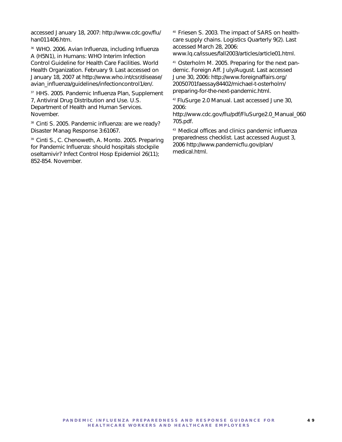accessed January 18, 2007: http://www.cdc.gov/flu/ han011406.htm.

36 WHO. 2006. Avian Influenza, including Influenza A (H5N1), in Humans: WHO Interim Infection Control Guideline for Health Care Facilities. World Health Organization. February 9. Last accessed on January 18, 2007 at http://www.who.int/csr/disease/ avian\_influenza/guidelines/infectioncontrol1/en/.

<sup>37</sup> HHS. 2005. Pandemic Influenza Plan, Supplement 7, Antiviral Drug Distribution and Use. U.S. Department of Health and Human Services. November.

38 Cinti S. 2005. Pandemic influenza: are we ready? Disaster Manag Response 3:61067.

39 Cinti S., C. Chenoweth, A. Monto. 2005. Preparing for Pandemic Influenza: should hospitals stockpile oseltamivir? Infect Control Hosp Epidemiol 26(11); 852-854. November.

40 Friesen S. 2003. The impact of SARS on healthcare supply chains. Logistics Quarterly 9(2). Last accessed March 28, 2006:

www.lq.ca/issues/fall2003/articles/article01.html.

41 Osterholm M. 2005. Preparing for the next pandemic. Foreign Aff. July/August. Last accessed June 30, 2006: http://www.foreignaffairs.org/ 20050701faessay84402/michael-t-osterholm/ preparing-for-the-next-pandemic.html.

42 FluSurge 2.0 Manual. Last accessed June 30, 2006:

http://www.cdc.gov/flu/pdf/FluSurge2.0\_Manual\_060 705.pdf.

43 Medical offices and clinics pandemic influenza preparedness checklist. Last accessed August 3, 2006 http://www.pandemicflu.gov/plan/ medical.html.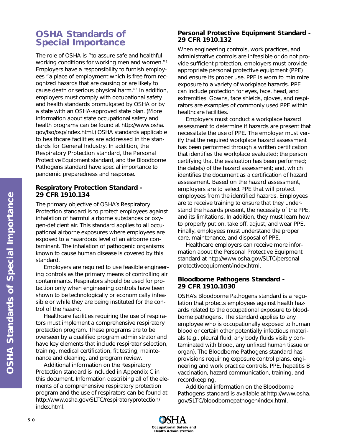# **OSHA Standards of Special Importance**

The role of OSHA is "to assure safe and healthful working conditions for working men and women."1 Employers have a responsibility to furnish employees "a place of employment which is free from recognized hazards that are causing or are likely to cause death or serious physical harm."1 In addition, employers must comply with occupational safety and health standards promulgated by OSHA or by a state with an OSHA-approved state plan. (More information about state occupational safety and health programs can be found at http://www.osha. gov/fso/osp/index.html.) OSHA standards applicable to healthcare facilities are addressed in the standards for General Industry. In addition, the Respiratory Protection standard, the Personal Protective Equipment standard, and the Bloodborne Pathogens standard have special importance to pandemic preparedness and response.

# **Respiratory Protection Standard - 29 CFR 1910.134**

The primary objective of OSHA's Respiratory Protection standard is to protect employees against inhalation of harmful airborne substances or oxygen-deficient air. This standard applies to all occupational airborne exposures where employees are exposed to a hazardous level of an airborne contaminant. The inhalation of pathogenic organisms known to cause human disease is covered by this standard.

Employers are required to use feasible engineering controls as the primary means of controlling air contaminants. Respirators should be used for protection only when engineering controls have been shown to be technologically or economically infeasible or while they are being instituted for the control of the hazard.

Healthcare facilities requiring the use of respirators must implement a comprehensive respiratory protection program. These programs are to be overseen by a qualified program administrator and have key elements that include respirator selection, training, medical certification, fit testing, maintenance and cleaning, and program review.

Additional information on the Respiratory Protection standard is included in Appendix C in this document. Information describing all of the elements of a comprehensive respiratory protection program and the use of respirators can be found at http://www.osha.gov/SLTC/respiratoryprotection/ index.html.

# **Personal Protective Equipment Standard - 29 CFR 1910.132**

When engineering controls, work practices, and administrative controls are infeasible or do not provide sufficient protection, employers must provide appropriate personal protective equipment (PPE) and ensure its proper use. PPE is worn to minimize exposure to a variety of workplace hazards. PPE can include protection for eyes, face, head, and extremities. Gowns, face shields, gloves, and respirators are examples of commonly used PPE within healthcare facilities.

Employers must conduct a workplace hazard assessment to determine if hazards are present that necessitate the use of PPE. The employer must verify that the required workplace hazard assessment has been performed through a written certification that identifies the workplace evaluated; the person certifying that the evaluation has been performed; the date(s) of the hazard assessment; and, which identifies the document as a certification of hazard assessment. Based on the hazard assessment, employers are to select PPE that will protect employees from the identified hazards. Employees are to receive training to ensure that they understand the hazards present, the necessity of the PPE, and its limitations. In addition, they must learn how to properly put on, take off, adjust, and wear PPE. Finally, employees must understand the proper care, maintenance, and disposal of PPE.

Healthcare employers can receive more information about the Personal Protective Equipment standard at http://www.osha.gov/SLTC/personal protectiveequipment/index.html.

# **Bloodborne Pathogens Standard - 29 CFR 1910.1030**

OSHA's Bloodborne Pathogens standard is a regulation that protects employees against health hazards related to the occupational exposure to bloodborne pathogens. The standard applies to any employee who is occupationally exposed to human blood or certain other potentially infectious materials (e.g., pleural fluid, any body fluids visibly contaminated with blood, any unfixed human tissue or organ). The Bloodborne Pathogens standard has provisions requiring exposure control plans, engineering and work practice controls, PPE, hepatitis B vaccination, hazard communication, training, and recordkeeping.

Additional information on the Bloodborne Pathogens standard is available at http://www.osha. gov/SLTC/bloodbornepathogen/index.html.

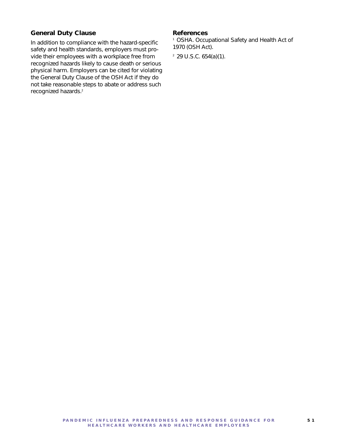# **General Duty Clause**

In addition to compliance with the hazard-specific safety and health standards, employers must provide their employees with a workplace free from recognized hazards likely to cause death or serious physical harm. Employers can be cited for violating the General Duty Clause of the OSH Act if they do not take reasonable steps to abate or address such recognized hazards.2

#### **References**

<sup>1</sup> OSHA. Occupational Safety and Health Act of 1970 (OSH Act).

2 29 U.S.C. 654(a)(1).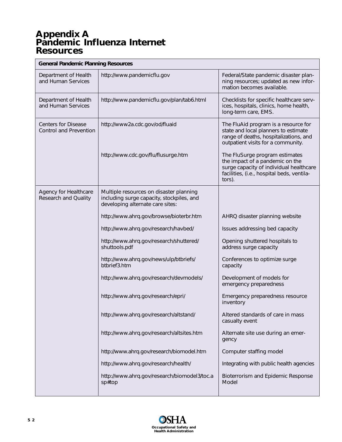# **Appendix A Pandemic Influenza Internet Resources**

| <b>General Pandemic Planning Resources</b>                  |                                                                                                                          |                                                                                                                                                                      |  |  |
|-------------------------------------------------------------|--------------------------------------------------------------------------------------------------------------------------|----------------------------------------------------------------------------------------------------------------------------------------------------------------------|--|--|
| Department of Health<br>and Human Services                  | http://www.pandemicflu.gov                                                                                               | Federal/State pandemic disaster plan-<br>ning resources; updated as new infor-<br>mation becomes available.                                                          |  |  |
| Department of Health<br>and Human Services                  | http://www.pandemicflu.gov/plan/tab6.html                                                                                | Checklists for specific healthcare serv-<br>ices, hospitals, clinics, home health,<br>long-term care, EMS.                                                           |  |  |
| <b>Centers for Disease</b><br><b>Control and Prevention</b> | http://www2a.cdc.gov/od/fluaid                                                                                           | The FluAid program is a resource for<br>state and local planners to estimate<br>range of deaths, hospitalizations, and<br>outpatient visits for a community.         |  |  |
|                                                             | http://www.cdc.gov/flu/flusurge.htm                                                                                      | The FluSurge program estimates<br>the impact of a pandemic on the<br>surge capacity of individual healthcare<br>facilities, (i.e., hospital beds, ventila-<br>tors). |  |  |
| <b>Agency for Healthcare</b><br><b>Research and Quality</b> | Multiple resources on disaster planning<br>including surge capacity, stockpiles, and<br>developing alternate care sites: |                                                                                                                                                                      |  |  |
|                                                             | http://www.ahrq.gov/browse/bioterbr.htm                                                                                  | AHRQ disaster planning website                                                                                                                                       |  |  |
|                                                             | http://www.ahrq.gov/research/havbed/                                                                                     | Issues addressing bed capacity                                                                                                                                       |  |  |
|                                                             | http://www.ahrq.gov/research/shuttered/<br>shuttools.pdf                                                                 | Opening shuttered hospitals to<br>address surge capacity                                                                                                             |  |  |
|                                                             | http://www.ahrq.gov/news/ulp/btbriefs/<br>btbrief3.htm                                                                   | Conferences to optimize surge<br>capacity                                                                                                                            |  |  |
|                                                             | http://www.ahrq.gov/research/devmodels/                                                                                  | Development of models for<br>emergency preparedness                                                                                                                  |  |  |
|                                                             | http://www.ahrq.gov/research/epri/                                                                                       | Emergency preparedness resource<br>inventory                                                                                                                         |  |  |
|                                                             | http://www.ahrq.gov/research/altstand/                                                                                   | Altered standards of care in mass<br>casualty event                                                                                                                  |  |  |
|                                                             | http://www.ahrq.gov/research/altsites.htm                                                                                | Alternate site use during an emer-<br>gency                                                                                                                          |  |  |
|                                                             | http://www.ahrq.gov/research/biomodel.htm                                                                                | Computer staffing model                                                                                                                                              |  |  |
|                                                             | http://www.ahrq.gov/research/health/                                                                                     | Integrating with public health agencies                                                                                                                              |  |  |
|                                                             | http://www.ahrq.gov/research/biomodel3/toc.a<br>sp#top                                                                   | Bioterrorism and Epidemic Response<br>Model                                                                                                                          |  |  |

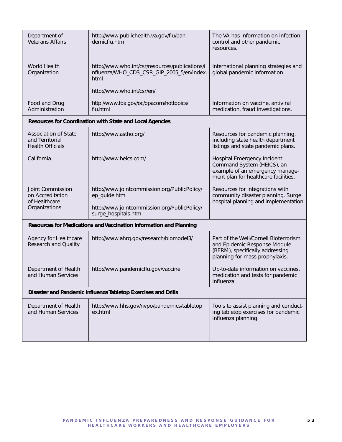| Department of<br><b>Veterans Affairs</b>                                               | http://www.publichealth.va.gov/flu/pan-<br>demicflu.htm                                                                             | The VA has information on infection<br>control and other pandemic<br>resources.                                                            |  |  |
|----------------------------------------------------------------------------------------|-------------------------------------------------------------------------------------------------------------------------------------|--------------------------------------------------------------------------------------------------------------------------------------------|--|--|
| <b>World Health</b><br>Organization                                                    | http://www.who.int/csr/resources/publications/i<br>nfluenza/WHO_CDS_CSR_GIP_2005_5/en/index.<br>html                                | International planning strategies and<br>global pandemic information                                                                       |  |  |
|                                                                                        | http://www.who.int/csr/en/                                                                                                          |                                                                                                                                            |  |  |
| http://www.fda.gov/oc/opacom/hottopics/<br>Food and Drug<br>Administration<br>flu.html |                                                                                                                                     | Information on vaccine, antiviral<br>medication, fraud investigations.                                                                     |  |  |
|                                                                                        | Resources for Coordination with State and Local Agencies                                                                            |                                                                                                                                            |  |  |
| <b>Association of State</b><br>and Territorial<br><b>Health Officials</b>              | http://www.astho.org/                                                                                                               | Resources for pandemic planning,<br>including state health department<br>listings and state pandemic plans.                                |  |  |
| California                                                                             | http://www.heics.com/                                                                                                               | Hospital Emergency Incident<br>Command System (HEICS), an<br>example of an emergency manage-<br>ment plan for healthcare facilities.       |  |  |
| Joint Commission<br>on Accreditation<br>of Healthcare<br>Organizations                 | http://www.jointcommission.org/PublicPolicy/<br>ep_guide.htm<br>http://www.jointcommission.org/PublicPolicy/<br>surge_hospitals.htm | Resources for integrations with<br>community disaster planning. Surge<br>hospital planning and implementation.                             |  |  |
| Resources for Medications and Vaccination Information and Planning                     |                                                                                                                                     |                                                                                                                                            |  |  |
| Agency for Healthcare<br><b>Research and Quality</b>                                   | http://www.ahrq.gov/research/biomodel3/                                                                                             | Part of the Weil/Cornell Bioterrorism<br>and Epidemic Response Module<br>(BERM), specifically addressing<br>planning for mass prophylaxis. |  |  |
| Department of Health<br>and Human Services                                             | http://www.pandemicflu.gov/vaccine                                                                                                  | Up-to-date information on vaccines,<br>medication and tests for pandemic<br>influenza.                                                     |  |  |
| Disaster and Pandemic Influenza Tabletop Exercises and Drills                          |                                                                                                                                     |                                                                                                                                            |  |  |
| Department of Health<br>and Human Services                                             | http://www.hhs.gov/nvpo/pandemics/tabletop<br>ex.html                                                                               | Tools to assist planning and conduct-<br>ing tabletop exercises for pandemic<br>influenza planning.                                        |  |  |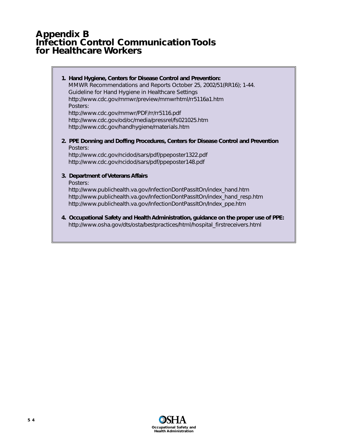# **Appendix B Infection Control Communication Tools for Healthcare Workers**

| 1. Hand Hygiene, Centers for Disease Control and Prevention:<br>MMWR Recommendations and Reports October 25, 2002/51(RR16); 1-44.<br>Guideline for Hand Hygiene in Healthcare Settings<br>http://www.cdc.gov/mmwr/preview/mmwrhtml/rr5116a1.htm<br>Posters:<br>http://www.cdc.gov/mmwr/PDF/rr/rr5116.pdf<br>http://www.cdc.gov/od/oc/media/pressrel/fs021025.htm<br>http://www.cdc.gov/handhygiene/materials.htm |
|------------------------------------------------------------------------------------------------------------------------------------------------------------------------------------------------------------------------------------------------------------------------------------------------------------------------------------------------------------------------------------------------------------------|
| 2. PPE Donning and Doffing Procedures, Centers for Disease Control and Prevention<br>Posters:<br>http://www.cdc.gov/ncidod/sars/pdf/ppeposter1322.pdf<br>http://www.cdc.gov/ncidod/sars/pdf/ppeposter148.pdf                                                                                                                                                                                                     |
| 3. Department of Veterans Affairs<br>Posters:<br>http://www.publichealth.va.gov/InfectionDontPassItOn/index_hand.htm<br>http://www.publichealth.va.gov/InfectionDontPassItOn/index_hand_resp.htm<br>http://www.publichealth.va.gov/InfectionDontPassItOn/Index_ppe.htm                                                                                                                                           |
| 4. Occupational Safety and Health Administration, guidance on the proper use of PPE:<br>http://www.osha.gov/dts/osta/bestpractices/html/hospital_firstreceivers.html                                                                                                                                                                                                                                             |

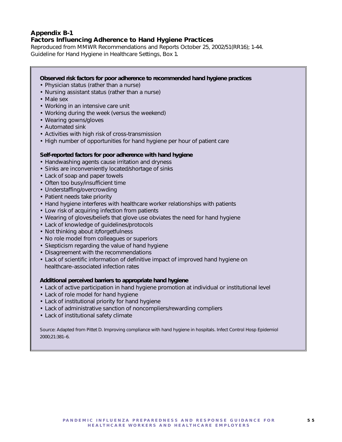## **Appendix B-1 Factors Influencing Adherence to Hand Hygiene Practices**

*Reproduced from MMWR Recommendations and Reports October 25, 2002/51(RR16); 1-44. Guideline for Hand Hygiene in Healthcare Settings, Box 1.*

#### **Observed risk factors for poor adherence to recommended hand hygiene practices**

- Physician status (rather than a nurse)
- Nursing assistant status (rather than a nurse)
- Male sex
- Working in an intensive care unit
- Working during the week (versus the weekend)
- Wearing gowns/gloves
- Automated sink
- Activities with high risk of cross-transmission
- High number of opportunities for hand hygiene per hour of patient care

#### **Self-reported factors for poor adherence with hand hygiene**

- Handwashing agents cause irritation and dryness
- Sinks are inconveniently located/shortage of sinks
- Lack of soap and paper towels
- Often too busy/insufficient time
- Understaffing/overcrowding
- Patient needs take priority
- Hand hygiene interferes with healthcare worker relationships with patients
- Low risk of acquiring infection from patients
- Wearing of gloves/beliefs that glove use obviates the need for hand hygiene
- Lack of knowledge of guidelines/protocols
- Not thinking about it/forgetfulness
- No role model from colleagues or superiors
- Skepticism regarding the value of hand hygiene
- Disagreement with the recommendations
- Lack of scientific information of definitive impact of improved hand hygiene on healthcare–associated infection rates

#### **Additional perceived barriers to appropriate hand hygiene**

- Lack of active participation in hand hygiene promotion at individual or institutional level
- Lack of role model for hand hygiene
- Lack of institutional priority for hand hygiene
- Lack of administrative sanction of noncompliers/rewarding compliers
- Lack of institutional safety climate

Source: Adapted from Pittet D. Improving compliance with hand hygiene in hospitals. Infect Control Hosp Epidemiol 2000;21:381–6.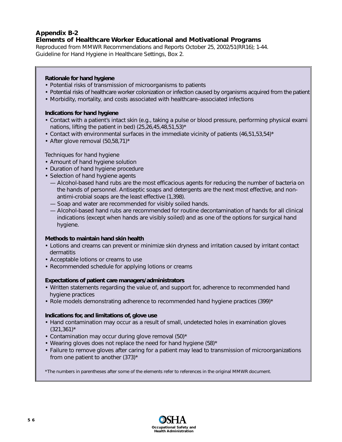#### **Appendix B-2 Elements of Healthcare Worker Educational and Motivational Programs**

*Reproduced from MMWR Recommendations and Reports October 25, 2002/51(RR16); 1-44. Guideline for Hand Hygiene in Healthcare Settings, Box 2.*

## **Rationale for hand hygiene**

- Potential risks of transmission of microorganisms to patients
- Potential risks of healthcare worker colonization or infection caused by organisms acquired from the patient
- Morbidity, mortality, and costs associated with healthcare–associated infections

## **Indications for hand hygiene**

- Contact with a patient's intact skin (e.g., taking a pulse or blood pressure, performing physical exami nations, lifting the patient in bed)  $(25, 26, 45, 48, 51, 53)^*$
- Contact with environmental surfaces in the immediate vicinity of patients  $(46.51.53.54)^*$
- After glove removal  $(50, 58, 71)^*$

## Techniques for hand hygiene

- Amount of hand hygiene solution
- Duration of hand hygiene procedure
- Selection of hand hygiene agents
	- Alcohol-based hand rubs are the most efficacious agents for reducing the number of bacteria on the hands of personnel. Antiseptic soaps and detergents are the next most effective, and nonantimi-crobial soaps are the least effective (1,398).
	- Soap and water are recommended for visibly soiled hands.
	- Alcohol-based hand rubs are recommended for routine decontamination of hands for all clinical indications (except when hands are visibly soiled) and as one of the options for surgical hand hygiene.

## **Methods to maintain hand skin health**

- Lotions and creams can prevent or minimize skin dryness and irritation caused by irritant contact dermatitis
- Acceptable lotions or creams to use
- Recommended schedule for applying lotions or creams

## **Expectations of patient care managers/administrators**

- Written statements regarding the value of, and support for, adherence to recommended hand hygiene practices
- Role models demonstrating adherence to recommended hand hygiene practices  $(399)^*$

## **Indications for, and limitations of, glove use**

- Hand contamination may occur as a result of small, undetected holes in examination gloves  $(321, 361)^*$
- Contamination may occur during glove removal (50)\*
- Wearing gloves does not replace the need for hand hygiene  $(58)^*$
- Failure to remove gloves after caring for a patient may lead to transmission of microorganizations from one patient to another  $(373)^*$

\*The numbers in parentheses after some of the elements refer to references in the original MMWR document.

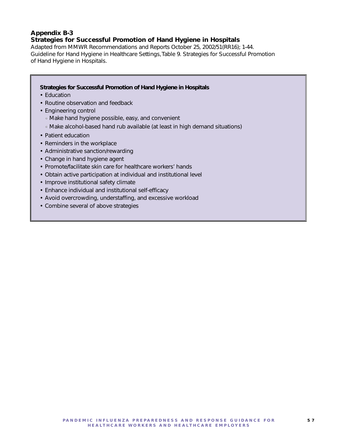# **Appendix B-3 Strategies for Successful Promotion of Hand Hygiene in Hospitals**

*Adapted from MMWR Recommendations and Reports October 25, 2002/51(RR16); 1-44. Guideline for Hand Hygiene in Healthcare Settings, Table 9. Strategies for Successful Promotion of Hand Hygiene in Hospitals.*

## **Strategies for Successful Promotion of Hand Hygiene in Hospitals**

- Education
- Routine observation and feedback
- Engineering control
	- Make hand hygiene possible, easy, and convenient
	- Make alcohol-based hand rub available (at least in high demand situations)
- Patient education
- Reminders in the workplace
- Administrative sanction/rewarding
- Change in hand hygiene agent
- Promote/facilitate skin care for healthcare workers' hands
- Obtain active participation at individual and institutional level
- Improve institutional safety climate
- Enhance individual and institutional self-efficacy
- Avoid overcrowding, understaffing, and excessive workload
- Combine several of above strategies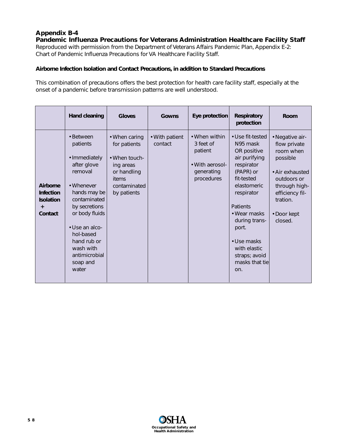# **Appendix B-4 Pandemic Influenza Precautions for Veterans Administration Healthcare Facility Staff**

*Reproduced with permission from the Department of Veterans Affairs Pandemic Plan, Appendix E-2: Chart of Pandemic Influenza Precautions for VA Healthcare Facility Staff.*

## *Airborne Infection Isolation and Contact Precautions, in addition to Standard Precautions*

This combination of precautions offers the best protection for health care facility staff, especially at the onset of a pandemic before transmission patterns are well understood.

|                                                                          | Hand cleaning                                                                                                                                                                                                                                      | <b>Gloves</b>                                                                                                             | Gowns                     | Eye protection                                                                       | <b>Respiratory</b><br>protection                                                                                                                                                                                                                                         | Room                                                                                                                                                                 |
|--------------------------------------------------------------------------|----------------------------------------------------------------------------------------------------------------------------------------------------------------------------------------------------------------------------------------------------|---------------------------------------------------------------------------------------------------------------------------|---------------------------|--------------------------------------------------------------------------------------|--------------------------------------------------------------------------------------------------------------------------------------------------------------------------------------------------------------------------------------------------------------------------|----------------------------------------------------------------------------------------------------------------------------------------------------------------------|
| Airborne<br><b>Infection</b><br><b>Isolation</b><br>$\ddot{}$<br>Contact | • Between<br>patients<br>· Immediately<br>after glove<br>removal<br>• Whenever<br>hands may be<br>contaminated<br>by secretions<br>or body fluids<br>• Use an alco-<br>hol-based<br>hand rub or<br>wash with<br>antimicrobial<br>soap and<br>water | • When caring<br>for patients<br>• When touch-<br>ing areas<br>or handling<br><i>items</i><br>contaminated<br>by patients | • With patient<br>contact | • When within<br>3 feet of<br>patient<br>• With aerosol-<br>generating<br>procedures | • Use fit-tested<br>N95 mask<br>OR positive<br>air purifying<br>respirator<br>(PAPR) or<br>fit-tested<br>elastomeric<br>respirator<br><b>Patients</b><br>• Wear masks<br>during trans-<br>port.<br>• Use masks<br>with elastic<br>straps; avoid<br>masks that tie<br>on. | · Negative air-<br>flow private<br>room when<br>possible<br>• Air exhausted<br>outdoors or<br>through high-<br>efficiency fil-<br>tration.<br>• Door kept<br>closed. |

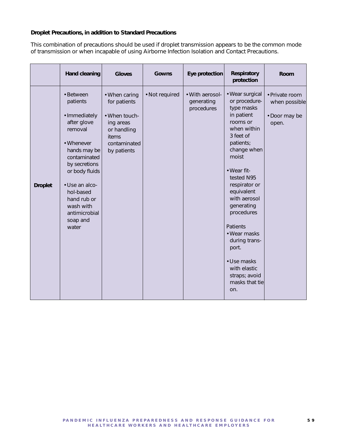#### *Droplet Precautions, in addition to Standard Precautions*

This combination of precautions should be used if droplet transmission appears to be the common mode of transmission or when incapable of using Airborne Infection Isolation and Contact Precautions.

|                | <b>Hand cleaning</b>                                                                                                                                                                                                                               | <b>Gloves</b>                                                                                                      | <b>Gowns</b>   | Eye protection                              | <b>Respiratory</b><br>protection                                                                                                                                                                                                                                                                                                                                                        | <b>Room</b>                                               |
|----------------|----------------------------------------------------------------------------------------------------------------------------------------------------------------------------------------------------------------------------------------------------|--------------------------------------------------------------------------------------------------------------------|----------------|---------------------------------------------|-----------------------------------------------------------------------------------------------------------------------------------------------------------------------------------------------------------------------------------------------------------------------------------------------------------------------------------------------------------------------------------------|-----------------------------------------------------------|
| <b>Droplet</b> | • Between<br>patients<br>· Immediately<br>after glove<br>removal<br>• Whenever<br>hands may be<br>contaminated<br>by secretions<br>or body fluids<br>· Use an alco-<br>hol-based<br>hand rub or<br>wash with<br>antimicrobial<br>soap and<br>water | • When caring<br>for patients<br>• When touch-<br>ing areas<br>or handling<br>items<br>contaminated<br>by patients | • Not required | • With aerosol-<br>generating<br>procedures | • Wear surgical<br>or procedure-<br>type masks<br>in patient<br>rooms or<br>when within<br>3 feet of<br>patients;<br>change when<br>moist<br>· Wear fit-<br>tested N95<br>respirator or<br>equivalent<br>with aerosol<br>generating<br>procedures<br><b>Patients</b><br>• Wear masks<br>during trans-<br>port.<br>• Use masks<br>with elastic<br>straps; avoid<br>masks that tie<br>on. | · Private room<br>when possible<br>• Door may be<br>open. |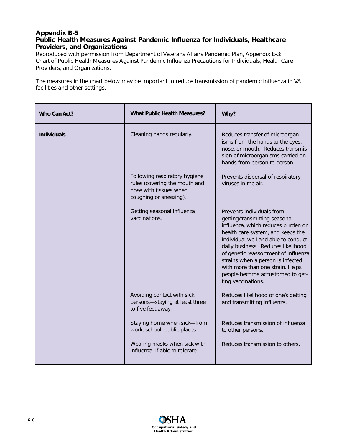## **Appendix B-5 Public Health Measures Against Pandemic Influenza for Individuals, Healthcare Providers, and Organizations**

*Reproduced with permission from Department of Veterans Affairs Pandemic Plan, Appendix E-3: Chart of Public Health Measures Against Pandemic Influenza Precautions for Individuals, Health Care Providers, and Organizations.*

The measures in the chart below may be important to reduce transmission of pandemic influenza in VA facilities and other settings.

| <b>What Public Health Measures?</b><br>Who Can Act? |                                                                                                                    | Why?                                                                                                                                                                                                                                                                                                                                                                                          |  |
|-----------------------------------------------------|--------------------------------------------------------------------------------------------------------------------|-----------------------------------------------------------------------------------------------------------------------------------------------------------------------------------------------------------------------------------------------------------------------------------------------------------------------------------------------------------------------------------------------|--|
| <b>Individuals</b>                                  | Cleaning hands regularly.                                                                                          | Reduces transfer of microorgan-<br>isms from the hands to the eyes,<br>nose, or mouth. Reduces transmis-<br>sion of microorganisms carried on<br>hands from person to person.                                                                                                                                                                                                                 |  |
|                                                     | Following respiratory hygiene<br>rules (covering the mouth and<br>nose with tissues when<br>coughing or sneezing). | Prevents dispersal of respiratory<br>viruses in the air.                                                                                                                                                                                                                                                                                                                                      |  |
|                                                     | Getting seasonal influenza<br>vaccinations.                                                                        | Prevents individuals from<br>getting/transmitting seasonal<br>influenza, which reduces burden on<br>health care system, and keeps the<br>individual well and able to conduct<br>daily business. Reduces likelihood<br>of genetic reassortment of influenza<br>strains when a person is infected<br>with more than one strain. Helps<br>people become accustomed to get-<br>ting vaccinations. |  |
|                                                     | Avoiding contact with sick<br>persons-staying at least three<br>to five feet away.                                 | Reduces likelihood of one's getting<br>and transmitting influenza.                                                                                                                                                                                                                                                                                                                            |  |
|                                                     | Staying home when sick-from<br>work, school, public places.                                                        | Reduces transmission of influenza<br>to other persons.                                                                                                                                                                                                                                                                                                                                        |  |
|                                                     | Wearing masks when sick with<br>influenza, if able to tolerate.                                                    | Reduces transmission to others.                                                                                                                                                                                                                                                                                                                                                               |  |

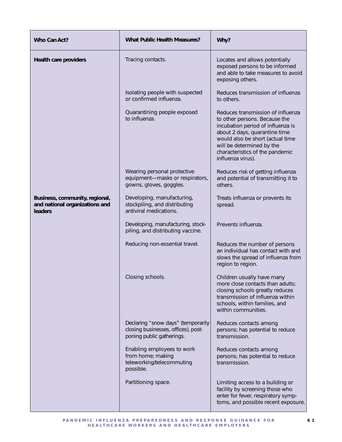| Who Can Act?                                                                | <b>What Public Health Measures?</b>                                                                    | Why?                                                                                                                                                                                                                                                              |  |
|-----------------------------------------------------------------------------|--------------------------------------------------------------------------------------------------------|-------------------------------------------------------------------------------------------------------------------------------------------------------------------------------------------------------------------------------------------------------------------|--|
| <b>Health care providers</b>                                                | Tracing contacts.                                                                                      | Locates and allows potentially<br>exposed persons to be informed<br>and able to take measures to avoid<br>exposing others.                                                                                                                                        |  |
|                                                                             | Isolating people with suspected<br>or confirmed influenza.                                             | Reduces transmission of influenza<br>to others.                                                                                                                                                                                                                   |  |
|                                                                             | Quarantining people exposed<br>to influenza.                                                           | Reduces transmission of influenza<br>to other persons. Because the<br>incubation period of influenza is<br>about 2 days, quarantine time<br>would also be short (actual time<br>will be determined by the<br>characteristics of the pandemic<br>influenza virus). |  |
|                                                                             | Wearing personal protective<br>equipment-masks or respirators,<br>gowns, gloves, goggles.              | Reduces risk of getting influenza<br>and potential of transmitting it to<br>others.                                                                                                                                                                               |  |
| Business, community, regional,<br>and national organizations and<br>leaders | Developing, manufacturing,<br>stockpiling, and distributing<br>antiviral medications.                  | Treats influenza or prevents its<br>spread.                                                                                                                                                                                                                       |  |
|                                                                             | Developing, manufacturing, stock-<br>piling, and distributing vaccine.                                 | Prevents influenza.                                                                                                                                                                                                                                               |  |
|                                                                             | Reducing non-essential travel.                                                                         | Reduces the number of persons<br>an individual has contact with and<br>slows the spread of influenza from<br>region to region.                                                                                                                                    |  |
|                                                                             | Closing schools.                                                                                       | Children usually have many<br>more close contacts than adults;<br>closing schools greatly reduces<br>transmission of influenza within<br>schools, within families, and<br>within communities.                                                                     |  |
|                                                                             | Declaring "snow days" (temporarily<br>closing businesses, offices), post-<br>poning public gatherings. | Reduces contacts among<br>persons; has potential to reduce<br>transmission.                                                                                                                                                                                       |  |
|                                                                             | Enabling employees to work<br>from home; making<br>teleworking/telecommuting<br>possible.              | Reduces contacts among<br>persons; has potential to reduce<br>transmission.                                                                                                                                                                                       |  |
|                                                                             | Partitioning space.                                                                                    | Limiting access to a building or<br>facility by screening those who<br>enter for fever, respiratory symp-<br>toms, and possible recent exposure.                                                                                                                  |  |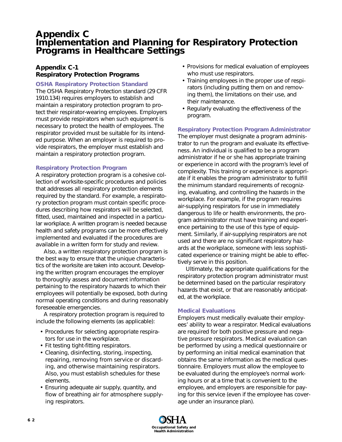# **Appendix C Implementation and Planning for Respiratory Protection Programs in Healthcare Settings**

# **Appendix C-1 Respiratory Protection Programs**

#### **OSHA Respiratory Protection Standard**

The OSHA Respiratory Protection standard (29 CFR 1910.134) requires employers to establish and maintain a respiratory protection program to protect their respirator-wearing employees. Employers must provide respirators when such equipment is necessary to protect the health of employees. The respirator provided must be suitable for its intended purpose. When an employer is required to provide respirators, the employer must establish and maintain a respiratory protection program.

## **Respiratory Protection Program**

A respiratory protection program is a cohesive collection of worksite-specific procedures and policies that addresses all respiratory protection elements required by the standard. For example, a respiratory protection program must contain specific procedures describing how respirators will be selected, fitted, used, maintained and inspected in a particular workplace. A written program is needed because health and safety programs can be more effectively implemented and evaluated if the procedures are available in a written form for study and review.

Also, a written respiratory protection program is the best way to ensure that the unique characteristics of the worksite are taken into account. Developing the written program encourages the employer to thoroughly assess and document information pertaining to the respiratory hazards to which their employees will potentially be exposed, both during normal operating conditions and during reasonably foreseeable emergencies.

A respiratory protection program is required to include the following elements (as applicable):

- Procedures for selecting appropriate respirators for use in the workplace.
- Fit testing tight-fitting respirators.
- Cleaning, disinfecting, storing, inspecting, repairing, removing from service or discarding, and otherwise maintaining respirators. Also, you must establish schedules for these elements.
- Ensuring adequate air supply, quantity, and flow of breathing air for atmosphere supplying respirators.
- Provisions for medical evaluation of employees who must use respirators.
- Training employees in the proper use of respirators (including putting them on and removing them), the limitations on their use, and their maintenance.
- Regularly evaluating the effectiveness of the program.

## **Respiratory Protection Program Administrator**

The employer must designate a program administrator to run the program and evaluate its effectiveness. An individual is qualified to be a program administrator if he or she has appropriate training or experience in accord with the program's level of complexity. This training or experience is appropriate if it enables the program administrator to fulfill the minimum standard requirements of recognizing, evaluating, and controlling the hazards in the workplace. For example, if the program requires air-supplying respirators for use in immediately dangerous to life or health environments, the program administrator must have training and experience pertaining to the use of this type of equipment. Similarly, if air-supplying respirators are not used and there are no significant respiratory hazards at the workplace, someone with less sophisticated experience or training might be able to effectively serve in this position.

Ultimately, the appropriate qualifications for the respiratory protection program administrator must be determined based on the particular respiratory hazards that exist, or that are reasonably anticipated, at the workplace.

## **Medical Evaluations**

Employers must medically evaluate their employees' ability to wear a respirator. Medical evaluations are required for both positive pressure and negative pressure respirators. Medical evaluation can be performed by using a medical questionnaire or by performing an initial medical examination that obtains the same information as the medical questionnaire. Employers must allow the employee to be evaluated during the employee's normal working hours or at a time that is convenient to the employee, and employers are responsible for paying for this service (even if the employee has coverage under an insurance plan).

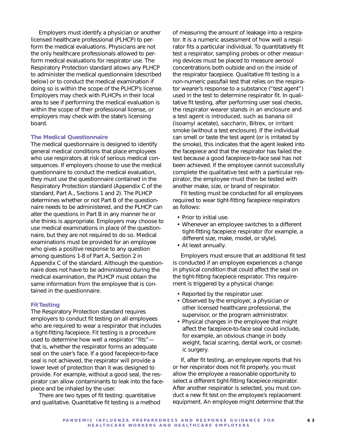Employers must identify a physician or another licensed healthcare professional (PLHCP) to perform the medical evaluations. Physicians are not the only healthcare professionals allowed to perform medical evaluations for respirator use. The Respiratory Protection standard allows any PLHCP to administer the medical questionnaire (described below) or to conduct the medical examination if doing so is within the scope of the PLHCP's license. Employers may check with PLHCPs in their local area to see if performing the medical evaluation is within the scope of their professional license, or employers may check with the state's licensing board.

#### **The Medical Questionnaire**

The medical questionnaire is designed to identify general medical conditions that place employees who use respirators at risk of serious medical consequences. If employers choose to use the medical questionnaire to conduct the medical evaluation, they must use the questionnaire contained in the Respiratory Protection standard (Appendix C of the standard, Part A., Sections 1 and 2). The PLHCP determines whether or not Part B of the questionnaire needs to be administered, and the PLHCP can alter the questions in Part B in any manner he or she thinks is appropriate. Employers may choose to use medical examinations in place of the questionnaire, but they are not required to do so. Medical examinations must be provided for an employee who gives a positive response to any question among questions 1-8 of Part A, Section 2 in Appendix C of the standard. Although the questionnaire does not have to be administered during the medical examination, the PLHCP must obtain the same information from the employee that is contained in the questionnaire.

#### **Fit Testing**

The Respiratory Protection standard requires employers to conduct fit testing on all employees who are required to wear a respirator that includes a tight-fitting facepiece. Fit testing is a procedure used to determine how well a respirator "fits" that is, whether the respirator forms an adequate seal on the user's face. If a good facepiece-to-face seal is not achieved, the respirator will provide a lower level of protection than it was designed to provide. For example, without a good seal, the respirator can allow contaminants to leak into the facepiece and be inhaled by the user.

There are two types of fit testing: quantitative and qualitative. Quantitative fit testing is a method

of measuring the amount of leakage into a respirator. It is a numeric assessment of how well a respirator fits a particular individual. To quantitatively fit test a respirator, sampling probes or other measuring devices must be placed to measure aerosol concentrations both outside and on the inside of the respirator facepiece. Qualitative fit testing is a non-numeric pass/fail test that relies on the respirator wearer's response to a substance ("test agent") used in the test to determine respirator fit. In qualitative fit testing, after performing user seal checks, the respirator wearer stands in an enclosure and a test agent is introduced, such as banana oil (isoamyl acetate), saccharin, Bitrex, or irritant smoke (without a test enclosure). If the individual can smell or taste the test agent (or is irritated by the smoke), this indicates that the agent leaked into the facepiece and that the respirator has failed the test because a good facepiece-to-face seal has not been achieved. If the employee cannot successfully complete the qualitative test with a particular respirator, the employee must then be tested with another make, size, or brand of respirator.

Fit testing must be conducted for all employees required to wear tight-fitting facepiece respirators as follows:

- Prior to initial use.
- Whenever an employee switches to a different tight-fitting facepiece respirator (for example, a different size, make, model, or style).
- At least annually.

Employers must ensure that an additional fit test is conducted if an employee experiences a change in physical condition that could affect the seal on the tight-fitting facepiece respirator. This requirement is triggered by a physical change:

- Reported by the respirator user.
- Observed by the employer, a physician or other licensed healthcare professional, the supervisor, or the program administrator.
- Physical changes in the employee that might affect the facepiece-to-face seal could include, for example, an obvious change in body weight, facial scarring, dental work, or cosmetic surgery.

If, after fit testing, an employee reports that his or her respirator does not fit properly, you must allow the employee a reasonable opportunity to select a different tight-fitting facepiece respirator. After another respirator is selected, you must conduct a new fit test on the employee's replacement equipment. An employee might determine that the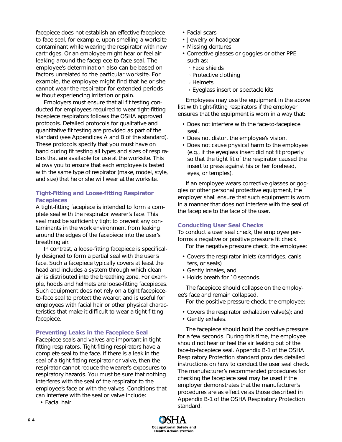facepiece does not establish an effective facepieceto-face seal, for example, upon smelling a worksite contaminant while wearing the respirator with new cartridges. Or an employee might hear or feel air leaking around the facepiece-to-face seal. The employee's determination also can be based on factors unrelated to the particular worksite. For example, the employee might find that he or she cannot wear the respirator for extended periods without experiencing irritation or pain.

Employers must ensure that all fit testing conducted for employees required to wear tight-fitting facepiece respirators follows the OSHA approved protocols. Detailed protocols for qualitative and quantitative fit testing are provided as part of the standard (see Appendices A and B of the standard). These protocols specify that you must have on hand during fit testing all types and sizes of respirators that are available for use at the worksite. This allows you to ensure that each employee is tested with the same type of respirator (make, model, style, and size) that he or she will wear at the worksite.

## **Tight-Fitting and Loose-fitting Respirator Facepieces**

A tight-fitting facepiece is intended to form a complete seal with the respirator wearer's face. This seal must be sufficiently tight to prevent any contaminants in the work environment from leaking around the edges of the facepiece into the user's breathing air.

In contrast, a loose-fitting facepiece is specifically designed to form a partial seal with the user's face. Such a facepiece typically covers at least the head and includes a system through which clean air is distributed into the breathing zone. For example, hoods and helmets are loose-fitting facepieces. Such equipment does not rely on a tight facepieceto-face seal to protect the wearer, and is useful for employees with facial hair or other physical characteristics that make it difficult to wear a tight-fitting facepiece.

#### **Preventing Leaks in the Facepiece Seal**

Facepiece seals and valves are important in tightfitting respirators. Tight-fitting respirators have a complete seal to the face. If there is a leak in the seal of a tight-fitting respirator or valve, then the respirator cannot reduce the wearer's exposures to respiratory hazards. You must be sure that nothing interferes with the seal of the respirator to the employee's face or with the valves. Conditions that can interfere with the seal or valve include:

• Facial hair

- Facial scars
- Jewelry or headgear
- Missing dentures
- Corrective glasses or goggles or other PPE such as:
	- Face shields
	- Protective clothing
	- Helmets
	- Eyeglass insert or spectacle kits

Employees may use the equipment in the above list with tight-fitting respirators if the employer ensures that the equipment is worn in a way that:

- Does not interfere with the face-to-facepiece seal.
- Does not distort the employee's vision.
- Does not cause physical harm to the employee (e.g., if the eyeglass insert did not fit properly so that the tight fit of the respirator caused the insert to press against his or her forehead, eyes, or temples).

If an employee wears corrective glasses or goggles or other personal protective equipment, the employer shall ensure that such equipment is worn in a manner that does not interfere with the seal of the facepiece to the face of the user.

#### **Conducting User Seal Checks**

To conduct a user seal check, the employee performs a negative or positive pressure fit check.

- For the negative pressure check, the employee:
- Covers the respirator inlets (cartridges, canisters, or seals)
- Gently inhales, and
- Holds breath for 10 seconds.

The facepiece should collapse on the employee's face and remain collapsed.

- For the positive pressure check, the employee:
- Covers the respirator exhalation valve(s); and
- Gently exhales.

The facepiece should hold the positive pressure for a few seconds. During this time, the employee should not hear or feel the air leaking out of the face-to-facepiece seal. Appendix B-1 of the OSHA Respiratory Protection standard provides detailed instructions on how to conduct the user seal check. The manufacturer's recommended procedures for checking the facepiece seal may be used if the employer demonstrates that the manufacturer's procedures are as effective as those described in Appendix B-1 of the OSHA Respiratory Protection standard.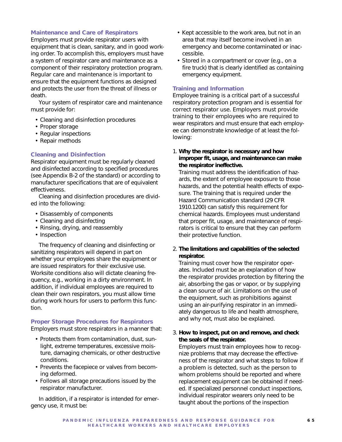#### **Maintenance and Care of Respirators**

Employers must provide respirator users with equipment that is clean, sanitary, and in good working order. To accomplish this, employers must have a system of respirator care and maintenance as a component of their respiratory protection program. Regular care and maintenance is important to ensure that the equipment functions as designed and protects the user from the threat of illness or death.

Your system of respirator care and maintenance must provide for:

- Cleaning and disinfection procedures
- Proper storage
- Regular inspections
- Repair methods

#### **Cleaning and Disinfection**

Respirator equipment must be regularly cleaned and disinfected according to specified procedures (see Appendix B-2 of the standard) or according to manufacturer specifications that are of equivalent effectiveness.

Cleaning and disinfection procedures are divided into the following:

- Disassembly of components
- Cleaning and disinfecting
- Rinsing, drying, and reassembly
- Inspection

The frequency of cleaning and disinfecting or sanitizing respirators will depend in part on whether your employees share the equipment or are issued respirators for their exclusive use. Worksite conditions also will dictate cleaning frequency, e.g., working in a dirty environment. In addition, if individual employees are required to clean their own respirators, you must allow time during work hours for users to perform this function.

#### **Proper Storage Procedures for Respirators** Employers must store respirators in a manner that:

- Protects them from contamination, dust, sunlight, extreme temperatures, excessive moisture, damaging chemicals, or other destructive conditions.
- Prevents the facepiece or valves from becoming deformed.
- Follows all storage precautions issued by the respirator manufacturer.

In addition, if a respirator is intended for emergency use, it must be:

- Kept accessible to the work area, but not in an area that may itself become involved in an emergency and become contaminated or inaccessible.
- Stored in a compartment or cover (e.g., on a fire truck) that is clearly identified as containing emergency equipment.

#### **Training and Information**

Employee training is a critical part of a successful respiratory protection program and is essential for correct respirator use. Employers must provide training to their employees who are required to wear respirators and must ensure that each employee can demonstrate knowledge of at least the following:

1. **Why the respirator is necessary and how improper fit, usage, and maintenance can make the respirator ineffective.**

Training must address the identification of hazards, the extent of employee exposure to those hazards, and the potential health effects of exposure. The training that is required under the Hazard Communication standard (29 CFR 1910.1200) can satisfy this requirement for chemical hazards. Employees must understand that proper fit, usage, and maintenance of respirators is critical to ensure that they can perform their protective function.

2. **The limitations and capabilities of the selected respirator.**

Training must cover how the respirator operates. Included must be an explanation of how the respirator provides protection by filtering the air, absorbing the gas or vapor, or by supplying a clean source of air. Limitations on the use of the equipment, such as prohibitions against using an air-purifying respirator in an immediately dangerous to life and health atmosphere, and why not, must also be explained.

#### 3. **How to inspect, put on and remove, and check the seals of the respirator.**

Employers must train employees how to recognize problems that may decrease the effectiveness of the respirator and what steps to follow if a problem is detected, such as the person to whom problems should be reported and where replacement equipment can be obtained if needed. If specialized personnel conduct inspections, individual respirator wearers only need to be taught about the portions of the inspection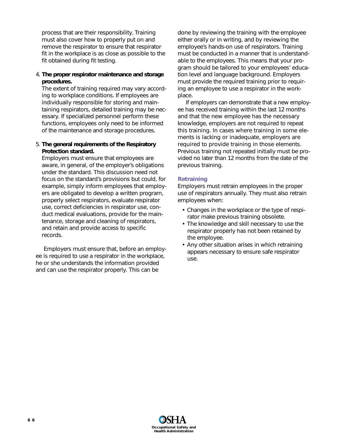process that are their responsibility. Training must also cover how to properly put on and remove the respirator to ensure that respirator fit in the workplace is as close as possible to the fit obtained during fit testing.

# 4. **The proper respirator maintenance and storage procedures.**

The extent of training required may vary according to workplace conditions. If employees are individually responsible for storing and maintaining respirators, detailed training may be necessary. If specialized personnel perform these functions, employees only need to be informed of the maintenance and storage procedures.

#### 5. **The general requirements of the Respiratory Protection standard.**

Employers must ensure that employees are aware, in general, of the employer's obligations under the standard. This discussion need not focus on the standard's provisions but could, for example, simply inform employees that employers are obligated to develop a written program, properly select respirators, evaluate respirator use, correct deficiencies in respirator use, conduct medical evaluations, provide for the maintenance, storage and cleaning of respirators, and retain and provide access to specific records.

Employers must ensure that, before an employee is required to use a respirator in the workplace, he or she understands the information provided and can use the respirator properly. This can be

done by reviewing the training with the employee either orally or in writing, and by reviewing the employee's hands-on use of respirators. Training must be conducted in a manner that is understandable to the employees. This means that your program should be tailored to your employees' education level and language background. Employers must provide the required training prior to requiring an employee to use a respirator in the workplace.

If employers can demonstrate that a new employee has received training within the last 12 months and that the new employee has the necessary knowledge, employers are not required to repeat this training. In cases where training in some elements is lacking or inadequate, employers are required to provide training in those elements. Previous training not repeated initially must be provided no later than 12 months from the date of the previous training.

## **Retraining**

Employers must retrain employees in the proper use of respirators annually. They must also retrain employees when:

- Changes in the workplace or the type of respirator make previous training obsolete.
- The knowledge and skill necessary to use the respirator properly has not been retained by the employee.
- Any other situation arises in which retraining appears necessary to ensure safe respirator use.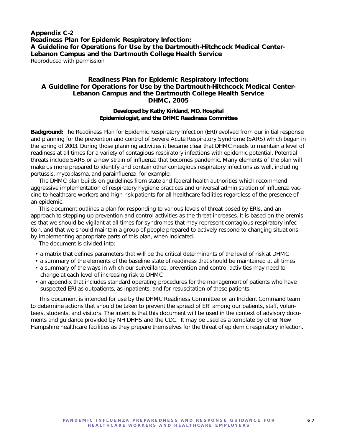**Appendix C-2 Readiness Plan for Epidemic Respiratory Infection: A Guideline for Operations for Use by the Dartmouth-Hitchcock Medical Center-Lebanon Campus and the Dartmouth College Health Service** *Reproduced with permission*

## **Readiness Plan for Epidemic Respiratory Infection: A Guideline for Operations for Use by the Dartmouth-Hitchcock Medical Center-Lebanon Campus and the Dartmouth College Health Service DHMC, 2005**

#### **Developed by Kathy Kirkland, MD, Hospital Epidemiologist, and the DHMC Readiness Committee**

**Background:** The Readiness Plan for Epidemic Respiratory Infection (ERI) evolved from our initial response and planning for the prevention and control of Severe Acute Respiratory Syndrome (SARS) which began in the spring of 2003. During those planning activities it became clear that DHMC needs to maintain a level of readiness at all times for a variety of contagious respiratory infections with epidemic potential. Potential threats include SARS or a new strain of influenza that becomes pandemic. Many elements of the plan will make us more prepared to identify and contain other contagious respiratory infections as well, including pertussis, mycoplasma, and parainfluenza, for example.

The DHMC plan builds on guidelines from state and federal health authorities which recommend aggressive implementation of respiratory hygiene practices and universal administration of influenza vaccine to healthcare workers and high-risk patients for all healthcare facilities regardless of the presence of an epidemic.

This document outlines a plan for responding to various levels of threat posed by ERIs, and an approach to stepping up prevention and control activities as the threat increases. It is based on the premises that we should be vigilant at all times for syndromes that may represent contagious respiratory infection, and that we should maintain a group of people prepared to actively respond to changing situations by implementing appropriate parts of this plan, when indicated.

The document is divided into:

- a matrix that defines parameters that will be the critical determinants of the level of risk at DHMC
- a summary of the elements of the baseline state of readiness that should be maintained at all times
- a summary of the ways in which our surveillance, prevention and control activities may need to change at each level of increasing risk to DHMC
- an appendix that includes standard operating procedures for the management of patients who have suspected ERI as outpatients, as inpatients, and for resuscitation of these patients.

This document is intended for use by the DHMC Readiness Committee or an Incident Command team to determine actions that should be taken to prevent the spread of ERI among our patients, staff, volunteers, students, and visitors. The intent is that this document will be used in the context of advisory documents and guidance provided by NH DHHS and the CDC. It may be used as a template by other New Hampshire healthcare facilities as they prepare themselves for the threat of epidemic respiratory infection.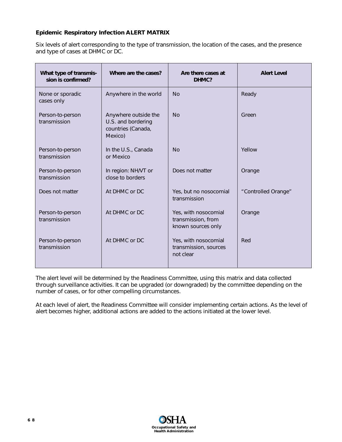# **Epidemic Respiratory Infection ALERT MATRIX**

Six levels of alert corresponding to the type of transmission, the location of the cases, and the presence and type of cases at DHMC or DC.

| What type of transmis-<br>sion is confirmed? | Where are the cases?                                                        | Are there cases at<br>DHMC?                                      | <b>Alert Level</b>  |
|----------------------------------------------|-----------------------------------------------------------------------------|------------------------------------------------------------------|---------------------|
| None or sporadic<br>cases only               | Anywhere in the world                                                       | <b>No</b>                                                        | Ready               |
| Person-to-person<br>transmission             | Anywhere outside the<br>U.S. and bordering<br>countries (Canada,<br>Mexico) | <b>No</b>                                                        | Green               |
| Person-to-person<br>transmission             | In the U.S., Canada<br>or Mexico                                            | <b>No</b>                                                        | Yellow              |
| Person-to-person<br>transmission             | In region: NH/VT or<br>close to borders                                     | Does not matter                                                  | Orange              |
| Does not matter                              | At DHMC or DC                                                               | Yes, but no nosocomial<br>transmission                           | "Controlled Orange" |
| Person-to-person<br>transmission             | At DHMC or DC                                                               | Yes, with nosocomial<br>transmission, from<br>known sources only | Orange              |
| Person-to-person<br>transmission             | At DHMC or DC                                                               | Yes, with nosocomial<br>transmission, sources<br>not clear       | Red                 |

The alert level will be determined by the Readiness Committee, using this matrix and data collected through surveillance activities. It can be upgraded (or downgraded) by the committee depending on the number of cases, or for other compelling circumstances.

At each level of alert, the Readiness Committee will consider implementing certain actions. As the level of alert becomes higher, additional actions are added to the actions initiated at the lower level.

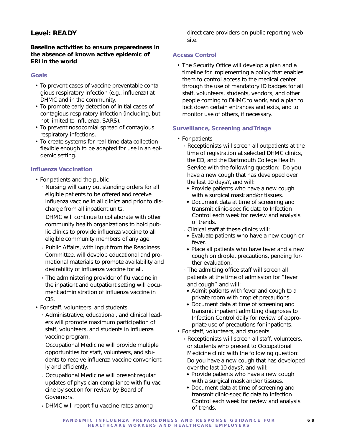# **Level: READY**

# **Baseline activities to ensure preparedness in the absence of known active epidemic of ERI in the world**

# **Goals**

- To prevent cases of vaccine-preventable contagious respiratory infection (e.g., influenza) at DHMC and in the community.
- To promote early detection of initial cases of contagious respiratory infection (including, but not limited to influenza, SARS).
- To prevent nosocomial spread of contagious respiratory infections.
- To create systems for real-time data collection flexible enough to be adapted for use in an epidemic setting.

## **Influenza Vaccination**

- For patients and the public
	- Nursing will carry out standing orders for all eligible patients to be offered and receive influenza vaccine in all clinics and prior to discharge from all inpatient units.
	- DHMC will continue to collaborate with other community health organizations to hold public clinics to provide influenza vaccine to all eligible community members of any age.
	- Public Affairs, with input from the Readiness Committee, will develop educational and promotional materials to promote availability and desirability of influenza vaccine for all.
	- The administering provider of flu vaccine in the inpatient and outpatient setting will document administration of influenza vaccine in CIS.
- For staff, volunteers, and students
	- Administrative, educational, and clinical leaders will promote maximum participation of staff, volunteers, and students in influenza vaccine program.
	- Occupational Medicine will provide multiple opportunities for staff, volunteers, and students to receive influenza vaccine conveniently and efficiently.
	- Occupational Medicine will present regular updates of physician compliance with flu vaccine by section for review by Board of Governors.
	- DHMC will report flu vaccine rates among

direct care providers on public reporting website.

## **Access Control**

• The Security Office will develop a plan and a timeline for implementing a policy that enables them to control access to the medical center through the use of mandatory ID badges for all staff, volunteers, students, vendors, and other people coming to DHMC to work, and a plan to lock down certain entrances and exits, and to monitor use of others, if necessary.

## **Surveillance, Screening and Triage**

- For patients
	- Receptionists will screen all outpatients at the time of registration at selected DHMC clinics, the ED, and the Dartmouth College Health Service with the following question: Do you have a new cough that has developed over the last 10 days?, and will:
		- ◆ Provide patients who have a new cough with a surgical mask and/or tissues.
		- ◆ Document data at time of screening and transmit clinic-specific data to Infection Control each week for review and analysis of trends.
	- Clinical staff at these clinics will:
	- ◆ Evaluate patients who have a new cough or fever.
	- ◆ Place all patients who have fever and a new cough on droplet precautions, pending further evaluation.
	- The admitting office staff will screen all patients at the time of admission for "fever and cough" and will:
		- ◆ Admit patients with fever and cough to a private room with droplet precautions.
		- ◆ Document data at time of screening and transmit inpatient admitting diagnoses to Infection Control daily for review of appropriate use of precautions for inpatients.
- For staff, volunteers, and students
	- Receptionists will screen all staff, volunteers, or students who present to Occupational Medicine clinic with the following question: Do you have a new cough that has developed over the last 10 days?, and will:
		- ◆ Provide patients who have a new cough with a surgical mask and/or tissues.
		- ◆ Document data at time of screening and transmit clinic-specific data to Infection Control each week for review and analysis of trends.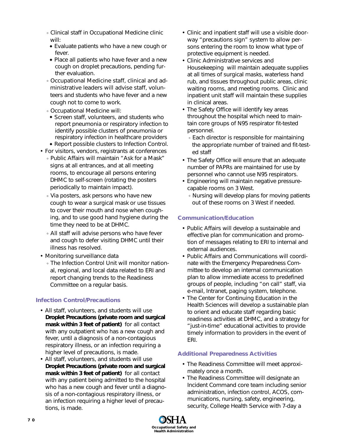- Clinical staff in Occupational Medicine clinic will:
- ◆ Evaluate patients who have a new cough or fever.
- ◆ Place all patients who have fever and a new cough on droplet precautions, pending further evaluation.
- Occupational Medicine staff, clinical and administrative leaders will advise staff, volunteers and students who have fever and a new cough not to come to work.
- Occupational Medicine will:
- ◆ Screen staff, volunteers, and students who report pneumonia or respiratory infection to identify possible clusters of pneumonia or respiratory infection in healthcare providers
- ◆ Report possible clusters to Infection Control.
- For visitors, vendors, registrants at conferences
	- Public Affairs will maintain "Ask for a Mask" signs at all entrances, and at all meeting rooms, to encourage all persons entering DHMC to self-screen (rotating the posters periodically to maintain impact).
	- Via posters, ask persons who have new cough to wear a surgical mask or use tissues to cover their mouth and nose when coughing, and to use good hand hygiene during the time they need to be at DHMC.
	- All staff will advise persons who have fever and cough to defer visiting DHMC until their illness has resolved.
- Monitoring surveillance data
	- The Infection Control Unit will monitor national, regional, and local data related to ERI and report changing trends to the Readiness Committee on a regular basis.

# **Infection Control/Precautions**

- All staff, volunteers, and students will use *Droplet Precautions (private room and surgical mask within 3 feet of patient)* for all contact with any outpatient who has a new cough and fever, until a diagnosis of a non-contagious respiratory illness, or an infection requiring a higher level of precautions, is made.
- All staff, volunteers, and students will use *Droplet Precautions (private room and surgical mask within 3 feet of patient)* for all contact with any patient being admitted to the hospital who has a new cough and fever until a diagnosis of a non-contagious respiratory illness, or an infection requiring a higher level of precautions, is made.
- Clinic and inpatient staff will use a visible doorway "precautions sign" system to allow persons entering the room to know what type of protective equipment is needed.
- Clinic Administrative services and Housekeeping will maintain adequate supplies at all times of surgical masks, waterless hand rub, and tissues throughout public areas, clinic waiting rooms, and meeting rooms. Clinic and inpatient unit staff will maintain these supplies in clinical areas.
- The Safety Office will identify key areas throughout the hospital which need to maintain core groups of N95 respirator fit-tested personnel.
	- Each director is responsible for maintaining the appropriate number of trained and fit-tested staff
- The Safety Office will ensure that an adequate number of PAPRs are maintained for use by personnel who cannot use N95 respirators.
- Engineering will maintain negative pressurecapable rooms on 3 West.
	- Nursing will develop plans for moving patients out of these rooms on 3 West if needed.

# **Communication/Education**

- Public Affairs will develop a sustainable and effective plan for communication and promotion of messages relating to ERI to internal and external audiences.
- Public Affairs and Communications will coordinate with the Emergency Preparedness Committee to develop an internal communication plan to allow immediate access to predefined groups of people, including "on call" staff, via e-mail, Intranet, paging system, telephone.
- The Center for Continuing Education in the Health Sciences will develop a sustainable plan to orient and educate staff regarding basic readiness activities at DHMC, and a strategy for "just-in-time" educational activities to provide timely information to providers in the event of ERI.

## **Additional Preparedness Activities**

- The Readiness Committee will meet approximately once a month.
- The Readiness Committee will designate an Incident Command core team including senior administration, infection control, ACOS, communications, nursing, safety, engineering, security, College Health Service with 7-day a

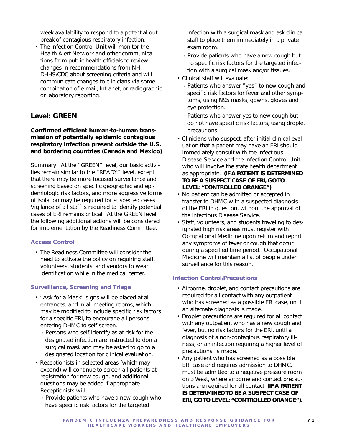week availability to respond to a potential outbreak of contagious respiratory infection.

• The Infection Control Unit will monitor the Health Alert Network and other communications from public health officials to review changes in recommendations from NH DHHS/CDC about screening criteria and will communicate changes to clinicians via some combination of e-mail, Intranet, or radiographic or laboratory reporting.

# **Level: GREEN**

## **Confirmed efficient human-to-human transmission of potentially epidemic contagious respiratory infection present outside the U.S. and bordering countries (Canada and Mexico)**

Summary: At the "GREEN" level, our basic activities remain similar to the "READY" level, except that there may be more focused surveillance and screening based on specific geographic and epidemiologic risk factors, and more aggressive forms of isolation may be required for suspected cases. Vigilance of all staff is required to identify potential cases of ERI remains critical. At the GREEN level, the following additional actions will be considered for implementation by the Readiness Committee.

### **Access Control**

• The Readiness Committee will consider the need to activate the policy on requiring staff, volunteers, students, and vendors to wear identification while in the medical center.

# **Surveillance, Screening and Triage**

- "Ask for a Mask" signs will be placed at all entrances, and in all meeting rooms, which may be modified to include specific risk factors for a specific ERI, to encourage all persons entering DHMC to self-screen.
	- Persons who self-identify as at risk for the designated infection are instructed to don a surgical mask and may be asked to go to a designated location for clinical evaluation.
- Receptionists in selected areas (which may expand) will continue to screen all patients at registration for new cough, and additional questions may be added if appropriate. Receptionists will:
	- Provide patients who have a new cough who have specific risk factors for the targeted

infection with a surgical mask and ask clinical staff to place them immediately in a private exam room.

- Provide patients who have a new cough but no specific risk factors for the targeted infection with a surgical mask and/or tissues.
- Clinical staff will evaluate:
	- Patients who answer "yes" to new cough and specific risk factors for fever and other symptoms, using N95 masks, gowns, gloves and eye protection.
	- Patients who answer yes to new cough but do not have specific risk factors, using droplet precautions.
- Clinicians who suspect, after initial clinical evaluation that a patient may have an ERI should immediately consult with the Infectious Disease Service and the Infection Control Unit, who will involve the state health department as appropriate. **(IF A PATIENT IS DETERMINED TO BE A SUSPECT CASE OF ERI, GO TO LEVEL: "CONTROLLED ORANGE")**
- No patient can be admitted or accepted in transfer to DHMC with a suspected diagnosis of the ERI in question, without the approval of the Infectious Disease Service.
- Staff, volunteers, and students traveling to designated high risk areas must register with Occupational Medicine upon return and report any symptoms of fever or cough that occur during a specified time period. Occupational Medicine will maintain a list of people under surveillance for this reason.

## **Infection Control/Precautions**

- Airborne, droplet, and contact precautions are required for all contact with any outpatient who has screened as a possible ERI case, until an alternate diagnosis is made.
- Droplet precautions are required for all contact with any outpatient who has a new cough and fever, but no risk factors for the ERI, until a diagnosis of a non-contagious respiratory illness, or an infection requiring a higher level of precautions, is made.
- Any patient who has screened as a possible ERI case and requires admission to DHMC, must be admitted to a negative pressure room on 3 West, where airborne and contact precautions are required for all contact. **(IF A PATIENT IS DETERMINED TO BE A SUSPECT CASE OF ERI, GO TO LEVEL: "CONTROLLED ORANGE").**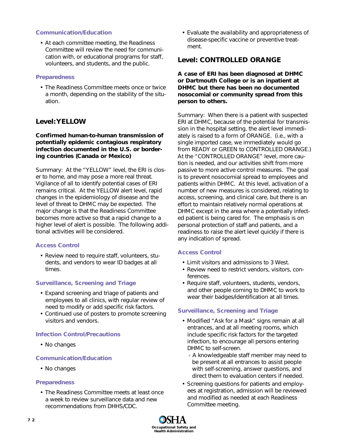### **Communication/Education**

• At each committee meeting, the Readiness Committee will review the need for communication with, or educational programs for staff, volunteers, and students, and the public.

### **Preparedness**

• The Readiness Committee meets once or twice a month, depending on the stability of the situation.

# **Level: YELLOW**

## **Confirmed human-to-human transmission of potentially epidemic contagious respiratory infection documented in the U.S. or bordering countries (Canada or Mexico)**

Summary: At the "YELLOW" level, the ERI is closer to home, and may pose a more real threat. Vigilance of all to identify potential cases of ERI remains critical. At the YELLOW alert level, rapid changes in the epidemiology of disease and the level of threat to DHMC may be expected. The major change is that the Readiness Committee becomes more active so that a rapid change to a higher level of alert is possible. The following additional activities will be considered.

## **Access Control**

• Review need to require staff, volunteers, students, and vendors to wear ID badges at all times.

## **Surveillance, Screening and Triage**

- Expand screening and triage of patients and employees to all clinics, with regular review of need to modify or add specific risk factors.
- Continued use of posters to promote screening visitors and vendors.

## **Infection Control/Precautions**

• No changes

## **Communication/Education**

• No changes

## **Preparedness**

• The Readiness Committee meets at least once a week to review surveillance data and new recommendations from DHHS/CDC.

• Evaluate the availability and appropriateness of disease-specific vaccine or preventive treatment.

# **Level: CONTROLLED ORANGE**

**A case of ERI has been diagnosed at DHMC or Dartmouth College or is an inpatient at DHMC but there has been no documented nosocomial or community spread from this person to others.**

Summary: When there is a patient with suspected ERI at DHMC, because of the potential for transmission in the hospital setting, the alert level immediately is raised to a form of ORANGE. (i.e., with a single imported case, we immediately would go from READY or GREEN to CONTROLLED ORANGE.) At the "CONTROLLED ORANGE" level, more caution is needed, and our activities shift from more passive to more active control measures. The goal is to prevent nosocomial spread to employees and patients within DHMC. At this level, activation of a number of new measures is considered, relating to access, screening, and clinical care, but there is an effort to maintain relatively normal operations at DHMC except in the area where a potentially infected patient is being cared for. The emphasis is on personal protection of staff and patients, and a readiness to raise the alert level quickly if there is any indication of spread.

## **Access Control**

- Limit visitors and admissions to 3 West.
- Review need to restrict vendors, visitors, conferences.
- Require staff, volunteers, students, vendors, and other people coming to DHMC to work to wear their badges/identification at all times.

# **Surveillance, Screening and Triage**

- Modified "Ask for a Mask" signs remain at all entrances, and at all meeting rooms, which include specific risk factors for the targeted infection, to encourage all persons entering DHMC to self-screen.
	- A knowledgeable staff member may need to be present at all entrances to assist people with self-screening, answer questions, and direct them to evaluation centers if needed.
- Screening questions for patients and employees at registration, admission will be reviewed and modified as needed at each Readiness Committee meeting.

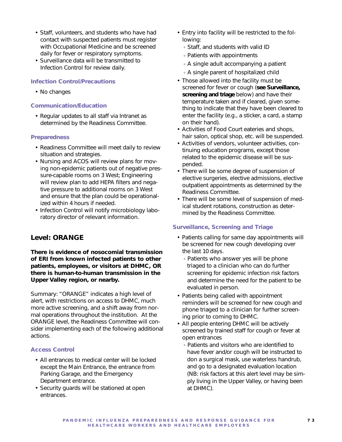- Staff, volunteers, and students who have had contact with suspected patients must register with Occupational Medicine and be screened daily for fever or respiratory symptoms.
- Surveillance data will be transmitted to Infection Control for review daily.

### **Infection Control/Precautions**

• No changes

### **Communication/Education**

• Regular updates to all staff via Intranet as determined by the Readiness Committee.

### **Preparedness**

- Readiness Committee will meet daily to review situation and strategies.
- Nursing and ACOS will review plans for moving non-epidemic patients out of negative pressure-capable rooms on 3 West; Engineering will review plan to add HEPA filters and negative pressure to additional rooms on 3 West and ensure that the plan could be operationalized within 4 hours if needed.
- Infection Control will notify microbiology laboratory director of relevant information.

# **Level: ORANGE**

**There is evidence of nosocomial transmission of ERI from known infected patients to other patients, employees, or visitors at DHMC, OR there is human-to-human transmission in the Upper Valley region, or nearby.**

Summary: "ORANGE" indicates a high level of alert, with restrictions on access to DHMC, much more active screening, and a shift away from normal operations throughout the institution. At the ORANGE level, the Readiness Committee will consider implementing each of the following additional actions.

## **Access Control**

- All entrances to medical center will be locked except the Main Entrance, the entrance from Parking Garage, and the Emergency Department entrance.
- Security guards will be stationed at open entrances.
- Entry into facility will be restricted to the following:
	- Staff, and students with valid ID
	- Patients with appointments
	- A single adult accompanying a patient
	- A single parent of hospitalized child
- Those allowed into the facility must be screened for fever or cough (**see Surveillance, screening and triage** below) and have their temperature taken and if cleared, given something to indicate that they have been cleared to enter the facility (e.g., a sticker, a card, a stamp on their hand).
- Activities of Food Court eateries and shops, hair salon, optical shop, etc. will be suspended.
- Activities of vendors, volunteer activities, continuing education programs, except those related to the epidemic disease will be suspended.
- There will be some degree of suspension of elective surgeries, elective admissions, elective outpatient appointments as determined by the Readiness Committee.
- There will be some level of suspension of medical student rotations, construction as determined by the Readiness Committee.

## **Surveillance, Screening and Triage**

- Patients calling for same day appointments will be screened for new cough developing over the last 10 days.
	- Patients who answer yes will be phone triaged to a clinician who can do further screening for epidemic infection risk factors and determine the need for the patient to be evaluated in person.
- Patients being called with appointment reminders will be screened for new cough and phone triaged to a clinician for further screening prior to coming to DHMC.
- All people entering DHMC will be actively screened by trained staff for cough or fever at open entrances
	- Patients and visitors who are identified to have fever and/or cough will be instructed to don a surgical mask, use waterless handrub, and go to a designated evaluation location (NB: risk factors at this alert level may be simply living in the Upper Valley, or having been at DHMC).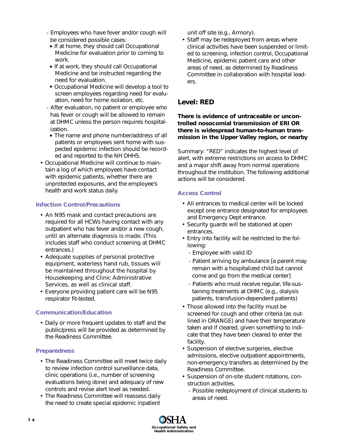- Employees who have fever and/or cough will be considered possible cases:
- ◆ If at home, they should call Occupational Medicine for evaluation prior to coming to work.
- ◆ If at work, they should call Occupational Medicine and be instructed regarding the need for evaluation.
- ◆ Occupational Medicine will develop a tool to screen employees regarding need for evaluation, need for home isolation, etc.
- After evaluation, no patient or employee who has fever or cough will be allowed to remain at DHMC unless the person requires hospitalization.
- ◆ The name and phone number/address of all patients or employees sent home with suspected epidemic infection should be recorded and reported to the NH DHHS.
- Occupational Medicine will continue to maintain a log of which employees have contact with epidemic patients, whether there are unprotected exposures, and the employee's health and work status daily.

# **Infection Control/Precautions**

- An N95 mask and contact precautions are required for all HCWs having contact with any outpatient who has fever and/or a new cough, until an alternate diagnosis is made. (This includes staff who conduct screening at DHMC entrances.)
- Adequate supplies of personal protective equipment, waterless hand rub, tissues will be maintained throughout the hospital by Housekeeping and Clinic Administrative Services, as well as clinical staff.
- Everyone providing patient care will be N95 respirator fit-tested.

# **Communication/Education**

• Daily or more frequent updates to staff and the public/press will be provided as determined by the Readiness Committee.

# **Preparedness**

- The Readiness Committee will meet twice daily to review infection control surveillance data, clinic operations (i.e., number of screening evaluations being done) and adequacy of new controls and revise alert level as needed.
- The Readiness Committee will reassess daily the need to create special epidemic inpatient

unit off site (e.g., Armory).

• Staff may be redeployed from areas where clinical activities have been suspended or limited to screening, infection control, Occupational Medicine, epidemic patient care and other areas of need, as determined by Readiness Committee in collaboration with hospital leaders.

# **Level: RED**

## **There is evidence of untraceable or uncontrolled nosocomial transmission of ERI OR there is widespread human-to-human transmission in the Upper Valley region, or nearby**

Summary: "RED" indicates the highest level of alert, with extreme restrictions on access to DHMC and a major shift away from normal operations throughout the institution. The following additional actions will be considered.

# **Access Control**

- All entrances to medical center will be locked except one entrance designated for employees and Emergency Dept entrance.
- Security guards will be stationed at open entrances.
- Entry into facility will be restricted to the following:
	- Employee with valid ID
	- Patient arriving by ambulance [a parent may remain with a hospitalized child but cannot come and go from the medical center]
	- Patients who must receive regular, life-sustaining treatments at DHMC (e.g., dialysis patients, transfusion-dependent patients)
- Those allowed into the facility must be screened for cough and other criteria (as outlined in ORANGE) and have their temperature taken and if cleared, given something to indicate that they have been cleared to enter the facility.
- Suspension of elective surgeries, elective admissions, elective outpatient appointments, non-emergency transfers as determined by the Readiness Committee.
- Suspension of on-site student rotations, construction activities.
	- Possible redeployment of clinical students to areas of need.

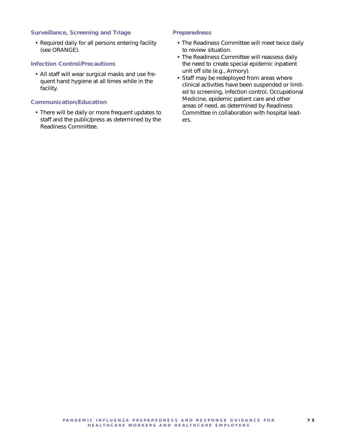### **Surveillance, Screening and Triage**

• Required daily for all persons entering facility (see ORANGE).

### **Infection Control/Precautions**

• All staff will wear surgical masks and use frequent hand hygiene at all times while in the facility.

### **Communication/Education**

• There will be daily or more frequent updates to staff and the public/press as determined by the Readiness Committee.

### **Preparedness**

- The Readiness Committee will meet twice daily to review situation.
- The Readiness Committee will reassess daily the need to create special epidemic inpatient unit off site (e.g., Armory).
- Staff may be redeployed from areas where clinical activities have been suspended or limited to screening, infection control, Occupational Medicine, epidemic patient care and other areas of need, as determined by Readiness Committee in collaboration with hospital leaders.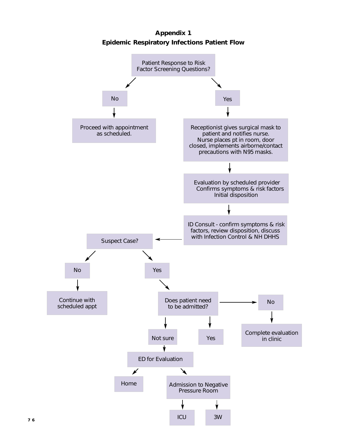**Appendix 1 Epidemic Respiratory Infections Patient Flow**

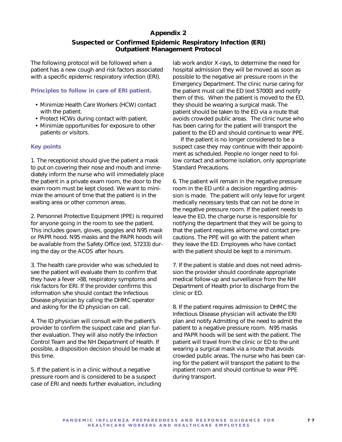# **Appendix 2**

# **Suspected or Confirmed Epidemic Respiratory Infection (ERI) Outpatient Management Protocol**

The following protocol will be followed when a patient has a new cough and risk factors associated with a specific epidemic respiratory infection (ERI).

### **Principles to follow in care of ERI patient.**

- Minimize Health Care Workers (HCW) contact with the patient.
- Protect HCWs during contact with patient.
- Minimize opportunities for exposure to other patients or visitors.

### **Key points**

1. The receptionist should give the patient a mask to put on covering their nose and mouth and immediately inform the nurse who will immediately place the patient in a private exam room, the door to the exam room must be kept closed. We want to minimize the amount of time that the patient is in the waiting area or other common areas.

2. Personnel Protective Equipment (PPE) is required for anyone going in the room to see the patient. This includes gown, gloves, goggles and N95 mask or PAPR hood. N95 masks and the PAPR hoods will be available from the Safety Office (ext. 57233) during the day or the ACOS after hours.

3. The health care provider who was scheduled to see the patient will evaluate them to confirm that they have a fever >38, respiratory symptoms and risk factors for ERI. If the provider confirms this information s/he should contact the Infectious Disease physician by calling the DHMC operator and asking for the ID physician on call.

4. The ID physician will consult with the patient's provider to confirm the suspect case and plan further evaluation. They will also notify the Infection Control Team and the NH Department of Health. If possible, a disposition decision should be made at this time.

5. If the patient is in a clinic without a negative pressure room and is considered to be a suspect case of ERI and needs further evaluation, including lab work and/or X-rays, to determine the need for hospital admission they will be moved as soon as possible to the negative air pressure room in the Emergency Department. The clinic nurse caring for the patient must call the ED (ext 57000) and notify them of this. When the patient is moved to the ED, they should be wearing a surgical mask. The patient should be taken to the ED via a route that avoids crowded public areas. The clinic nurse who has been caring for the patient will transport the patient to the ED and should continue to wear PPE.

If the patient is no longer considered to be a suspect case they may continue with their appointment as scheduled. People no longer need to follow contact and airborne isolation, only appropriate Standard Precautions.

6. The patient will remain in the negative pressure room in the ED until a decision regarding admission is made. The patient will only leave for urgent medically necessary tests that can not be done in the negative pressure room. If the patient needs to leave the ED, the charge nurse is responsible for notifying the department that they will be going to that the patient requires airborne and contact precautions. The PPE will go with the patient when they leave the ED. Employees who have contact with the patient should be kept to a minimum.

7. If the patient is stable and does not need admission the provider should coordinate appropriate medical follow-up and surveillance from the NH Department of Health prior to discharge from the clinic or ED.

8. If the patient requires admission to DHMC the Infectious Disease physician will activate the ERI plan and notify Admitting of the need to admit the patient to a negative pressure room. N95 masks and PAPR hoods will be sent with the patient. The patient will travel from the clinic or ED to the unit wearing a surgical mask via a route that avoids crowded public areas. The nurse who has been caring for the patient will transport the patient to the inpatient room and should continue to wear PPE during transport.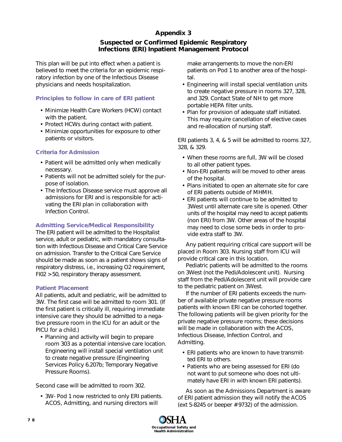# **Appendix 3**

# **Suspected or Confirmed Epidemic Respiratory Infections (ERI) Inpatient Management Protocol**

This plan will be put into effect when a patient is believed to meet the criteria for an epidemic respiratory infection by one of the Infectious Disease physicians and needs hospitalization.

## **Principles to follow in care of ERI patient**

- Minimize Health Care Workers (HCW) contact with the patient.
- Protect HCWs during contact with patient.
- Minimize opportunities for exposure to other patients or visitors.

# **Criteria for Admission**

- Patient will be admitted only when medically necessary.
- Patients will not be admitted solely for the purpose of isolation.
- The Infectious Disease service must approve all admissions for ERI and is responsible for activating the ERI plan in collaboration with Infection Control.

# **Admitting Service/Medical Responsibility**

The ERI patient will be admitted to the Hospitalist service, adult or pediatric, with mandatory consultation with Infectious Disease and Critical Care Service on admission. Transfer to the Critical Care Service should be made as soon as a patient shows signs of respiratory distress, i.e., increasing O2 requirement, FI02 > 50, respiratory therapy assessment.

## **Patient Placement**

All patients, adult and pediatric, will be admitted to 3W. The first case will be admitted to room 301. (If the first patient is critically ill, requiring immediate intensive care they should be admitted to a negative pressure room in the ICU for an adult or the PICU for a child.)

• Planning and activity will begin to prepare room 303 as a potential intensive care location. Engineering will install special ventilation unit to create negative pressure (Engineering Services Policy 6.207b; Temporary Negative Pressure Rooms).

Second case will be admitted to room 302.

• 3W- Pod 1 now restricted to only ERI patients. ACOS, Admitting, and nursing directors will

make arrangements to move the non-ERI patients on Pod 1 to another area of the hospital.

- Engineering will install special ventilation units to create negative pressure in rooms 327, 328, and 329. Contact State of NH to get more portable HEPA filter units.
- Plan for provision of adequate staff initiated. This may require cancellation of elective cases and re-allocation of nursing staff.

ERI patients 3, 4, & 5 will be admitted to rooms 327, 328, & 329.

- When these rooms are full, 3W will be closed to all other patient types.
- Non-ERI patients will be moved to other areas of the hospital.
- Plans initiated to open an alternate site for care of ERI patients outside of MHMH.
- ERI patients will continue to be admitted to 3West until alternate care site is opened. Other units of the hospital may need to accept patients (non ERI) from 3W. Other areas of the hospital may need to close some beds in order to provide extra staff to 3W.

Any patient requiring critical care support will be placed in Room 303. Nursing staff from ICU will provide critical care in this location.

Pediatric patients will be admitted to the rooms on 3West (not the Pedi/Adolescent unit). Nursing staff from the Pedi/Adolescent unit will provide care to the pediatric patient on 3West.

If the number of ERI patients exceeds the number of available private negative pressure rooms patients with known ERI can be cohorted together. The following patients will be given priority for the private negative pressure rooms; these decisions will be made in collaboration with the ACOS, Infectious Disease, Infection Control, and Admitting.

- ERI patients who are known to have transmitted ERI to others.
- Patients who are being assessed for ERI (do not want to put someone who does not ultimately have ERI in with known ERI patients).

As soon as the Admissions Department is aware of ERI patient admission they will notify the ACOS (ext 5-8245 or beeper # 9732) of the admission.

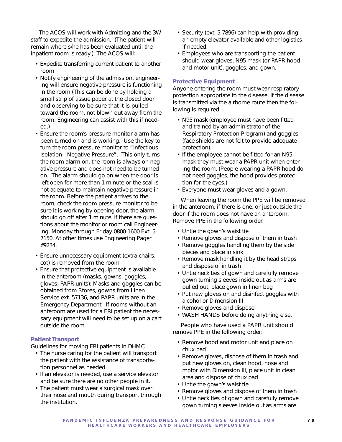The ACOS will work with Admitting and the 3W staff to expedite the admission. (The patient will remain where s/he has been evaluated until the inpatient room is ready.) The ACOS will:

- Expedite transferring current patient to another room
- Notify engineering of the admission, engineering will ensure negative pressure is functioning in the room (This can be done by holding a small strip of tissue paper at the closed door and observing to be sure that it is pulled toward the room, not blown out away from the room. Engineering can assist with this if needed.)
- Ensure the room's pressure monitor alarm has been turned on and is working. Use the key to turn the room pressure monitor to "Infectious Isolation - Negative Pressure". This only turns the room alarm on, the room is always on negative pressure and does not need to be turned on. The alarm should go on when the door is left open for more than 1 minute or the seal is not adequate to maintain negative pressure in the room. Before the patient arrives to the room, check the room pressure monitor to be sure it is working by opening door, the alarm should go off after 1 minute. If there are questions about the monitor or room call Engineering. Monday through Friday 0800-1600 Ext. 5- 7150. At other times use Engineering Pager #9234.
- Ensure unnecessary equipment (extra chairs, cot) is removed from the room
- Ensure that protective equipment is available in the anteroom (masks, gowns, goggles, gloves, PAPR units); Masks and goggles can be obtained from Stores, gowns from Linen Service ext. 57136, and PAPR units are in the Emergency Department. If rooms without an anteroom are used for a ERI patient the necessary equipment will need to be set up on a cart outside the room.

### **Patient Transport**

Guidelines for moving ERI patients in DHMC

- The nurse caring for the patient will transport the patient with the assistance of transportation personnel as needed.
- If an elevator is needed, use a service elevator and be sure there are no other people in it.
- The patient must wear a surgical mask over their nose and mouth during transport through the institution.
- Security (ext. 5-7896) can help with providing an empty elevator available and other logistics if needed.
- Employees who are transporting the patient should wear gloves, N95 mask (or PAPR hood and motor unit), goggles, and gown.

### **Protective Equipment**

Anyone entering the room must wear respiratory protection appropriate to the disease. If the disease is transmitted via the airborne route then the following is required.

- N95 mask (employee must have been fitted and trained by an administrator of the Respiratory Protection Program) and goggles (face shields are not felt to provide adequate protection).
- If the employee cannot be fitted for an N95 mask they must wear a PAPR unit when entering the room. (People wearing a PAPR hood do not need goggles; the hood provides protection for the eyes.)
- Everyone must wear gloves and a gown.

When leaving the room the PPE will be removed in the anteroom, if there is one, or just outside the door if the room does not have an anteroom. Remove PPE in the following order.

- Untie the gown's waist tie
- Remove gloves and dispose of them in trash
- Remove goggles handling them by the side pieces and place in sink
- Remove mask handling it by the head straps and dispose of in trash
- Untie neck ties of gown and carefully remove gown turning sleeves inside out as arms are pulled out, place gown in linen bag
- Put new gloves on and disinfect goggles with alcohol or Dimension III
- Remove gloves and dispose
- WASH HANDS before doing anything else.

People who have used a PAPR unit should remove PPE in the following order:

- Remove hood and motor unit and place on chux pad
- Remove gloves, dispose of them in trash and put new gloves on, clean hood, hose and motor with Dimension III, place unit in clean area and dispose of chux pad
- Untie the gown's waist tie
- Remove gloves and dispose of them in trash
- Untie neck ties of gown and carefully remove gown turning sleeves inside out as arms are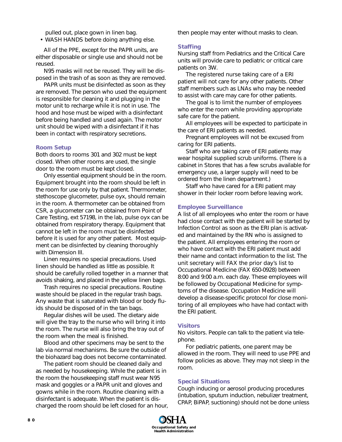pulled out, place gown in linen bag.

• WASH HANDS before doing anything else.

All of the PPE, except for the PAPR units, are either disposable or single use and should not be reused.

N95 masks will not be reused. They will be disposed in the trash of as soon as they are removed.

PAPR units must be disinfected as soon as they are removed. The person who used the equipment is responsible for cleaning it and plugging in the motor unit to recharge while it is not in use. The hood and hose must be wiped with a disinfectant before being handled and used again. The motor unit should be wiped with a disinfectant if it has been in contact with respiratory secretions.

### **Room Setup**

Both doors to rooms 301 and 302 must be kept closed. When other rooms are used, the single door to the room must be kept closed.

Only essential equipment should be in the room. Equipment brought into the room should be left in the room for use only by that patient. Thermometer, stethoscope glucometer, pulse oyx, should remain in the room. A thermometer can be obtained from CSR, a glucometer can be obtained from Point of Care Testing, ext 57198, in the lab, pulse oyx can be obtained from respiratory therapy. Equipment that cannot be left in the room must be disinfected before it is used for any other patient. Most equipment can be disinfected by cleaning thoroughly with Dimension III.

Linen requires no special precautions. Used linen should be handled as little as possible. It should be carefully rolled together in a manner that avoids shaking, and placed in the yellow linen bags.

Trash requires no special precautions. Routine waste should be placed in the regular trash bags. Any waste that is saturated with blood or body fluids should be disposed of in the tan bags.

Regular dishes will be used. The dietary aide will give the tray to the nurse who will bring it into the room. The nurse will also bring the tray out of the room when the meal is finished.

Blood and other specimens may be sent to the lab via normal mechanisms. Be sure the outside of the biohazard bag does not become contaminated.

The patient room should be cleaned daily and as needed by housekeeping. While the patient is in the room the housekeeping staff must wear N95 mask and goggles or a PAPR unit and gloves and gowns while in the room. Routine cleaning with a disinfectant is adequate. When the patient is discharged the room should be left closed for an hour, then people may enter without masks to clean.

### **Staffing**

Nursing staff from Pediatrics and the Critical Care units will provide care to pediatric or critical care patients on 3W.

The registered nurse taking care of a ERI patient will not care for any other patients. Other staff members such as LNAs who may be needed to assist with care may care for other patients.

The goal is to limit the number of employees who enter the room while providing appropriate safe care for the patient.

All employees will be expected to participate in the care of ERI patients as needed.

Pregnant employees will not be excused from caring for ERI patients.

Staff who are taking care of ERI patients may wear hospital supplied scrub uniforms. (There is a cabinet in Stores that has a few scrubs available for emergency use, a larger supply will need to be ordered from the linen department.)

Staff who have cared for a ERI patient may shower in their locker room before leaving work.

#### **Employee Surveillance**

A list of all employees who enter the room or have had close contact with the patient will be started by Infection Control as soon as the ERI plan is activated and maintained by the RN who is assigned to the patient. All employees entering the room or who have contact with the ERI patient must add their name and contact information to the list. The unit secretary will FAX the prior day's list to Occupational Medicine (FAX 650-0928) between 8:00 and 9:00 a.m. each day. These employees will be followed by Occupational Medicine for symptoms of the disease. Occupation Medicine will develop a disease-specific protocol for close monitoring of all employees who have had contact with the ERI patient.

#### **Visitors**

No visitors. People can talk to the patient via telephone.

For pediatric patients, one parent may be allowed in the room. They will need to use PPE and follow policies as above. They may not sleep in the room.

### **Special Situations**

Cough inducing or aerosol producing procedures (intubation, sputum induction, nebulizer treatment, CPAP, BiPAP, suctioning) should not be done unless

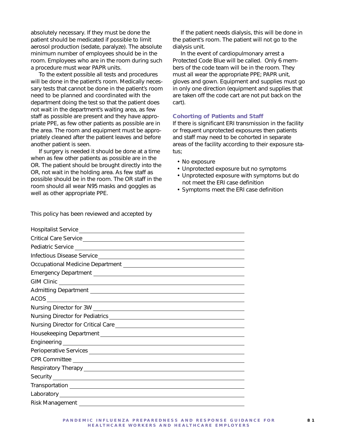absolutely necessary. If they must be done the patient should be medicated if possible to limit aerosol production (sedate, paralyze). The absolute minimum number of employees should be in the room. Employees who are in the room during such a procedure must wear PAPR units.

To the extent possible all tests and procedures will be done in the patient's room. Medically necessary tests that cannot be done in the patient's room need to be planned and coordinated with the department doing the test so that the patient does not wait in the department's waiting area, as few staff as possible are present and they have appropriate PPE, as few other patients as possible are in the area. The room and equipment must be appropriately cleaned after the patient leaves and before another patient is seen.

If surgery is needed it should be done at a time when as few other patients as possible are in the OR. The patient should be brought directly into the OR, not wait in the holding area. As few staff as possible should be in the room. The OR staff in the room should all wear N95 masks and goggles as well as other appropriate PPE.

If the patient needs dialysis, this will be done in the patient's room. The patient will not go to the dialysis unit.

In the event of cardiopulmonary arrest a Protected Code Blue will be called. Only 6 members of the code team will be in the room. They must all wear the appropriate PPE; PAPR unit, gloves and gown. Equipment and supplies must go in only one direction (equipment and supplies that are taken off the code cart are not put back on the cart).

### **Cohorting of Patients and Staff**

If there is significant ERI transmission in the facility or frequent unprotected exposures then patients and staff may need to be cohorted in separate areas of the facility according to their exposure status;

- No exposure
- Unprotected exposure but no symptoms
- Unprotected exposure with symptoms but do not meet the ERI case definition
- Symptoms meet the ERI case definition

This policy has been reviewed and accepted by

| Infectious Disease Service entrance and the control of the control of the control of the control of the control of the control of the control of the control of the control of the control of the control of the control of th |
|--------------------------------------------------------------------------------------------------------------------------------------------------------------------------------------------------------------------------------|
| Occupational Medicine Department [1942] [2012] [2012] [2012] [2012] [2012] [2012] [2012] [2012] [2012] [2012] [                                                                                                                |
|                                                                                                                                                                                                                                |
|                                                                                                                                                                                                                                |
|                                                                                                                                                                                                                                |
|                                                                                                                                                                                                                                |
|                                                                                                                                                                                                                                |
|                                                                                                                                                                                                                                |
|                                                                                                                                                                                                                                |
|                                                                                                                                                                                                                                |
|                                                                                                                                                                                                                                |
|                                                                                                                                                                                                                                |
|                                                                                                                                                                                                                                |
|                                                                                                                                                                                                                                |
|                                                                                                                                                                                                                                |
|                                                                                                                                                                                                                                |
|                                                                                                                                                                                                                                |
|                                                                                                                                                                                                                                |
|                                                                                                                                                                                                                                |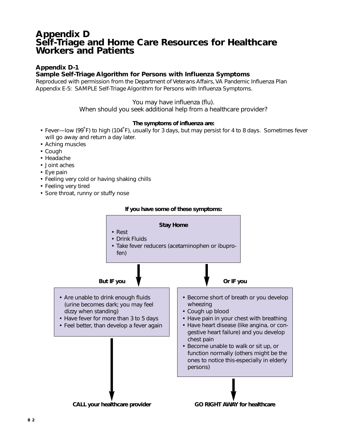# **Appendix D Self-Triage and Home Care Resources for Healthcare Workers and Patients**

# **Appendix D-1**

## **Sample Self-Triage Algorithm for Persons with Influenza Symptoms**

*Reproduced with permission from the Department of Veterans Affairs, VA Pandemic Influenza Plan Appendix E-5: SAMPLE Self-Triage Algorithm for Persons with Influenza Symptoms.*

## You may have influenza (flu).

When should you seek additional help from a healthcare provider?

## **The symptoms of influenza are:**

- Fever—low (99˚F) to high (104˚F), usually for 3 days, but may persist for 4 to 8 days. Sometimes fever will go away and return a day later.
- Aching muscles
- Cough
- Headache
- Joint aches
- Eye pain
- Feeling very cold or having shaking chills
- Feeling very tired
- Sore throat, runny or stuffy nose

### **If you have some of these symptoms:**

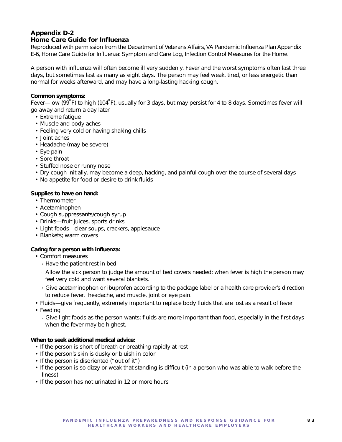### **Appendix D-2 Home Care Guide for Influenza**

*Reproduced with permission from the Department of Veterans Affairs, VA Pandemic Influenza Plan Appendix E-6, Home Care Guide for Influenza: Symptom and Care Log, Infection Control Measures for the Home.*

A person with influenza will often become ill very suddenly. Fever and the worst symptoms often last three days, but sometimes last as many as eight days. The person may feel weak, tired, or less energetic than normal for weeks afterward, and may have a long-lasting hacking cough.

## *Common symptoms:*

Fever—low (99˚F) to high (104˚F), usually for 3 days, but may persist for 4 to 8 days. Sometimes fever will go away and return a day later.

- Extreme fatigue
- Muscle and body aches
- Feeling very cold or having shaking chills
- Joint aches
- Headache (may be severe)
- Eye pain
- Sore throat
- Stuffed nose or runny nose
- Dry cough initially, may become a deep, hacking, and painful cough over the course of several days
- No appetite for food or desire to drink fluids

## *Supplies to have on hand:*

- Thermometer
- Acetaminophen
- Cough suppressants/cough syrup
- Drinks—fruit juices, sports drinks
- Light foods—clear soups, crackers, applesauce
- Blankets; warm covers

## *Caring for a person with influenza:*

- Comfort measures
	- Have the patient rest in bed.
	- Allow the sick person to judge the amount of bed covers needed; when fever is high the person may feel very cold and want several blankets.
	- Give acetaminophen or ibuprofen according to the package label or a health care provider's direction to reduce fever, headache, and muscle, joint or eye pain.
- Fluids—give frequently, extremely important to replace body fluids that are lost as a result of fever.
- Feeding
	- Give light foods as the person wants: fluids are more important than food, especially in the first days when the fever may be highest.

## *When to seek additional medical advice:*

- If the person is short of breath or breathing rapidly at rest
- If the person's skin is dusky or bluish in color
- If the person is disoriented ("out of it")
- If the person is so dizzy or weak that standing is difficult (in a person who was able to walk before the illness)
- If the person has not urinated in 12 or more hours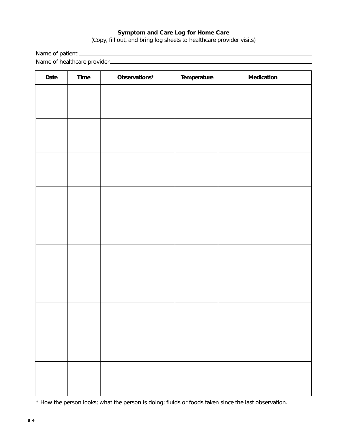## **Symptom and Care Log for Home Care**

(Copy, fill out, and bring log sheets to healthcare provider visits)

Name of patient

Name of healthcare provider

| Date | Time | Observations* | Temperature | Medication |
|------|------|---------------|-------------|------------|
|      |      |               |             |            |
|      |      |               |             |            |
|      |      |               |             |            |
|      |      |               |             |            |
|      |      |               |             |            |
|      |      |               |             |            |
|      |      |               |             |            |
|      |      |               |             |            |
|      |      |               |             |            |
|      |      |               |             |            |
|      |      |               |             |            |
|      |      |               |             |            |
|      |      |               |             |            |
|      |      |               |             |            |
|      |      |               |             |            |
|      |      |               |             |            |
|      |      |               |             |            |
|      |      |               |             |            |
|      |      |               |             |            |
|      |      |               |             |            |
|      |      |               |             |            |
|      |      |               |             |            |

\* How the person looks; what the person is doing; fluids or foods taken since the last observation.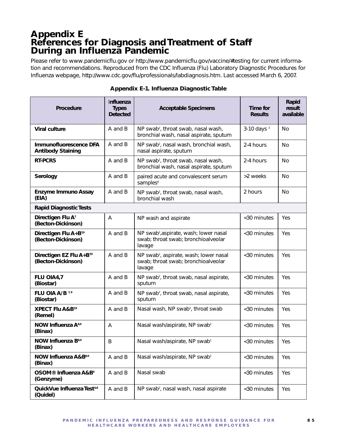# **Appendix E References for Diagnosis and Treatment of Staff During an Influenza Pandemic**

*Please refer to www.pandemicflu.gov or http://www.pandemicflu.gov/vaccine/#testing for current information and recommendations. Reproduced from the CDC Influenza (Flu) Laboratory Diagnostic Procedures for Influenza webpage, http://www.cdc.gov/flu/professionals/labdiagnosis.htm. Last accessed March 6, 2007.*

| <b>Procedure</b>                                           | Influenza<br><b>Types</b><br><b>Detected</b> | <b>Acceptable Specimens</b>                                                                         | Time for<br><b>Results</b> | Rapid<br>result<br>available |
|------------------------------------------------------------|----------------------------------------------|-----------------------------------------------------------------------------------------------------|----------------------------|------------------------------|
| <b>Viral culture</b>                                       | A and B                                      | NP swab <sup>2</sup> , throat swab, nasal wash,<br>bronchial wash, nasal aspirate, sputum           | $3-10$ days $3$            | No                           |
| Immunofluorescence DFA<br><b>Antibody Staining</b>         | A and B                                      | NP swab <sup>2</sup> , nasal wash, bronchial wash,<br>nasal aspirate, sputum                        | 2-4 hours                  | <b>No</b>                    |
| RT-PCR5                                                    | A and B                                      | NP swab <sup>2</sup> , throat swab, nasal wash,<br>bronchial wash, nasal aspirate, sputum           | 2-4 hours                  | No                           |
| Serology                                                   | A and B                                      | paired acute and convalescent serum<br>samples <sup>6</sup>                                         | >2 weeks                   | No.                          |
| <b>Enzyme Immuno Assay</b><br>(EIA)                        | A and B                                      | NP swab <sup>2</sup> , throat swab, nasal wash,<br>bronchial wash                                   | 2 hours                    | <b>No</b>                    |
| <b>Rapid Diagnostic Tests</b>                              |                                              |                                                                                                     |                            |                              |
| Directigen Flu A'<br>(Becton-Dickinson)                    | A                                            | NP wash and aspirate                                                                                | <30 minutes                | Yes                          |
| Directigen Flu A+B <sup>7,9</sup><br>(Becton-Dickinson)    | A and B                                      | NP swab <sup>2</sup> , aspirate, wash; lower nasal<br>swab; throat swab; bronchioalveolar<br>lavage | <30 minutes                | Yes                          |
| Directigen EZ Flu A+B <sup>7,9</sup><br>(Becton-Dickinson) | A and B                                      | NP swab <sup>2</sup> , aspirate, wash; lower nasal<br>swab; throat swab; bronchioalveolar<br>lavage | <30 minutes                | Yes                          |
| FLU OIA4,7<br>(Biostar)                                    | A and B                                      | NP swab <sup>2</sup> , throat swab, nasal aspirate,<br>sputum                                       | <30 minutes                | Yes                          |
| FLU OIA A/B <sup>79</sup><br>(Biostar)                     | A and B                                      | NP swab <sup>2</sup> , throat swab, nasal aspirate,<br>sputum                                       | <30 minutes                | Yes                          |
| <b>XPECT Flu A&amp;B</b> <sup>7,9</sup><br>(Remel)         | A and B                                      | Nasal wash, NP swab <sup>2</sup> , throat swab                                                      | <30 minutes                | Yes                          |
| <b>NOW Influenza A8,9</b><br>(Binax)                       | A                                            | Nasal wash/aspirate, NP swab <sup>2</sup>                                                           | <30 minutes                | Yes                          |
| NOW Influenza B <sup>8,9</sup><br>(Binax)                  | B                                            | Nasal wash/aspirate, NP swab <sup>2</sup>                                                           | <30 minutes                | Yes                          |
| NOW Influenza A&B <sup>8,9</sup><br>(Binax)                | A and B                                      | Nasal wash/aspirate, NP swab <sup>2</sup>                                                           | <30 minutes                | Yes                          |
| OSOM <sup>®</sup> Influenza A&B <sup>9</sup><br>(Genzyme)  | A and B                                      | Nasal swab                                                                                          | <30 minutes                | Yes                          |
| Quick Vue Influenza Test <sup>4,8</sup><br>(Quidel)        | A and B                                      | NP swab <sup>2</sup> , nasal wash, nasal aspirate                                                   | <30 minutes                | Yes                          |

### **Appendix E-1. Influenza Diagnostic Table**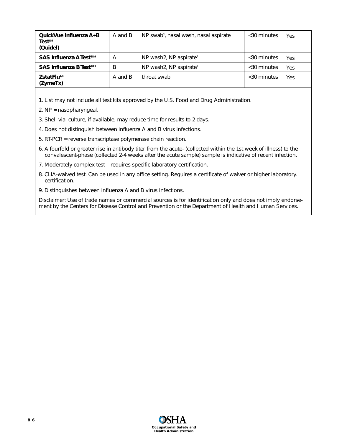| QuickVue Influenza A+B<br>Test <sup>8,9</sup><br>(Quidel) | A and B | NP swab <sup>2</sup> , nasal wash, nasal aspirate | $<$ 30 minutes | Yes |
|-----------------------------------------------------------|---------|---------------------------------------------------|----------------|-----|
| SAS Influenza A Test <sup>78,9</sup>                      | А       | NP wash2, NP aspirate <sup>2</sup>                | <30 minutes    | Yes |
| SAS Influenza B Test <sup>78,9</sup>                      | B       | NP wash2, NP aspirate <sup>2</sup>                | <30 minutes    | Yes |
| ZstatFlu <sup>4,8</sup><br>(ZymeTx)                       | A and B | throat swab                                       | $<$ 30 minutes | Yes |

1. List may not include all test kits approved by the U.S. Food and Drug Administration.

- 2. NP = nasopharyngeal.
- 3. Shell vial culture, if available, may reduce time for results to 2 days.
- 4. Does not distinguish between influenza A and B virus infections.
- 5. RT-PCR = reverse transcriptase polymerase chain reaction.
- 6. A fourfold or greater rise in antibody titer from the acute- (collected within the 1st week of illness) to the convalescent-phase (collected 2-4 weeks after the acute sample) sample is indicative of recent infection.
- 7. Moderately complex test requires specific laboratory certification.
- 8. CLIA-waived test. Can be used in any office setting. Requires a certificate of waiver or higher laboratory. certification.
- 9. Distinguishes between influenza A and B virus infections.

Disclaimer: Use of trade names or commercial sources is for identification only and does not imply endorsement by the Centers for Disease Control and Prevention or the Department of Health and Human Services.

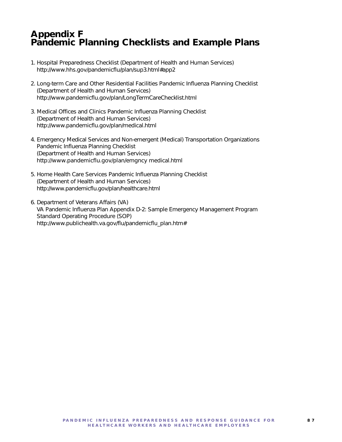# **Appendix F Pandemic Planning Checklists and Example Plans**

- 1. Hospital Preparedness Checklist (Department of Health and Human Services) http://www.hhs.gov/pandemicflu/plan/sup3.html#app2
- 2. Long-term Care and Other Residential Facilities Pandemic Influenza Planning Checklist (Department of Health and Human Services) http://www.pandemicflu.gov/plan/LongTermCareChecklist.html
- 3. Medical Offices and Clinics Pandemic Influenza Planning Checklist (Department of Health and Human Services) http://www.pandemicflu.gov/plan/medical.html
- 4. Emergency Medical Services and Non-emergent (Medical) Transportation Organizations Pandemic Influenza Planning Checklist (Department of Health and Human Services) http://www.pandemicflu.gov/plan/emgncy medical.html
- 5. Home Health Care Services Pandemic Influenza Planning Checklist (Department of Health and Human Services) http://www.pandemicflu.gov/plan/healthcare.html
- 6. Department of Veterans Affairs (VA) VA Pandemic Influenza Plan Appendix D-2: Sample Emergency Management Program Standard Operating Procedure (SOP) http://www.publichealth.va.gov/flu/pandemicflu\_plan.htm#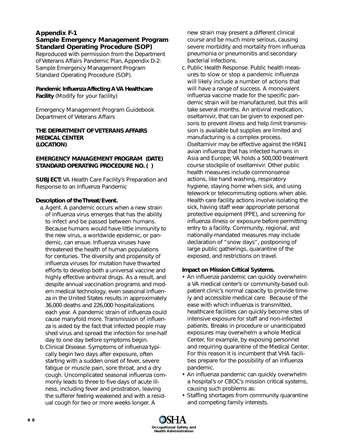## **Appendix F-1 Sample Emergency Management Program Standard Operating Procedure (SOP)**

*Reproduced with permission from the Department of Veterans Affairs Pandemic Plan, Appendix D-2: Sample Emergency Management Program Standard Operating Procedure (SOP).* 

**Pandemic Influenza Affecting A VA Healthcare Facility** *(Modify for your facility)*

Emergency Management Program Guidebook Department of Veterans Affairs

## **THE DEPARTMENT OF VETERANS AFFAIRS MEDICAL CENTER (LOCATION)**

## **EMERGENCY MANAGEMENT PROGRAM (DATE) STANDARD OPERATING PROCEDURE NO. ( )**

**SUBJECT:** VA Health Care Facility's Preparation and Response to an Influenza Pandemic

## *Description of the Threat/Event.*

- a.*Agent.* A pandemic occurs when a new strain of influenza virus emerges that has the ability to infect and be passed between humans. Because humans would have little immunity to the new virus, a worldwide epidemic, or pandemic, can ensue. Influenza viruses have threatened the health of human populations for centuries. The diversity and propensity of influenza viruses for mutation have thwarted efforts to develop both a universal vaccine and highly effective antiviral drugs. As a result, and despite annual vaccination programs and modern medical technology, even seasonal influenza in the United States results in approximately 36,000 deaths and 226,000 hospitalizations each year. A pandemic strain of influenza could cause manyfold more. Transmission of influenza is aided by the fact that infected people may shed virus and spread the infection for one-half day to one day *before* symptoms begin.
- b.*Clinical Disease.* Symptoms of influenza typically begin two days after exposure, often starting with a sudden onset of fever, severe fatigue or muscle pain, sore throat, and a dry cough. Uncomplicated seasonal influenza commonly leads to three to five days of acute illness, including fever and prostration, leaving the sufferer feeling weakened and with a residual cough for two or more weeks longer. A

new strain may present a different clinical course and be much more serious, causing severe morbidity and mortality from influenza pneumonia or pneumonitis and secondary bacterial infections.

c. *Public Health Response.* Public health measures to slow or stop a pandemic influenza will likely include a number of actions that will have a range of success. A monovalent influenza vaccine made for the specific pandemic strain will be manufactured, but this will take several months. An antiviral medication, oseltamivir, that can be given to exposed persons to prevent illness and help limit transmission is available but supplies are limited and manufacturing is a complex process. Oseltamivir may be effective against the H5N1 avian influenza that has infected humans in Asia and Europe; VA holds a 500,000 treatment course stockpile of oseltamivir. Other public health measures include commonsense actions, like hand washing, respiratory hygiene, staying home when sick, and using telework or telecommuting options when able. Health care facility actions involve isolating the sick, having staff wear appropriate personal protective equipment (PPE), and screening for influenza illness or exposure before permitting entry to a facility. Community, regional, and nationally-mandated measures may include declaration of "snow days", postponing of large public gatherings, quarantine of the exposed, and restrictions on travel.

## *Impact on Mission Critical Systems.*

- An influenza pandemic can quickly overwhelm a VA medical center's or community-based outpatient clinic's normal capacity to provide timely and accessible medical care. Because of the ease with which influenza is transmitted, healthcare facilities can quickly become sites of intensive exposure for staff and non-infected patients. Breaks in procedure or unanticipated exposures may overwhelm a whole Medical Center, for example, by exposing personnel and requiring quarantine of the Medical Center. For this reason it is incumbent that VHA facilities prepare for the possibility of an influenza pandemic.
- An influenza pandemic can quickly overwhelm a hospital's or CBOC's mission critical systems, causing such problems as:
- Staffing shortages from community quarantine and competing family interests.

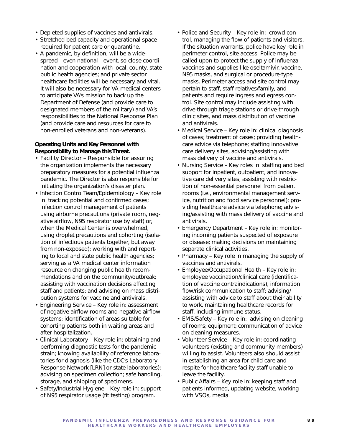- Depleted supplies of vaccines and antivirals.
- Stretched bed capacity and operational space required for patient care or quarantine.
- A pandemic, by definition, will be a widespread—even national—event, so close coordination and cooperation with local, county, state public health agencies; and private sector healthcare facilities will be necessary and vital. It will also be necessary for VA medical centers to anticipate VA's mission to back up the Department of Defense (and provide care to designated members of the military) and VA's responsibilities to the National Response Plan (and provide care and resources for care to non-enrolled veterans and non-veterans).

## *Operating Units and Key Personnel with Responsibility to Manage this Threat.*

- *Facility Director* Responsible for assuring the organization implements the necessary preparatory measures for a potential influenza pandemic. The Director is also responsible for initiating the organization's disaster plan.
- *Infection Control Team/Epidemiology* Key role in: tracking potential and confirmed cases; infection control management of patients using airborne precautions (private room, negative airflow, N95 respirator use by staff) or, when the Medical Center is overwhelmed, using droplet precautions and cohorting (isolation of infectious patients together, but away from non-exposed); working with and reporting to local and state public health agencies; serving as a VA medical center information resource on changing public health recommendations and on the community/outbreak; assisting with vaccination decisions affecting staff and patients; and advising on mass distribution systems for vaccine and antivirals.
- *Engineering Service* Key role in: assessment of negative airflow rooms and negative airflow systems; identification of areas suitable for cohorting patients both in waiting areas and after hospitalization.
- *Clinical Laboratory* Key role in: obtaining and performing diagnostic tests for the pandemic strain; knowing availability of reference laboratories for diagnosis (like the CDC's Laboratory Response Network [LRN] or state laboratories); advising on specimen collection; safe handling, storage, and shipping of specimens.
- *Safety/Industrial Hygiene* Key role in: support of N95 respirator usage (fit testing) program.
- *Police and Security* Key role in: crowd control, managing the flow of patients and visitors. If the situation warrants, police have key role in perimeter control, site access. Police may be called upon to protect the supply of influenza vaccines and supplies like oseltamivir, vaccine, N95 masks, and surgical or procedure-type masks. Perimeter access and site control may pertain to staff, staff relatives/family, and patients and require ingress and egress control. Site control may include assisting with drive-through triage stations or drive-through clinic sites, and mass distribution of vaccine and antivirals.
- *Medical Service* Key role in: clinical diagnosis of cases; treatment of cases; providing healthcare advice via telephone; staffing innovative care delivery sites, advising/assisting with mass delivery of vaccine and antivirals.
- *Nursing Service* Key roles in: staffing and bed support for inpatient, outpatient, and innovative care delivery sites; assisting with restriction of non-essential personnel from patient rooms (i.e., environmental management service, nutrition and food service personnel); providing healthcare advice via telephone; advising/assisting with mass delivery of vaccine and antivirals.
- *Emergency Department* Key role in: monitoring incoming patients suspected of exposure or disease; making decisions on maintaining separate clinical activities.
- *Pharmacy* Key role in managing the supply of vaccines and antivirals.
- *Employee/Occupational Health* Key role in: employee vaccination/clinical care (identification of vaccine contraindications), information flow/risk communication to staff; advising/ assisting with advice to staff about their ability to work, maintaining healthcare records for staff, including immune status.
- *EMS/Safety* Key role in: advising on cleaning of rooms; equipment; communication of advice on cleaning measures.
- *Volunteer Service* Key role in: coordinating volunteers (existing and community members) willing to assist. Volunteers also should assist in establishing an area for child care and respite for healthcare facility staff unable to leave the facility.
- *Public Affairs* Key role in: keeping staff and patients informed, updating website, working with VSOs, media.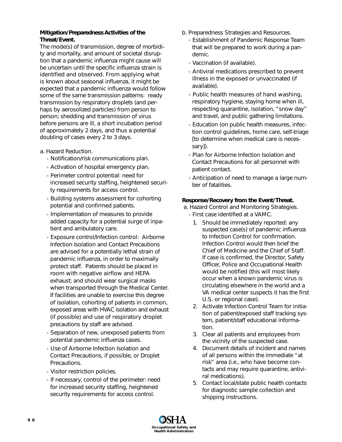## *Mitigation/Preparedness Activities of the Threat/Event.*

The mode(s) of transmission, degree of morbidity and mortality, and amount of societal disruption that a pandemic influenza might cause will be uncertain until the specific influenza strain is identified and observed. From applying what is known about seasonal influenza, it might be expected that a pandemic influenza would follow some of the same transmission patterns: ready transmission by respiratory droplets (and perhaps by aerosolized particles) from person to person; shedding and transmission of virus before persons are ill, a short incubation period of approximately 2 days, and thus a potential doubling of cases every 2 to 3 days.

## a. *Hazard Reduction.*

- Notification/risk communications plan.
- Activation of hospital emergency plan.
- Perimeter control potential: need for increased security staffing, heightened security requirements for access control.
- Building systems assessment for cohorting potential and confirmed patients.
- Implementation of measures to provide added capacity for a potential surge of inpatient and ambulatory care.
- Exposure control/Infection control: Airborne Infection Isolation and Contact Precautions are advised for a potentially lethal strain of pandemic influenza, in order to maximally protect staff. Patients should be placed in room with negative airflow and HEPA exhaust; and should wear surgical masks when transported through the Medical Center. If facilities are unable to exercise this degree of isolation, cohorting of patients in common, exposed areas with HVAC isolation and exhaust (if possible) and use of respiratory droplet precautions by staff are advised.
- Separation of new, unexposed patients from potential pandemic influenza cases.
- Use of Airborne Infection Isolation and Contact Precautions, if possible, or Droplet Precautions.
- Visitor restriction policies.
- If necessary, control of the perimeter: need for increased security staffing, heightened security requirements for access control.
- b. *Preparedness Strategies and Resources.*
	- Establishment of Pandemic Response Team that will be prepared to work during a pandemic.
	- Vaccination (if available).
	- Antiviral medications prescribed to prevent illness in the exposed or unvaccinated (if available).
	- Public health measures of hand washing, respiratory hygiene, staying home when ill, respecting quarantine, isolation, "snow day" and travel, and public gathering limitations.
	- Education (on public health measures, infection control guidelines, home care, self-triage [to determine when medical care is necessary]).
	- Plan for Airborne Infection Isolation and Contact Precautions for all personnel with patient contact.
	- Anticipation of need to manage a large number of fatalities.

## *Response/Recovery from the Event/Threat.*

- a. *Hazard Control and Monitoring Strategies.*
	- First case identified at a VAMC.
		- 1. Should be immediately reported: any suspected case(s) of pandemic influenza to Infection Control for confirmation. Infection Control would then brief the Chief of Medicine and the Chief of Staff. If case is confirmed, the Director, Safety Officer, Police and Occupational Health would be notified (this will most likely occur when a known pandemic virus is circulating elsewhere in the world and a VA medical center suspects it has the first U.S. or regional case).
		- 2. Activate Infection Control Team for initiation of patient/exposed staff tracking system, patient/staff educational information.
		- 3. Clear all patients and employees from the vicinity of the suspected case.
		- 4. Document details of incident and names of all persons within the immediate "at risk" area (i.e., who have become contacts and may require quarantine, antiviral medications).
		- 5. Contact local/state public health contacts for diagnostic sample collection and shipping instructions.

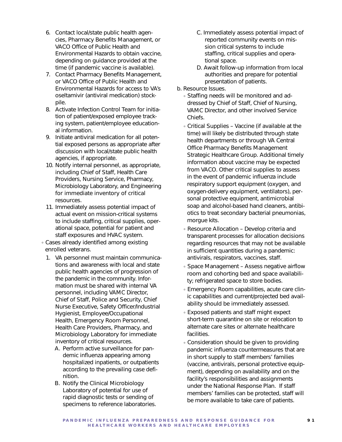- 6. Contact local/state public health agencies, Pharmacy Benefits Management, or VACO Office of Public Health and Environmental Hazards to obtain vaccine, depending on guidance provided at the time (if pandemic vaccine is available).
- 7. Contact Pharmacy Benefits Management, or VACO Office of Public Health and Environmental Hazards for access to VA's oseltamivir (antiviral medication) stockpile.
- 8. Activate Infection Control Team for initiation of patient/exposed employee tracking system, patient/employee educational information.
- 9. Initiate antiviral medication for all potential exposed persons as appropriate after discussion with local/state public health agencies, if appropriate.
- 10. Notify internal personnel, as appropriate, including Chief of Staff, Health Care Providers, Nursing Service, Pharmacy, Microbiology Laboratory, and Engineering for immediate inventory of critical resources.
- 11. Immediately assess potential impact of actual event on mission-critical systems to include staffing, critical supplies, operational space, potential for patient and staff exposures and HVAC system.
- Cases already identified among existing enrolled veterans.
	- 1. VA personnel must maintain communications and awareness with local and state public health agencies of progression of the pandemic in the community. Information must be shared with internal VA personnel, including VAMC Director, Chief of Staff, Police and Security, Chief Nurse Executive, Safety Officer/Industrial Hygienist, Employee/Occupational Health, Emergency Room Personnel, Health Care Providers, Pharmacy, and Microbiology Laboratory for immediate inventory of critical resources.
		- A. Perform active surveillance for pandemic influenza appearing among hospitalized inpatients, or outpatients according to the prevailing case definition.
		- B. Notify the Clinical Microbiology Laboratory of potential for use of rapid diagnostic tests or sending of specimens to reference laboratories.
- C. Immediately assess potential impact of reported community events on mission critical systems to include staffing, critical supplies and operational space.
- D. Await follow-up information from local authorities and prepare for potential presentation of patients.
- b. *Resource Issues.* 
	- Staffing needs will be monitored and addressed by Chief of Staff, Chief of Nursing, VAMC Director, and other involved Service Chiefs.
	- Critical Supplies Vaccine (if available at the time) will likely be distributed through state health departments or through VA Central Office Pharmacy Benefits Management Strategic Healthcare Group. Additional timely information about vaccine may be expected from VACO. Other critical supplies to assess in the event of pandemic influenza include respiratory support equipment (oxygen, and oxygen-delivery equipment, ventilators), personal protective equipment, antimicrobial soap and alcohol-based hand cleaners, antibiotics to treat secondary bacterial pneumonias, morgue kits.
	- Resource Allocation Develop criteria and transparent processes for allocation decisions regarding resources that may not be available in sufficient quantities during a pandemic: antivirals, respirators, vaccines, staff.
	- Space Management Assess negative airflow room and cohorting bed and space availability; refrigerated space to store bodies.
	- Emergency Room capabilities, acute care clinic capabilities and current/projected bed availability should be immediately assessed.
	- Exposed patients and staff might expect short-term quarantine on site or relocation to alternate care sites or alternate healthcare facilities.
	- Consideration should be given to providing pandemic influenza countermeasures that are in short supply to staff members' families (vaccine, antivirals, personal protective equipment), depending on availability and on the facility's responsibilities and assignments under the National Response Plan. If staff members' families can be protected, staff will be more available to take care of patients.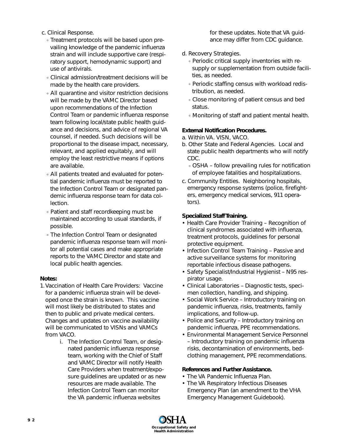- c. *Clinical Response.*
	- Treatment protocols will be based upon prevailing knowledge of the pandemic influenza strain and will include supportive care (respiratory support, hemodynamic support) and use of antivirals.
	- Clinical admission/treatment decisions will be made by the health care providers.
	- All quarantine and visitor restriction decisions will be made by the VAMC Director based upon recommendations of the Infection Control Team or pandemic influenza response team following local/state public health guidance and decisions, and advice of regional VA counsel, if needed. Such decisions will be proportional to the disease impact, necessary, relevant, and applied equitably, and will employ the least restrictive means if options are available.
	- All patients treated and evaluated for potential pandemic influenza must be reported to the Infection Control Team or designated pandemic influenza response team for data collection.
	- Patient and staff recordkeeping must be maintained according to usual standards, if possible.
	- The Infection Control Team or designated pandemic influenza response team will monitor all potential cases and make appropriate reports to the VAMC Director and state and local public health agencies.

## **Notes:**

- 1.Vaccination of Health Care Providers: Vaccine for a pandemic influenza strain will be developed once the strain is known. This vaccine will most likely be distributed to states and then to public and private medical centers. Changes and updates on vaccine availability will be communicated to VISNs and VAMCs from VACO.
	- i. The Infection Control Team, or designated pandemic influenza response team, working with the Chief of Staff and VAMC Director will notify Health Care Providers when treatment/exposure guidelines are updated or as new resources are made available. The Infection Control Team can monitor the VA pandemic influenza websites

for these updates. Note that VA guidance may differ from CDC guidance.

- d. *Recovery Strategies.*
	- Periodic critical supply inventories with resupply or supplementation from outside facilities, as needed.
	- Periodic staffing census with workload redistribution, as needed.
	- Close monitoring of patient census and bed status.
	- Monitoring of staff and patient mental health.

# **External Notification Procedures.**

- a. *Within VA.* VISN, VACO.
- b. *Other State and Federal Agencies.* Local and state public health departments who will notify CDC.
	- OSHA follow prevailing rules for notification of employee fatalities and hospitalizations.
- c. Community Entities. Neighboring hospitals, emergency response systems (police, firefighters, emergency medical services, 911 operators).

# *Specialized Staff Training.*

- Health Care Provider Training Recognition of clinical syndromes associated with influenza, treatment protocols, guidelines for personal protective equipment.
- Infection Control Team Training Passive and active surveillance systems for monitoring reportable infectious disease pathogens.
- Safety Specialist/Industrial Hygienist N95 respirator usage.
- Clinical Laboratories Diagnostic tests, specimen collection, handling, and shipping.
- Social Work Service Introductory training on pandemic influenza, risks, treatments, family implications, and follow-up.
- Police and Security Introductory training on pandemic influenza, PPE recommendations.
- Environmental Management Service Personnel – Introductory training on pandemic influenza risks, decontamination of environments, bedclothing management, PPE recommendations.

## *References and Further Assistance.*

- The VA Pandemic Influenza Plan.
- The VA Respiratory Infectious Diseases Emergency Plan (an amendment to the VHA Emergency Management Guidebook).

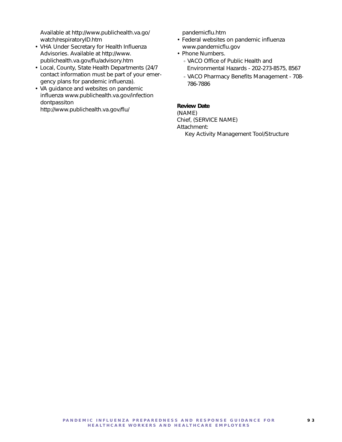Available at http://www.publichealth.va.go/ watch/respiratoryID.htm

- VHA Under Secretary for Health Influenza Advisories. Available at http://www. publichealth.va.gov/flu/advisory.htm
- Local, County, State Health Departments (24/7 contact information must be part of your emergency plans for pandemic influenza).
- VA guidance and websites on pandemic influenza www.publichealth.va.gov/infection dontpassiton

http://www.publichealth.va.gov/flu/

pandemicflu.htm

- Federal websites on pandemic influenza www.pandemicflu.gov
- Phone Numbers.
	- VACO Office of Public Health and Environmental Hazards - 202-273-8575, 8567
	- VACO Pharmacy Benefits Management 708- 786-7886

### *Review Date*

(NAME) Chief, (SERVICE NAME) Attachment: Key Activity Management Tool/Structure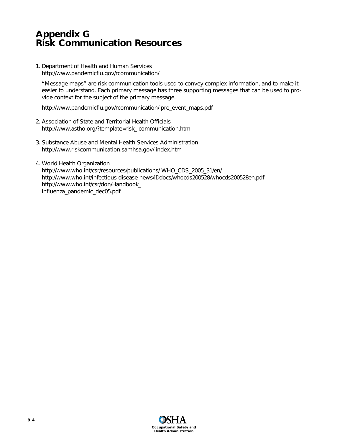# **Appendix G Risk Communication Resources**

1. Department of Health and Human Services http://www.pandemicflu.gov/rcommunication/

"Message maps" are risk communication tools used to convey complex information, and to make it easier to understand. Each primary message has three supporting messages that can be used to provide context for the subject of the primary message.

http://www.pandemicflu.gov/rcommunication/ pre\_event\_maps.pdf

- 2. Association of State and Territorial Health Officials http://www.astho.org/?template=risk\_ communication.html
- 3. Substance Abuse and Mental Health Services Administration http://www.riskcommunication.samhsa.gov/ index.htm
- 4. World Health Organization http://www.who.int/csr/resources/publications/ WHO\_CDS\_2005\_31/en/ http://www.who.int/infectious-disease-news/IDdocs/whocds200528/whocds200528en.pdf http://www.who.int/csr/don/Handbook\_ influenza\_pandemic\_dec05.pdf

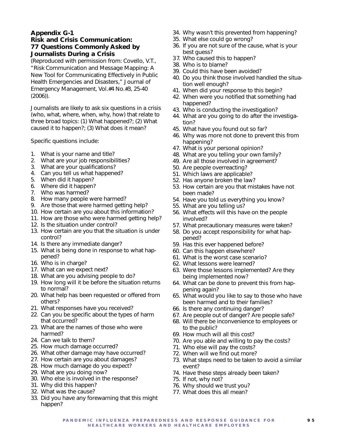# **Appendix G-1**

# **Risk and Crisis Communication: 77 Questions Commonly Asked by Journalists During a Crisis**

(Reproduced with permission from: Covello, V.T., "Risk Communication and Message Mapping: A New Tool for Communicating Effectively in Public Health Emergencies and Disasters," Journal of Emergency Management, Vol.#4 No.#3, 25-40 (2006)).

Journalists are likely to ask six questions in a crisis (who, what, where, when, why, how) that relate to three broad topics: (1) What happened?; (2) What caused it to happen?; (3) What does it mean?

Specific questions include:

- 1. What is your name and title?
- 2. What are your job responsibilities?
- 3. What are your qualifications?
- 4. Can you tell us what happened?
- 5. When did it happen?
- 6. Where did it happen?
- 7. Who was harmed?
- 8. How many people were harmed?
- 9. Are those that were harmed getting help?
- 10. How certain are you about this information?
- 11. How are those who were harmed getting help?
- 12. Is the situation under control?
- 13. How certain are you that the situation is under control?
- 14. Is there any immediate danger?
- 15. What is being done in response to what happened?
- 16. Who is in charge?
- 17. What can we expect next?
- 18. What are you advising people to do?
- 19. How long will it be before the situation returns to normal?
- 20. What help has been requested or offered from others?
- 21. What responses have you received?
- 22. Can you be specific about the types of harm that occurred?
- 23. What are the names of those who were harmed?
- 24. Can we talk to them?
- 25. How much damage occurred?
- 26. What other damage may have occurred?
- 27. How certain are you about damages?
- 28. How much damage do you expect?
- 29. What are you doing now?
- 30. Who else is involved in the response?
- 31. Why did this happen?
- 32. What was the cause?
- 33. Did you have any forewarning that this might happen?
- 34. Why wasn't this prevented from happening?
- 35. What else could go wrong?
- 36. If you are not sure of the cause, what is your best guess?
- 37. Who caused this to happen?
- 38. Who is to blame?
- 39. Could this have been avoided?
- 40. Do you think those involved handled the situation well enough?
- 41. When did your response to this begin?
- 42. When were you notified that something had happened?
- 43. Who is conducting the investigation?
- 44. What are you going to do after the investigation?
- 45. What have you found out so far?
- 46. Why was more not done to prevent this from happening?
- 47. What is your personal opinion?
- 48. What are you telling your own family?
- 49. Are all those involved in agreement?
- 50. Are people overreacting?
- 51. Which laws are applicable?
- 52. Has anyone broken the law?
- 53. How certain are you that mistakes have not been made?
- 54. Have you told us everything you know?
- 55. What are you telling us?
- 56. What effects will this have on the people involved?
- 57. What precautionary measures were taken?
- 58. Do you accept responsibility for what happened?
- 59. Has this ever happened before?
- 60. Can this happen elsewhere?
- 61. What is the worst case scenario?
- 62. What lessons were learned?
- 63. Were those lessons implemented? Are they being implemented now?
- 64. What can be done to prevent this from happening again?
- 65. What would you like to say to those who have been harmed and to their families?
- 66. Is there any continuing danger?
- 67. Are people out of danger? Are people safe?
- 68. Will there be inconvenience to employees or to the public?
- 69. How much will all this cost?
- 70. Are you able and willing to pay the costs?
- 71. Who else will pay the costs?
- 72. When will we find out more?
- 73. What steps need to be taken to avoid a similar event?
- 74. Have these steps already been taken?
- 75. If not, why not?
- 76. Why should we trust you?
- 77. What does this all mean?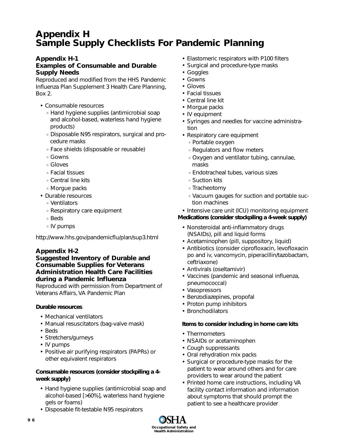# **Appendix H Sample Supply Checklists For Pandemic Planning**

# **Appendix H-1**

# **Examples of Consumable and Durable Supply Needs**

*Reproduced and modified from the HHS Pandemic Influenza Plan Supplement 3 Health Care Planning, Box 2*.

- Consumable resources
	- Hand hygiene supplies (antimicrobial soap and alcohol-based, waterless hand hygiene products)
	- Disposable N95 respirators, surgical and procedure masks
	- Face shields (disposable or reusable)
	- Gowns
	- Gloves
	- Facial tissues
	- Central line kits
	- Morgue packs
- Durable resources
	- Ventilators
	- Respiratory care equipment
	- Beds
	- IV pumps

http://www.hhs.gov/pandemicflu/plan/sup3.html

# **Appendix H-2**

# **Suggested Inventory of Durable and Consumable Supplies for Veterans Administration Health Care Facilities during a Pandemic Influenza**

*Reproduced with permission from Department of Veterans Affairs, VA Pandemic Plan*

# *Durable resources*

- Mechanical ventilators
- Manual resuscitators (bag-valve mask)
- Beds
- Stretchers/gurneys
- IV pumps
- Positive air purifying respirators (PAPRs) or other equivalent respirators

# *Consumable resources (consider stockpiling a 4 week supply)*

- Hand hygiene supplies (antimicrobial soap and alcohol-based [>60%], waterless hand hygiene gels or foams)
- Disposable fit-testable N95 respirators
- Elastomeric respirators with P100 filters
- Surgical and procedure-type masks
- Goggles
- Gowns
- Gloves
- Facial tissues
- Central line kit
- Morgue packs
- IV equipment
- Syringes and needles for vaccine administration
- Respiratory care equipment
	- Portable oxygen
	- Regulators and flow meters
	- Oxygen and ventilator tubing, cannulae, masks
	- Endotracheal tubes, various sizes
	- Suction kits
	- Tracheotomy
	- Vacuum gauges for suction and portable suction machines

# • Intensive care unit (ICU) monitoring equipment

# *Medications (consider stockpiling a 4-week supply)*

- Nonsteroidal anti-inflammatory drugs (NSAIDs), pill and liquid forms
- Acetaminophen (pill, suppository, liquid)
- Antibiotics (consider ciprofloxacin, levofloxacin po and iv, vancomycin, piperacillin/tazobactam, ceftriaxone)
- Antivirals (oseltamivir)
- Vaccines (pandemic and seasonal influenza, pneumococcal)
- Vasopressors
- Benzodiazepines, propofal
- Proton pump inhibitors
- Bronchodilators

## *Items to consider including in home care kits*

- Thermometers
- NSAIDs or acetaminophen
- Cough suppressants
- Oral rehydration mix packs
- Surgical or procedure-type masks for the patient to wear around others and for care providers to wear around the patient
- Printed home care instructions, including VA facility contact information and information about symptoms that should prompt the patient to see a healthcare provider

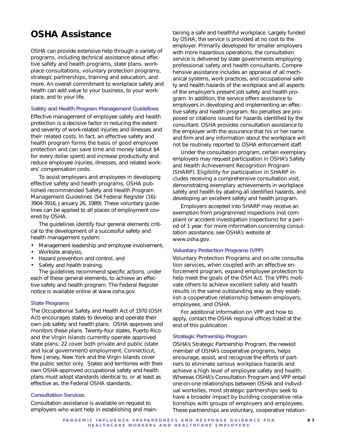# **OSHA Assistance**

OSHA can provide extensive help through a variety of programs, including technical assistance about effective safety and health programs, state plans, workplace consultations, voluntary protection programs, strategic partnerships, training and education, and more. An overall commitment to workplace safety and health can add value to your business, to your workplace, and to your life.

#### **Safety and Health Program Management Guidelines**

Effective management of employee safety and health protection is a decisive factor in reducing the extent and severity of work-related injuries and illnesses and their related costs. In fact, an effective safety and health program forms the basis of good employee protection and can save time and money (about \$4 for every dollar spent) and increase productivity and reduce employee injuries, illnesses, and related workers' compensation costs.

To assist employers and employees in developing effective safety and health programs, OSHA published recommended Safety and Health Program Management Guidelines (54 Federal Register (16): 3904-3916, January 26, 1989). These voluntary guidelines can be applied to all places of employment covered by OSHA.

The guidelines identify four general elements critical to the development of a successful safety and health management system:

- Management leadership and employee involvement,
- Worksite analysis,
- Hazard prevention and control, and
- Safety and health training.

The guidelines recommend specific actions, under each of these general elements, to achieve an effective safety and health program. The *Federal Register* notice is available online at www.osha.gov.

#### **State Programs**

The *Occupational Safety and Health Act of 1970* (OSH Act) encourages states to develop and operate their own job safety and health plans. OSHA approves and monitors these plans. Twenty-four states, Puerto Rico and the Virgin Islands currently operate approved state plans: 22 cover both private and public (state and local government) employment; Connecticut, New Jersey, New York and the Virgin Islands cover the public sector only. States and territories with their own OSHA-approved occupational safety and health plans must adopt standards identical to, or at least as effective as, the Federal OSHA standards.

### **Consultation Services**

Consultation assistance is available on request to employers who want help in establishing and main-

taining a safe and healthful workplace. Largely funded by OSHA, the service is provided at no cost to the employer. Primarily developed for smaller employers with more hazardous operations, the consultation service is delivered by state governments employing professional safety and health consultants. Comprehensive assistance includes an appraisal of all mechanical systems, work practices, and occupational safety and health hazards of the workplace and all aspects of the employer's present job safety and health program. In addition, the service offers assistance to employers in developing and implementing an effective safety and health program. No penalties are proposed or citations issued for hazards identified by the consultant. OSHA provides consultation assistance to the employer with the assurance that his or her name and firm and any information about the workplace will not be routinely reported to OSHA enforcement staff.

Under the consultation program, certain exemplary employers may request participation in OSHA's Safety and Health Achievement Recognition Program (SHARP). Eligibility for participation in SHARP includes receiving a comprehensive consultation visit, demonstrating exemplary achievements in workplace safety and health by abating all identified hazards, and developing an excellent safety and health program.

Employers accepted into SHARP may receive an exemption from programmed inspections (not complaint or accident investigation inspections) for a period of 1 year. For more information concerning consultation assistance, see OSHA's website at www.osha.gov.

#### **Voluntary Protection Programs (VPP)**

Voluntary Protection Programs and on-site consultation services, when coupled with an effective enforcement program, expand employee protection to help meet the goals of the OSH Act. The VPPs motivate others to achieve excellent safety and health results in the same outstanding way as they establish a cooperative relationship between employers, employees, and OSHA.

For additional information on VPP and how to apply, contact the OSHA regional offices listed at the end of this publication.

#### **Strategic Partnership Program**

OSHA's Strategic Partnership Program, the newest member of OSHA's cooperative programs, helps encourage, assist, and recognize the efforts of partners to eliminate serious workplace hazards and achieve a high level of employee safety and health. Whereas OSHA's Consultation Program and VPP entail one-on-one relationships between OSHA and individual worksites, most strategic partnerships seek to have a broader impact by building cooperative relationships with groups of employers and employees. These partnerships are voluntary, cooperative relation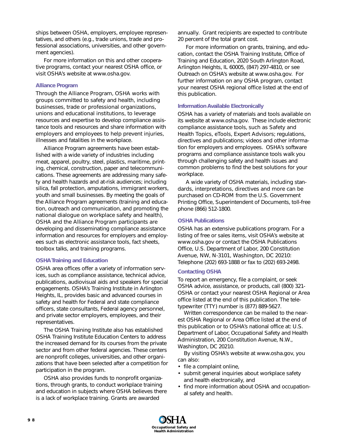ships between OSHA, employers, employee representatives, and others (e.g., trade unions, trade and professional associations, universities, and other government agencies).

For more information on this and other cooperative programs, contact your nearest OSHA office, or visit OSHA's website at www.osha.gov.

### **Alliance Program**

Through the Alliance Program, OSHA works with groups committed to safety and health, including businesses, trade or professional organizations, unions and educational institutions, to leverage resources and expertise to develop compliance assistance tools and resources and share information with employers and employees to help prevent injuries, illnesses and fatalities in the workplace.

Alliance Program agreements have been established with a wide variety of industries including meat, apparel, poultry, steel, plastics, maritime, printing, chemical, construction, paper and telecommunications. These agreements are addressing many safety and health hazards and at-risk audiences; including silica, fall protection, amputations, immigrant workers, youth and small businesses. By meeting the goals of the Alliance Program agreements (training and education, outreach and communication, and promoting the national dialogue on workplace safety and health), OSHA and the Alliance Program participants are developing and disseminating compliance assistance information and resources for employers and employees such as electronic assistance tools, fact sheets, toolbox talks, and training programs.

### **OSHA Training and Education**

OSHA area offices offer a variety of information services, such as compliance assistance, technical advice, publications, audiovisual aids and speakers for special engagements. OSHA's Training Institute in Arlington Heights, IL, provides basic and advanced courses in safety and health for Federal and state compliance officers, state consultants, Federal agency personnel, and private sector employers, employees, and their representatives.

The OSHA Training Institute also has established OSHA Training Institute Education Centers to address the increased demand for its courses from the private sector and from other federal agencies. These centers are nonprofit colleges, universities, and other organizations that have been selected after a competition for participation in the program.

OSHA also provides funds to nonprofit organizations, through grants, to conduct workplace training and education in subjects where OSHA believes there is a lack of workplace training. Grants are awarded

annually. Grant recipients are expected to contribute 20 percent of the total grant cost.

For more information on grants, training, and education, contact the OSHA Training Institute, Office of Training and Education, 2020 South Arlington Road, Arlington Heights, IL 60005, (847) 297-4810, or see *Outreach* on OSHA's website at www.osha.gov. For further information on any OSHA program, contact your nearest OSHA regional office listed at the end of this publication.

### **Information Available Electronically**

OSHA has a variety of materials and tools available on its website at www.osha.gov. These include electronic compliance assistance tools, such as Safety and Health Topics, eTools, Expert Advisors; regulations, directives and publications; videos and other information for employers and employees. OSHA's software programs and compliance assistance tools walk you through challenging safety and health issues and common problems to find the best solutions for your workplace.

A wide variety of OSHA materials, including standards, interpretations, directives and more can be purchased on CD-ROM from the U.S. Government Printing Office, Superintendent of Documents, toll-free phone (866) 512-1800.

### **OSHA Publications**

OSHA has an extensive publications program. For a listing of free or sales items, visit OSHA's website at www.osha.gov or contact the OSHA Publications Office, U.S. Department of Labor, 200 Constitution Avenue, NW, N-3101, Washington, DC 20210: Telephone (202) 693-1888 or fax to (202) 693-2498.

### **Contacting OSHA**

To report an emergency, file a complaint, or seek OSHA advice, assistance, or products, call (800) 321- OSHA or contact your nearest OSHA Regional or Area office listed at the end of this publication. The teletypewriter (TTY) number is (877) 889-5627.

Written correspondence can be mailed to the nearest OSHA Regional or Area Office listed at the end of this publication or to OSHA's national office at: U.S. Department of Labor, Occupational Safety and Health Administration, 200 Constitution Avenue, N.W., Washington, DC 20210.

By visiting OSHA's website at www.osha.gov, you can also:

- file a complaint online,
- submit general inquiries about workplace safety and health electronically, and
- find more information about OSHA and occupational safety and health.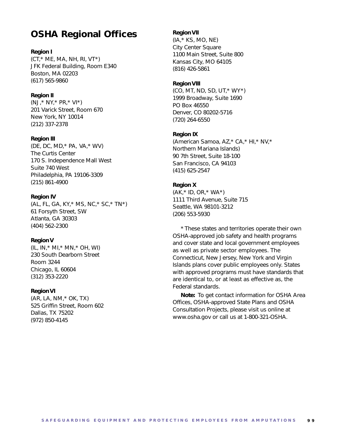# **OSHA Regional Offices**

### **Region I**

 $(CT, * ME, MA, NH, RI, VT*)$ JFK Federal Building, Room E340 Boston, MA 02203 (617) 565-9860

### **Region II**

(NJ,\* NY,\* PR,\* VI\*) 201 Varick Street, Room 670 New York, NY 10014 (212) 337-2378

### **Region III**

(DE, DC, MD,\* PA, VA,\* WV) The Curtis Center 170 S. Independence Mall West Suite 740 West Philadelphia, PA 19106-3309 (215) 861-4900

### **Region IV**

(AL, FL, GA, KY,\* MS, NC,\* SC,\* TN\*) 61 Forsyth Street, SW Atlanta, GA 30303 (404) 562-2300

### **Region V**

(IL, IN,\* MI,\* MN,\* OH, WI) 230 South Dearborn Street Room 3244 Chicago, IL 60604 (312) 353-2220

### **Region VI**

(AR, LA, NM,\* OK, TX) 525 Griffin Street, Room 602 Dallas, TX 75202 (972) 850-4145

### **Region VII**

(IA,\* KS, MO, NE) City Center Square 1100 Main Street, Suite 800 Kansas City, MO 64105 (816) 426-5861

### **Region VIII**

(CO, MT, ND, SD, UT,\* WY\*) 1999 Broadway, Suite 1690 PO Box 46550 Denver, CO 80202-5716 (720) 264-6550

### **Region IX**

(American Samoa, AZ,\* CA,\* HI,\* NV,\* Northern Mariana Islands) 90 7th Street, Suite 18-100 San Francisco, CA 94103 (415) 625-2547

### **Region X**

(AK,\* ID, OR,\* WA\*) 1111 Third Avenue, Suite 715 Seattle, WA 98101-3212 (206) 553-5930

\* These states and territories operate their own OSHA-approved job safety and health programs and cover state and local government employees as well as private sector employees. The Connecticut, New Jersey, New York and Virgin Islands plans cover public employees only. States with approved programs must have standards that are identical to, or at least as effective as, the Federal standards.

**Note:** To get contact information for OSHA Area Offices, OSHA-approved State Plans and OSHA Consultation Projects, please visit us online at www.osha.gov or call us at 1-800-321-OSHA.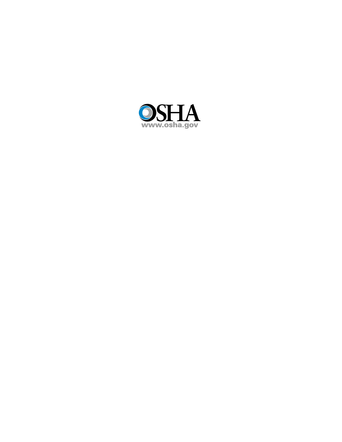